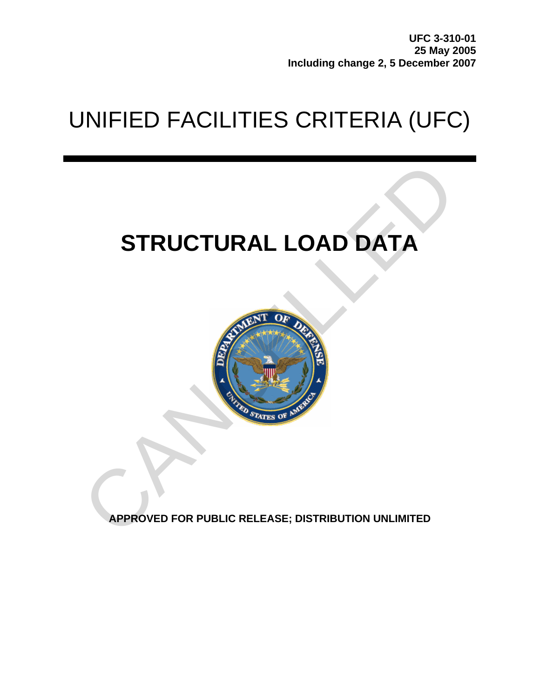# UNIFIED FACILITIES CRITERIA (UFC)

## **STRUCTURAL LOAD DATA**



**APPROVED FOR PUBLIC RELEASE; DISTRIBUTION UNLIMITED**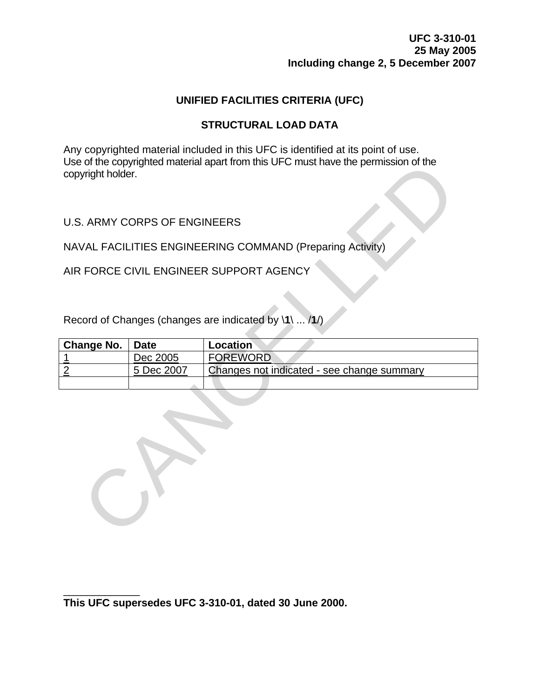#### **UNIFIED FACILITIES CRITERIA (UFC)**

## **STRUCTURAL LOAD DATA**

Any copyrighted material included in this UFC is identified at its point of use. Use of the copyrighted material apart from this UFC must have the permission of the copyright holder.

| copyright holder. |                                     | Use of the copyrighted material apart from this UFC must have the permission of the |
|-------------------|-------------------------------------|-------------------------------------------------------------------------------------|
|                   | <b>U.S. ARMY CORPS OF ENGINEERS</b> |                                                                                     |
|                   |                                     | NAVAL FACILITIES ENGINEERING COMMAND (Preparing Activity)                           |
|                   |                                     | AIR FORCE CIVIL ENGINEER SUPPORT AGENCY                                             |
|                   |                                     |                                                                                     |
|                   |                                     | Record of Changes (changes are indicated by \1\  /1/)                               |
| <b>Change No.</b> | <b>Date</b>                         | Location                                                                            |
| $\frac{1}{2}$     | Dec 2005                            | <b>FOREWORD</b>                                                                     |
|                   | 5 Dec 2007                          | Changes not indicated - see change summary                                          |
|                   |                                     |                                                                                     |
|                   |                                     |                                                                                     |

\_\_\_\_\_\_\_\_\_\_\_\_\_ **This UFC supersedes UFC 3-310-01, dated 30 June 2000.**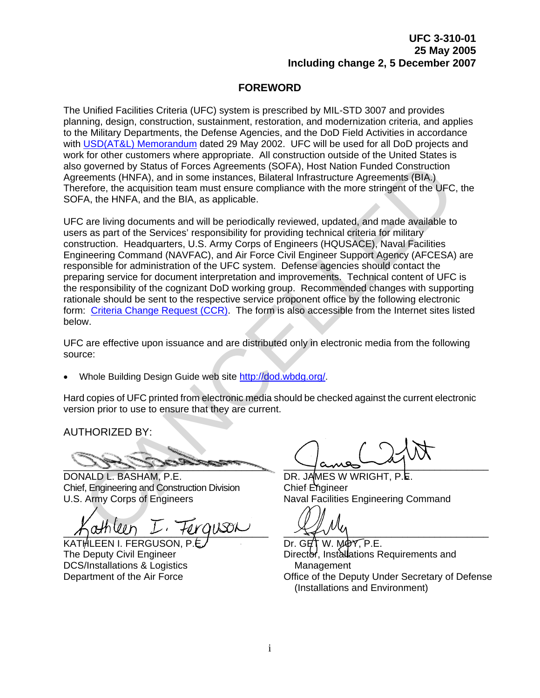#### **FOREWORD**

The Unified Facilities Criteria (UFC) system is prescribed by MIL-STD 3007 and provides planning, design, construction, sustainment, restoration, and modernization criteria, and applies to the Military Departments, the Defense Agencies, and the DoD Field Activities in accordance with USD(AT&L) Memorandum dated 29 May 2002. UFC will be used for all DoD projects and work for other customers where appropriate. All construction outside of the United States is also governed by Status of Forces Agreements (SOFA), Host Nation Funded Construction Agreements (HNFA), and in some instances, Bilateral Infrastructure Agreements (BIA.) Therefore, the acquisition team must ensure compliance with the more stringent of the UFC, the SOFA, the HNFA, and the BIA, as applicable.

UFC are living documents and will be periodically reviewed, updated, and made available to users as part of the Services' responsibility for providing technical criteria for military construction. Headquarters, U.S. Army Corps of Engineers (HQUSACE), Naval Facilities Engineering Command (NAVFAC), and Air Force Civil Engineer Support Agency (AFCESA) are responsible for administration of the UFC system. Defense agencies should contact the preparing service for document interpretation and improvements. Technical content of UFC is the responsibility of the cognizant DoD working group. Recommended changes with supporting rationale should be sent to the respective service proponent office by the following electronic form: Criteria Change Request (CCR). The form is also accessible from the Internet sites listed below. o governal by Status of Forces' Agreements (SDFA), Host Nation Funded Construction<br>eements (HNFA), and in some instances, Bilateral Infrastructure Agreements (BMA)<br>refore, the acquisition team must ensure compliance with t

UFC are effective upon issuance and are distributed only in electronic media from the following source:

• Whole Building Design Guide web site http://dod.wbdg.org/.

Hard copies of UFC printed from electronic media should be checked against the current electronic version prior to use to ensure that they are current.

AUTHORIZED BY:

\_\_\_\_\_\_\_\_\_\_\_\_\_\_\_\_\_\_\_\_\_\_\_\_\_\_\_\_\_\_\_\_\_\_\_\_\_\_

DONALD L. BASHAM, P.E. Chief, Engineering and Construction Division U.S. Army Corps of Engineers

 $\pi$  anever  $\nu$  . For your

KATHLEEN I. FERGUSON, P. The Deputy Civil Engineer DCS/Installations & Logistics Department of the Air Force

 $\frac{1}{2}$  anes  $\frac{1}{2}$ 

DR. JAMES W WRIGHT, P.E. Chief Engineer Naval Facilities Engineering Command

\_\_\_\_\_\_\_\_\_\_\_\_\_\_\_\_\_\_\_\_\_\_\_\_\_\_\_\_\_\_\_\_\_\_\_\_\_\_

Dr. GET W. MOY, P.E. Director, Installations Requirements and Management Office of the Deputy Under Secretary of Defense (Installations and Environment)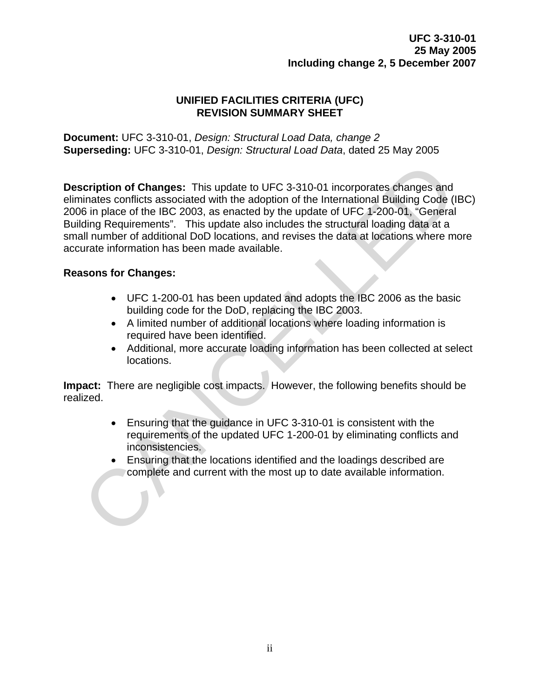#### **UNIFIED FACILITIES CRITERIA (UFC) REVISION SUMMARY SHEET**

**Document:** UFC 3-310-01, *Design: Structural Load Data, change 2* **Superseding:** UFC 3-310-01, *Design: Structural Load Data*, dated 25 May 2005

**Description of Changes:** This update to UFC 3-310-01 incorporates changes and eliminates conflicts associated with the adoption of the International Building Code (IBC) 2006 in place of the IBC 2003, as enacted by the update of UFC 1-200-01, "General Building Requirements". This update also includes the structural loading data at a small number of additional DoD locations, and revises the data at locations where more accurate information has been made available. **Scription of Changes:** This update to UFC 3-310-01 incorporates changes and<br>ninates conflicts associated with the adoption of the International Building Code (I<br>6 in place of the IBC 2003, as enacted by the update of UFC

#### **Reasons for Changes:**

- UFC 1-200-01 has been updated and adopts the IBC 2006 as the basic building code for the DoD, replacing the IBC 2003.
- A limited number of additional locations where loading information is required have been identified.
- Additional, more accurate loading information has been collected at select locations.

**Impact:** There are negligible cost impacts. However, the following benefits should be realized.

- Ensuring that the guidance in UFC 3-310-01 is consistent with the requirements of the updated UFC 1-200-01 by eliminating conflicts and inconsistencies.
- Ensuring that the locations identified and the loadings described are complete and current with the most up to date available information.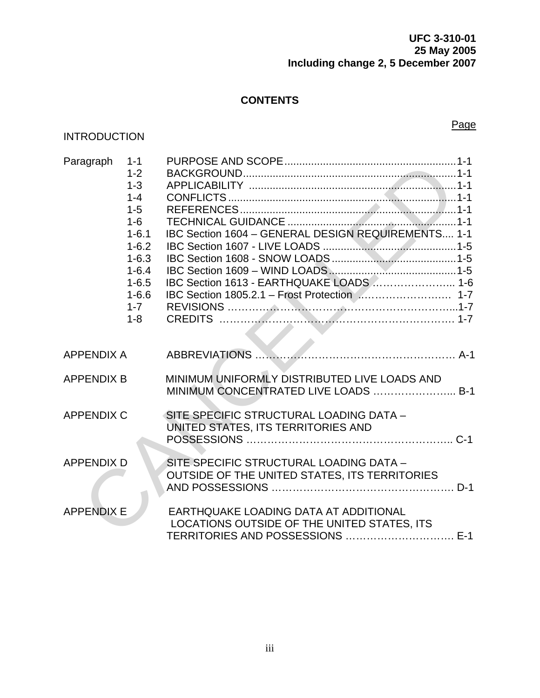## **CONTENTS**

#### INTRODUCTION

| Paragraph         | $1 - 1$<br>$1 - 2$<br>$1 - 3$<br>$1 - 4$<br>$1 - 5$<br>$1-6$<br>$1 - 6.1$<br>$1 - 6.2$<br>$1 - 6.3$<br>$1 - 6.4$<br>$1 - 6.5$<br>$1 - 6.6$<br>$1 - 7$<br>$1 - 8$ | IBC Section 1604 - GENERAL DESIGN REQUIREMENTS 1-1<br>IBC Section 1613 - EARTHQUAKE LOADS  1-6                           |  |
|-------------------|------------------------------------------------------------------------------------------------------------------------------------------------------------------|--------------------------------------------------------------------------------------------------------------------------|--|
| APPENDIX A        |                                                                                                                                                                  |                                                                                                                          |  |
| APPENDIX B        |                                                                                                                                                                  | MINIMUM UNIFORMLY DISTRIBUTED LIVE LOADS AND<br>MINIMUM CONCENTRATED LIVE LOADS  B-1                                     |  |
| <b>APPENDIX C</b> |                                                                                                                                                                  | SITE SPECIFIC STRUCTURAL LOADING DATA -<br>UNITED STATES, ITS TERRITORIES AND                                            |  |
| <b>APPENDIX D</b> |                                                                                                                                                                  | SITE SPECIFIC STRUCTURAL LOADING DATA -<br><b>OUTSIDE OF THE UNITED STATES, ITS TERRITORIES</b>                          |  |
| <b>APPENDIX E</b> |                                                                                                                                                                  | EARTHQUAKE LOADING DATA AT ADDITIONAL<br>LOCATIONS OUTSIDE OF THE UNITED STATES, ITS<br>TERRITORIES AND POSSESSIONS  E-1 |  |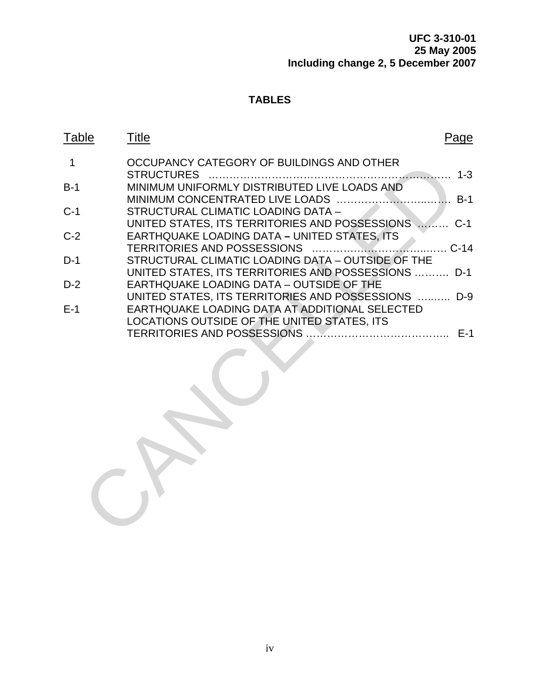## **TABLES**

| Table       | <b>Title</b>                                                                                        | Page          |
|-------------|-----------------------------------------------------------------------------------------------------|---------------|
| $\mathbf 1$ | OCCUPANCY CATEGORY OF BUILDINGS AND OTHER                                                           |               |
| $B-1$       | <b>STRUCTURES</b><br>MINIMUM UNIFORMLY DISTRIBUTED LIVE LOADS AND                                   | $1 - 3$       |
| $C-1$       | STRUCTURAL CLIMATIC LOADING DATA -                                                                  |               |
| $C-2$       | UNITED STATES, ITS TERRITORIES AND POSSESSIONS  C-1<br>EARTHQUAKE LOADING DATA - UNITED STATES, ITS |               |
|             | STRUCTURAL CLIMATIC LOADING DATA - OUTSIDE OF THE                                                   | $\ldots$ C-14 |
| $D-1$       | UNITED STATES, ITS TERRITORIES AND POSSESSIONS  D-1                                                 |               |
| $D-2$       | EARTHQUAKE LOADING DATA - OUTSIDE OF THE<br>UNITED STATES, ITS TERRITORIES AND POSSESSIONS  D-9     |               |
| $E-1$       | EARTHQUAKE LOADING DATA AT ADDITIONAL SELECTED<br>LOCATIONS OUTSIDE OF THE UNITED STATES, ITS       |               |
|             |                                                                                                     |               |
|             |                                                                                                     |               |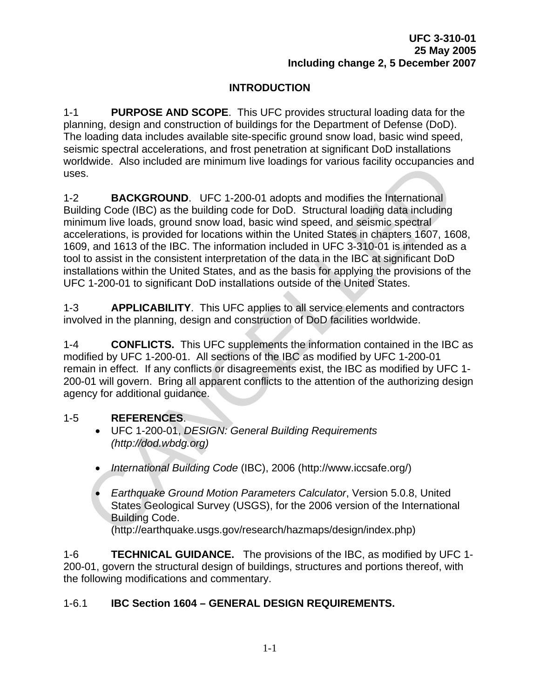## **INTRODUCTION**

1-1 **PURPOSE AND SCOPE**. This UFC provides structural loading data for the planning, design and construction of buildings for the Department of Defense (DoD). The loading data includes available site-specific ground snow load, basic wind speed, seismic spectral accelerations, and frost penetration at significant DoD installations worldwide. Also included are minimum live loadings for various facility occupancies and uses.

1-2 **BACKGROUND**. UFC 1-200-01 adopts and modifies the International Building Code (IBC) as the building code for DoD. Structural loading data including minimum live loads, ground snow load, basic wind speed, and seismic spectral accelerations, is provided for locations within the United States in chapters 1607, 1608, 1609, and 1613 of the IBC. The information included in UFC 3-310-01 is intended as a tool to assist in the consistent interpretation of the data in the IBC at significant DoD installations within the United States, and as the basis for applying the provisions of the UFC 1-200-01 to significant DoD installations outside of the United States. more. Also included are minimum live loadings for various facility occupancies<br>
S.S.<br> **BACKGROUND**. UFC 1-200-01 adopts and modifies the International<br>
lding Code (IBC) as the building code for DoD. Structural loading data

1-3 **APPLICABILITY**. This UFC applies to all service elements and contractors involved in the planning, design and construction of DoD facilities worldwide.

1-4 **CONFLICTS.** This UFC supplements the information contained in the IBC as modified by UFC 1-200-01. All sections of the IBC as modified by UFC 1-200-01 remain in effect. If any conflicts or disagreements exist, the IBC as modified by UFC 1- 200-01 will govern. Bring all apparent conflicts to the attention of the authorizing design agency for additional guidance.

## 1-5 **REFERENCES**.

- UFC 1-200-01, *DESIGN: General Building Requirements (http://dod.wbdg.org)*
- *International Building Code* (IBC), 2006 (http://www.iccsafe.org/)
- *Earthquake Ground Motion Parameters Calculator*, Version 5.0.8, United States Geological Survey (USGS), for the 2006 version of the International Building Code. (http://earthquake.usgs.gov/research/hazmaps/design/index.php)

1-6 **TECHNICAL GUIDANCE.** The provisions of the IBC, as modified by UFC 1- 200-01, govern the structural design of buildings, structures and portions thereof, with the following modifications and commentary.

## 1-6.1 **IBC Section 1604 – GENERAL DESIGN REQUIREMENTS.**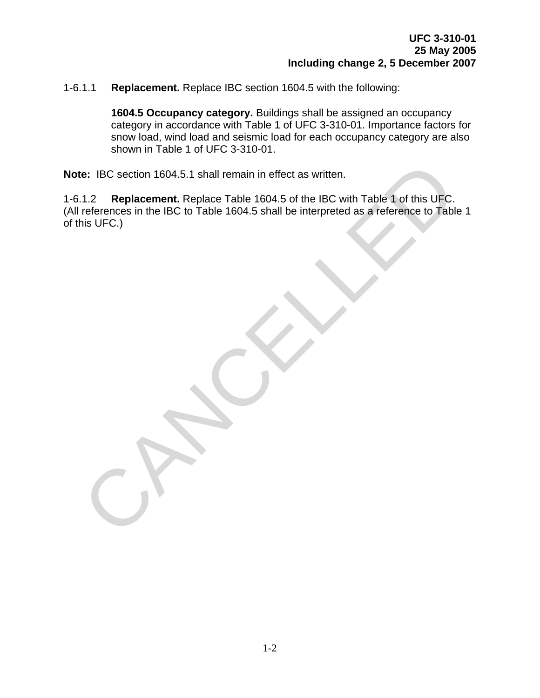#### 1-6.1.1 **Replacement.** Replace IBC section 1604.5 with the following:

**1604.5 Occupancy category.** Buildings shall be assigned an occupancy category in accordance with Table 1 of UFC 3-310-01. Importance factors for snow load, wind load and seismic load for each occupancy category are also shown in Table 1 of UFC 3-310-01.

**Note:** IBC section 1604.5.1 shall remain in effect as written.

1-6.1.2 **Replacement.** Replace Table 1604.5 of the IBC with Table 1 of this UFC. (All references in the IBC to Table 1604.5 shall be interpreted as a reference to Table 1 of this UFC.) te: IBC section 1604.5.1 shall remain in effect as written.<br>
.1.2 Replacement. Replace Table 1604.5 of the IBC with Table 1 of this UFC.<br>
references in the IBC to Table 1604.5 shall be interpreted as a reference to Table<br>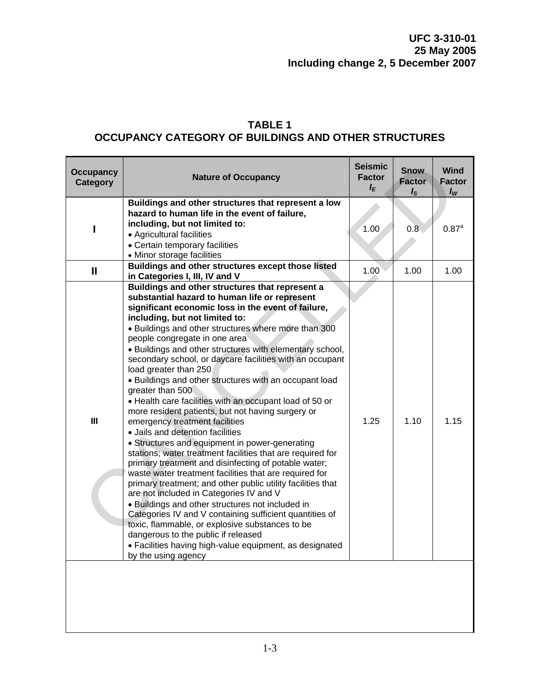## **TABLE 1 OCCUPANCY CATEGORY OF BUILDINGS AND OTHER STRUCTURES**

| <b>Occupancy</b><br>Category | <b>Nature of Occupancy</b>                                                                                                                                                                                                                                                                                                                                                                                                                                                                                                                                                                                                                                                                                                                                                                                                                                                                                                                                                                                                                                                                                                                                                                                                                                                                                                                    | <b>Seismic</b><br><b>Factor</b><br>$I_F$ | <b>Snow</b><br><b>Factor</b><br>$I_{\rm S}$ | Wind<br><b>Factor</b><br>$I_W$ |
|------------------------------|-----------------------------------------------------------------------------------------------------------------------------------------------------------------------------------------------------------------------------------------------------------------------------------------------------------------------------------------------------------------------------------------------------------------------------------------------------------------------------------------------------------------------------------------------------------------------------------------------------------------------------------------------------------------------------------------------------------------------------------------------------------------------------------------------------------------------------------------------------------------------------------------------------------------------------------------------------------------------------------------------------------------------------------------------------------------------------------------------------------------------------------------------------------------------------------------------------------------------------------------------------------------------------------------------------------------------------------------------|------------------------------------------|---------------------------------------------|--------------------------------|
|                              | Buildings and other structures that represent a low<br>hazard to human life in the event of failure,<br>including, but not limited to:<br>• Agricultural facilities<br>• Certain temporary facilities<br>• Minor storage facilities                                                                                                                                                                                                                                                                                                                                                                                                                                                                                                                                                                                                                                                                                                                                                                                                                                                                                                                                                                                                                                                                                                           | 1.00                                     | 0.8                                         | $0.87$ <sup>a</sup>            |
| $\mathbf{I}$                 | Buildings and other structures except those listed<br>in Categories I, III, IV and V                                                                                                                                                                                                                                                                                                                                                                                                                                                                                                                                                                                                                                                                                                                                                                                                                                                                                                                                                                                                                                                                                                                                                                                                                                                          | 1.00                                     | 1.00                                        | 1.00                           |
| $\mathbf{III}$               | Buildings and other structures that represent a<br>substantial hazard to human life or represent<br>significant economic loss in the event of failure,<br>including, but not limited to:<br>. Buildings and other structures where more than 300<br>people congregate in one area<br>. Buildings and other structures with elementary school,<br>secondary school, or daycare facilities with an occupant<br>load greater than 250<br>• Buildings and other structures with an occupant load<br>greater than 500<br>• Health care facilities with an occupant load of 50 or<br>more resident patients, but not having surgery or<br>emergency treatment facilities<br>· Jails and detention facilities<br>• Structures and equipment in power-generating<br>stations; water treatment facilities that are required for<br>primary treatment and disinfecting of potable water;<br>waste water treatment facilities that are required for<br>primary treatment; and other public utility facilities that<br>are not included in Categories IV and V<br>• Buildings and other structures not included in<br>Categories IV and V containing sufficient quantities of<br>toxic, flammable, or explosive substances to be<br>dangerous to the public if released<br>• Facilities having high-value equipment, as designated<br>by the using agency | 1.25                                     | 1.10                                        | 1.15                           |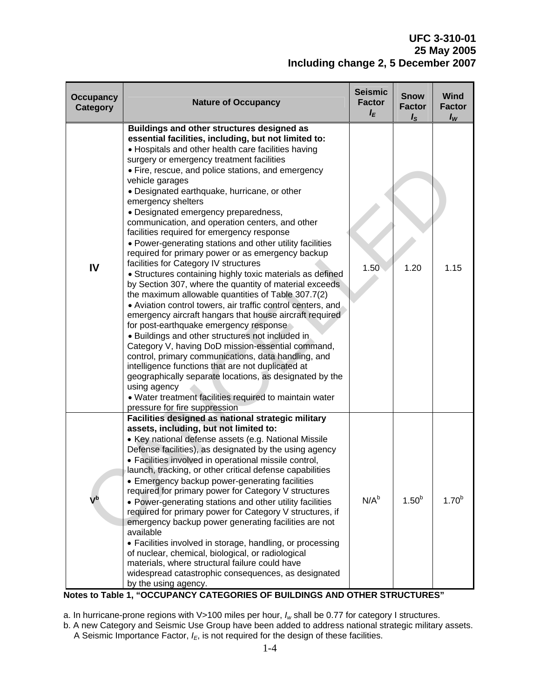| <b>Occupancy</b><br>Category | <b>Nature of Occupancy</b>                                                                                                                                                                                                                                                                                                                                                                                                                                                                                                                                                                                                                                                                                                                                                                                                                                                                                                                                                                                                                                                                                                                                                                                                                                                                                                                                                                            | <b>Seismic</b><br><b>Factor</b><br>$I_{E}$ | <b>Snow</b><br><b>Factor</b><br>$I_{\rm S}$ | <b>Wind</b><br><b>Factor</b><br>$I_W$ |
|------------------------------|-------------------------------------------------------------------------------------------------------------------------------------------------------------------------------------------------------------------------------------------------------------------------------------------------------------------------------------------------------------------------------------------------------------------------------------------------------------------------------------------------------------------------------------------------------------------------------------------------------------------------------------------------------------------------------------------------------------------------------------------------------------------------------------------------------------------------------------------------------------------------------------------------------------------------------------------------------------------------------------------------------------------------------------------------------------------------------------------------------------------------------------------------------------------------------------------------------------------------------------------------------------------------------------------------------------------------------------------------------------------------------------------------------|--------------------------------------------|---------------------------------------------|---------------------------------------|
| $\mathbf{I}$                 | Buildings and other structures designed as<br>essential facilities, including, but not limited to:<br>• Hospitals and other health care facilities having<br>surgery or emergency treatment facilities<br>• Fire, rescue, and police stations, and emergency<br>vehicle garages<br>· Designated earthquake, hurricane, or other<br>emergency shelters<br>• Designated emergency preparedness,<br>communication, and operation centers, and other<br>facilities required for emergency response<br>• Power-generating stations and other utility facilities<br>required for primary power or as emergency backup<br>facilities for Category IV structures<br>• Structures containing highly toxic materials as defined<br>by Section 307, where the quantity of material exceeds<br>the maximum allowable quantities of Table 307.7(2)<br>• Aviation control towers, air traffic control centers, and<br>emergency aircraft hangars that house aircraft required<br>for post-earthquake emergency response<br>• Buildings and other structures not included in<br>Category V, having DoD mission-essential command,<br>control, primary communications, data handling, and<br>intelligence functions that are not duplicated at<br>geographically separate locations, as designated by the<br>using agency<br>• Water treatment facilities required to maintain water<br>pressure for fire suppression | 1.50                                       | 1.20                                        | 1.15                                  |
|                              | Facilities designed as national strategic military<br>assets, including, but not limited to:<br>• Key national defense assets (e.g. National Missile<br>Defense facilities), as designated by the using agency<br>• Facilities involved in operational missile control,<br>launch, tracking, or other critical defense capabilities<br>• Emergency backup power-generating facilities<br>required for primary power for Category V structures<br>• Power-generating stations and other utility facilities<br>required for primary power for Category V structures, if<br>emergency backup power generating facilities are not<br>available<br>• Facilities involved in storage, handling, or processing<br>of nuclear, chemical, biological, or radiological<br>materials, where structural failure could have<br>widespread catastrophic consequences, as designated<br>by the using agency.                                                                                                                                                                                                                                                                                                                                                                                                                                                                                                         | $N/A^b$                                    | 1.50 <sup>b</sup>                           | 1.70 <sup>b</sup>                     |

**Notes to Table 1, "OCCUPANCY CATEGORIES OF BUILDINGS AND OTHER STRUCTURES"** 

a. In hurricane-prone regions with V>100 miles per hour,  $I_w$  shall be 0.77 for category I structures.

b. A new Category and Seismic Use Group have been added to address national strategic military assets. A Seismic Importance Factor,  $I_E$ , is not required for the design of these facilities.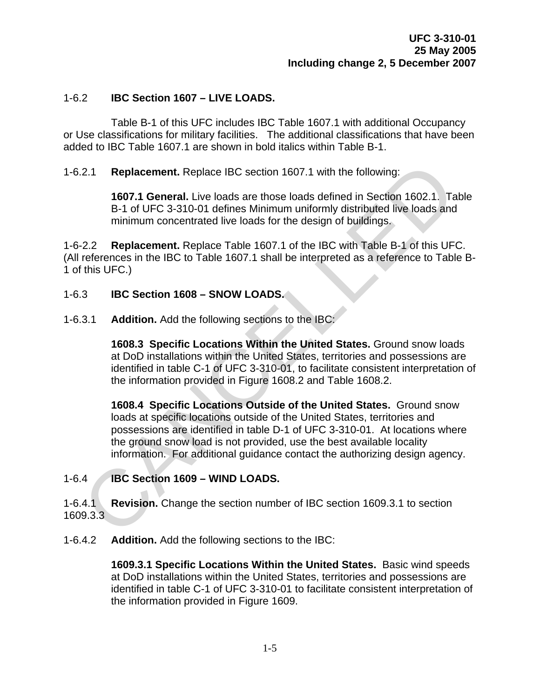#### 1-6.2 **IBC Section 1607 – LIVE LOADS.**

 Table B-1 of this UFC includes IBC Table 1607.1 with additional Occupancy or Use classifications for military facilities.The additional classifications that have been added to IBC Table 1607.1 are shown in bold italics within Table B-1.

#### 1-6.2.1 **Replacement.** Replace IBC section 1607.1 with the following:

**1607.1 General.** Live loads are those loads defined in Section 1602.1. Table B-1 of UFC 3-310-01 defines Minimum uniformly distributed live loads and minimum concentrated live loads for the design of buildings.

1-6-2.2 **Replacement.** Replace Table 1607.1 of the IBC with Table B-1 of this UFC. (All references in the IBC to Table 1607.1 shall be interpreted as a reference to Table B-1 of this UFC.)

#### 1-6.3 **IBC Section 1608 – SNOW LOADS.**

1-6.3.1 **Addition.** Add the following sections to the IBC:

**1608.3 Specific Locations Within the United States.** Ground snow loads at DoD installations within the United States, territories and possessions are identified in table C-1 of UFC 3-310-01, to facilitate consistent interpretation of the information provided in Figure 1608.2 and Table 1608.2.

**1608.4 Specific Locations Outside of the United States.** Ground snow loads at specific locations outside of the United States, territories and possessions are identified in table D-1 of UFC 3-310-01. At locations where the ground snow load is not provided, use the best available locality information. For additional guidance contact the authorizing design agency. 2.1 **Replacement.** Replace IBC section 1607.1 with the following:<br>
1607.1 **General.** Live loads are those loads defined in Section 1602.1. Ta<br>
1607.1 **General.** Live loads are those loads defined in Section 1602.1. Ta<br>
16

#### 1-6.4 **IBC Section 1609 – WIND LOADS.**

1-6.4.1 **Revision.** Change the section number of IBC section 1609.3.1 to section 1609.3.3

1-6.4.2 **Addition.** Add the following sections to the IBC:

**1609.3.1 Specific Locations Within the United States.** Basic wind speeds at DoD installations within the United States, territories and possessions are identified in table C-1 of UFC 3-310-01 to facilitate consistent interpretation of the information provided in Figure 1609.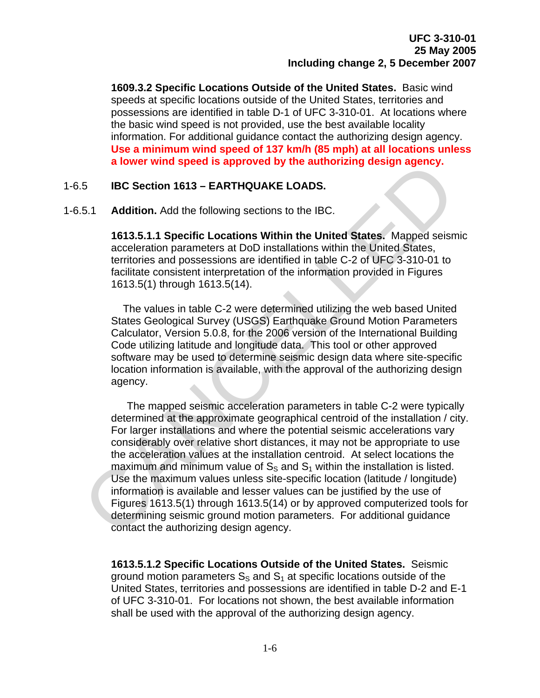**1609.3.2 Specific Locations Outside of the United States.** Basic wind speeds at specific locations outside of the United States, territories and possessions are identified in table D-1 of UFC 3-310-01. At locations where the basic wind speed is not provided, use the best available locality information. For additional guidance contact the authorizing design agency. **Use a minimum wind speed of 137 km/h (85 mph) at all locations unless a lower wind speed is approved by the authorizing design agency.**

#### 1-6.5 **IBC Section 1613 – EARTHQUAKE LOADS.**

1-6.5.1 **Addition.** Add the following sections to the IBC.

**1613.5.1.1 Specific Locations Within the United States.** Mapped seismic acceleration parameters at DoD installations within the United States, territories and possessions are identified in table C-2 of UFC 3-310-01 to facilitate consistent interpretation of the information provided in Figures 1613.5(1) through 1613.5(14).

 The values in table C-2 were determined utilizing the web based United States Geological Survey (USGS) Earthquake Ground Motion Parameters Calculator, Version 5.0.8, for the 2006 version of the International Building Code utilizing latitude and longitude data. This tool or other approved software may be used to determine seismic design data where site-specific location information is available, with the approval of the authorizing design agency.

 The mapped seismic acceleration parameters in table C-2 were typically determined at the approximate geographical centroid of the installation / city. For larger installations and where the potential seismic accelerations vary considerably over relative short distances, it may not be appropriate to use the acceleration values at the installation centroid. At select locations the maximum and minimum value of  $S_s$  and  $S_1$  within the installation is listed. Use the maximum values unless site-specific location (latitude / longitude) information is available and lesser values can be justified by the use of Figures 1613.5(1) through 1613.5(14) or by approved computerized tools for determining seismic ground motion parameters. For additional guidance contact the authorizing design agency. a lower wind speed is approved by the authorizing design agency.<br>
IBC Section 1613 – EARTHQUAKE LOADS.<br>
5.1 Addition. Add the following sections to the IBC.<br>
1613.5.1.1 Specific Locations Within the United States. Mapped s

**1613.5.1.2 Specific Locations Outside of the United States.** Seismic ground motion parameters  $S_s$  and  $S_1$  at specific locations outside of the United States, territories and possessions are identified in table D-2 and E-1 of UFC 3-310-01. For locations not shown, the best available information shall be used with the approval of the authorizing design agency.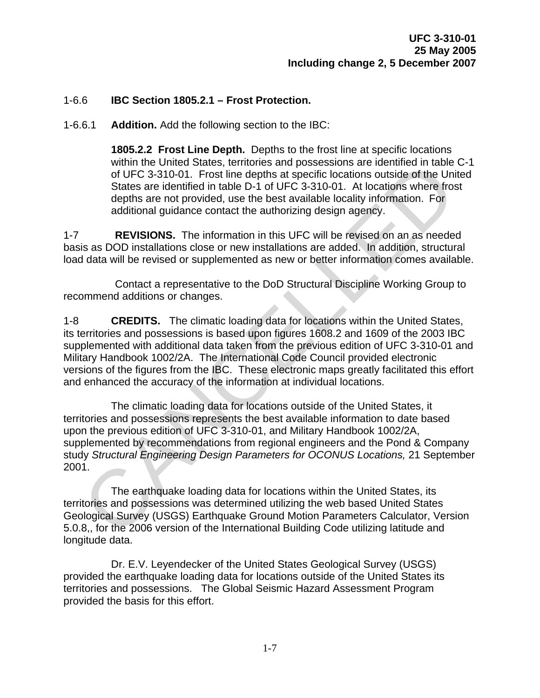#### 1-6.6 **IBC Section 1805.2.1 – Frost Protection.**

1-6.6.1 **Addition.** Add the following section to the IBC:

**1805.2.2 Frost Line Depth.** Depths to the frost line at specific locations within the United States, territories and possessions are identified in table C-1 of UFC 3-310-01. Frost line depths at specific locations outside of the United States are identified in table D-1 of UFC 3-310-01. At locations where frost depths are not provided, use the best available locality information.For additional guidance contact the authorizing design agency.

1-7 **REVISIONS.** The information in this UFC will be revised on an as needed basis as DOD installations close or new installations are added. In addition, structural load data will be revised or supplemented as new or better information comes available.

Contact a representative to the DoD Structural Discipline Working Group to recommend additions or changes.

1-8 **CREDITS.** The climatic loading data for locations within the United States, its territories and possessions is based upon figures 1608.2 and 1609 of the 2003 IBC supplemented with additional data taken from the previous edition of UFC 3-310-01 and Military Handbook 1002/2A. The International Code Council provided electronic versions of the figures from the IBC. These electronic maps greatly facilitated this effort and enhanced the accuracy of the information at individual locations. within the United States, termines and possessions are dentified in table<br>of UFC 3-310-01. Frost line depths at specific locations outside of the Uni<br>States are identified in table D-1 of UFC 3-310-01. At locations where f

 The climatic loading data for locations outside of the United States, it territories and possessions represents the best available information to date based upon the previous edition of UFC 3-310-01, and Military Handbook 1002/2A, supplemented by recommendations from regional engineers and the Pond & Company study *Structural Engineering Design Parameters for OCONUS Locations,* 21 September 2001.

 The earthquake loading data for locations within the United States, its territories and possessions was determined utilizing the web based United States Geological Survey (USGS) Earthquake Ground Motion Parameters Calculator, Version 5.0.8,, for the 2006 version of the International Building Code utilizing latitude and longitude data.

 Dr. E.V. Leyendecker of the United States Geological Survey (USGS) provided the earthquake loading data for locations outside of the United States its territories and possessions. The Global Seismic Hazard Assessment Program provided the basis for this effort.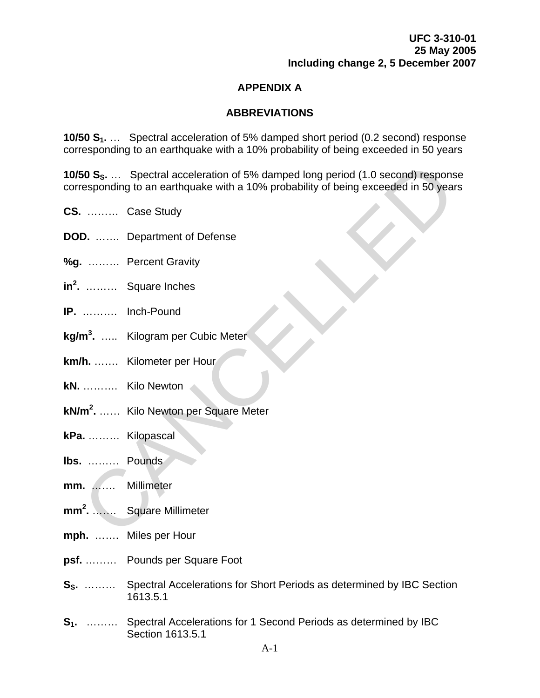## **APPENDIX A**

## **ABBREVIATIONS**

**10/50 S<sub>1</sub>.** ... Spectral acceleration of 5% damped short period (0.2 second) response corresponding to an earthquake with a 10% probability of being exceeded in 50 years

**10/50 S<sub>S</sub>.** ... Spectral acceleration of 5% damped long period (1.0 second) response corresponding to an earthquake with a 10% probability of being exceeded in 50 years **50 S<sub>5</sub>.**... Spectral acceleration of 5% damped long period (1.0 second) responsesponding to an earthquake with a 10% probability of being exceeded in 50 year<br>
............ Case Study<br>
D. ........ Department of Defense<br>
.

- **CS.** ……… Case Study
- **DOD.** ……. Department of Defense
- **%g.** ……… Percent Gravity
- **in2 .** ……… Square Inches
- **IP.** ………. Inch-Pound
- **kg/m3 .** ….. Kilogram per Cubic Meter
- **km/h.** ……. Kilometer per Hour
- **kN.** ………. Kilo Newton
- **kN/m2 .** …… Kilo Newton per Square Meter
- **kPa.** ……… Kilopascal
- **lbs.** ……… Pounds
- **mm.** ……. Millimeter
- **mm<sup>2</sup> .** ……. Square Millimeter
- **mph.** ……. Miles per Hour
- **psf.** ……… Pounds per Square Foot
- **S<sub>S</sub>.** ……… Spectral Accelerations for Short Periods as determined by IBC Section 1613.5.1
- **S1.** ……… Spectral Accelerations for 1 Second Periods as determined by IBC Section 1613.5.1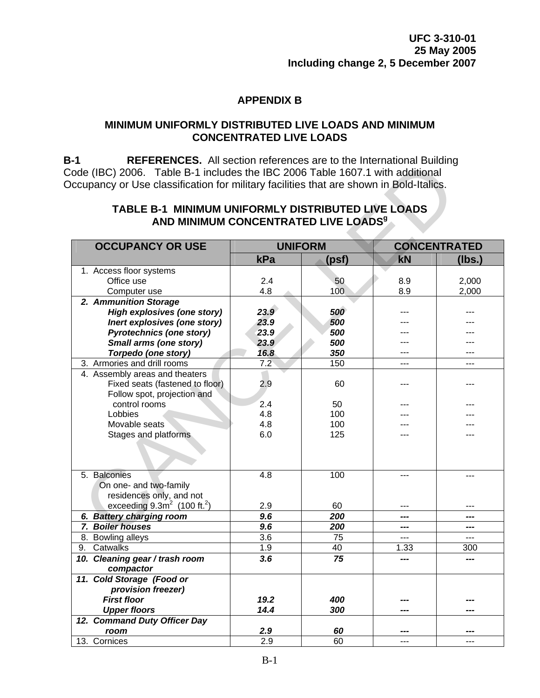## **APPENDIX B**

#### **MINIMUM UNIFORMLY DISTRIBUTED LIVE LOADS AND MINIMUM CONCENTRATED LIVE LOADS**

**B-1 REFERENCES.** All section references are to the International Building Code (IBC) 2006. Table B-1 includes the IBC 2006 Table 1607.1 with additional Occupancy or Use classification for military facilities that are shown in Bold-Italics.

#### **TABLE B-1 MINIMUM UNIFORMLY DISTRIBUTED LIVE LOADS AND MINIMUM CONCENTRATED LIVE LOADS<sup>9</sup>**

|    | <b>REFERENCES.</b> All section relefences are to the international Building<br>ode (IBC) 2006. Table B-1 includes the IBC 2006 Table 1607.1 with additional<br>ccupancy or Use classification for military facilities that are shown in Bold-Italics. |                |       |      |                     |  |  |  |
|----|-------------------------------------------------------------------------------------------------------------------------------------------------------------------------------------------------------------------------------------------------------|----------------|-------|------|---------------------|--|--|--|
|    | TABLE B-1 MINIMUM UNIFORMLY DISTRIBUTED LIVE LOADS<br>AND MINIMUM CONCENTRATED LIVE LOADS <sup>9</sup>                                                                                                                                                |                |       |      |                     |  |  |  |
|    | <b>OCCUPANCY OR USE</b>                                                                                                                                                                                                                               | <b>UNIFORM</b> |       |      | <b>CONCENTRATED</b> |  |  |  |
|    |                                                                                                                                                                                                                                                       | kPa            | (psf) | kN   | (lbs.)              |  |  |  |
|    | 1. Access floor systems                                                                                                                                                                                                                               |                |       |      |                     |  |  |  |
|    | Office use                                                                                                                                                                                                                                            | 2.4            | 50    | 8.9  | 2,000               |  |  |  |
|    | Computer use                                                                                                                                                                                                                                          | 4.8            | 100   | 8.9  | 2,000               |  |  |  |
|    | 2. Ammunition Storage                                                                                                                                                                                                                                 |                |       |      |                     |  |  |  |
|    | <b>High explosives (one story)</b>                                                                                                                                                                                                                    | 23.9           | 500   |      |                     |  |  |  |
|    | Inert explosives (one story)                                                                                                                                                                                                                          | 23.9           | 500   |      |                     |  |  |  |
|    | <b>Pyrotechnics (one story)</b>                                                                                                                                                                                                                       | 23.9           | 500   |      |                     |  |  |  |
|    | <b>Small arms (one story)</b>                                                                                                                                                                                                                         | 23.9           | 500   |      |                     |  |  |  |
|    | Torpedo (one story)                                                                                                                                                                                                                                   | 16.8           | 350   |      | ---                 |  |  |  |
|    | 3. Armories and drill rooms                                                                                                                                                                                                                           | 7.2            | 150   | ---  | ---                 |  |  |  |
|    | 4. Assembly areas and theaters<br>Fixed seats (fastened to floor)                                                                                                                                                                                     | 2.9            | 60    |      |                     |  |  |  |
|    | Follow spot, projection and                                                                                                                                                                                                                           |                |       |      |                     |  |  |  |
|    | control rooms                                                                                                                                                                                                                                         | 2.4            | 50    |      |                     |  |  |  |
|    | Lobbies                                                                                                                                                                                                                                               | 4.8            | 100   |      |                     |  |  |  |
|    | Movable seats                                                                                                                                                                                                                                         | 4.8            | 100   |      |                     |  |  |  |
|    | Stages and platforms                                                                                                                                                                                                                                  | 6.0            | 125   |      |                     |  |  |  |
|    |                                                                                                                                                                                                                                                       |                |       |      |                     |  |  |  |
|    | 5. Balconies                                                                                                                                                                                                                                          | 4.8            | 100   |      |                     |  |  |  |
|    | On one- and two-family                                                                                                                                                                                                                                |                |       |      |                     |  |  |  |
|    | residences only, and not                                                                                                                                                                                                                              |                |       |      |                     |  |  |  |
|    | exceeding $9.3m^2$ (100 ft. <sup>2</sup> )                                                                                                                                                                                                            | 2.9            | 60    | ---  | ---                 |  |  |  |
|    | 6. Battery charging room                                                                                                                                                                                                                              | 9.6            | 200   | ---  | ---                 |  |  |  |
|    | 7. Boiler houses                                                                                                                                                                                                                                      | 9.6            | 200   | ---  | ---                 |  |  |  |
|    | 8. Bowling alleys                                                                                                                                                                                                                                     | 3.6            | 75    | ---  | $\qquad \qquad -$   |  |  |  |
| 9. | Catwalks                                                                                                                                                                                                                                              | 1.9            | 40    | 1.33 | 300                 |  |  |  |
|    | 10. Cleaning gear / trash room<br>compactor                                                                                                                                                                                                           | 3.6            | 75    |      |                     |  |  |  |
|    | 11. Cold Storage (Food or                                                                                                                                                                                                                             |                |       |      |                     |  |  |  |
|    | provision freezer)                                                                                                                                                                                                                                    |                |       |      |                     |  |  |  |
|    | <b>First floor</b>                                                                                                                                                                                                                                    | 19.2           | 400   |      |                     |  |  |  |
|    | <b>Upper floors</b>                                                                                                                                                                                                                                   | 14.4           | 300   |      | ---                 |  |  |  |
|    | 12. Command Duty Officer Day                                                                                                                                                                                                                          |                |       |      |                     |  |  |  |
|    | room                                                                                                                                                                                                                                                  | 2.9            | 60    |      |                     |  |  |  |
|    | 13. Cornices                                                                                                                                                                                                                                          | 2.9            | 60    | ---  | ---                 |  |  |  |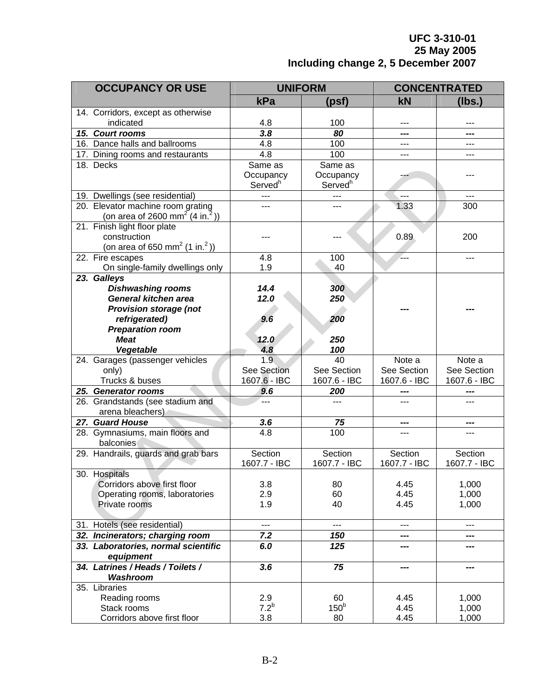| <b>OCCUPANCY OR USE</b><br><b>UNIFORM</b>                                                 | <b>CONCENTRATED</b> |              |  |
|-------------------------------------------------------------------------------------------|---------------------|--------------|--|
| kPa<br>(psf)                                                                              | kN                  | (lbs.)       |  |
| 14. Corridors, except as otherwise                                                        |                     |              |  |
| indicated<br>4.8<br>100                                                                   | ---                 |              |  |
| 3.8<br>15. Court rooms<br>80                                                              | ---                 | ---          |  |
| 16. Dance halls and ballrooms<br>4.8<br>100                                               | ---                 | ---          |  |
| 4.8<br>100<br>17. Dining rooms and restaurants                                            | ---                 | ---          |  |
| 18. Decks<br>Same as<br>Same as                                                           |                     |              |  |
| Occupancy<br>Occupancy<br>Served <sup>h</sup><br>Served <sup>h</sup>                      |                     |              |  |
| 19. Dwellings (see residential)<br>---<br>---                                             | ---                 | ---          |  |
| 20. Elevator machine room grating<br>---                                                  | 1.33                | 300          |  |
| (on area of 2600 mm <sup>2</sup> (4 in. <sup>2</sup> ))                                   |                     |              |  |
| 21. Finish light floor plate                                                              |                     |              |  |
| construction                                                                              | 0.89                | 200          |  |
| (on area of 650 mm <sup>2</sup> (1 in. <sup>2</sup> ))                                    |                     |              |  |
| 4.8<br>100<br>22. Fire escapes                                                            |                     | ---          |  |
| On single-family dwellings only<br>1.9<br>40                                              |                     |              |  |
| 23. Galleys                                                                               |                     |              |  |
| <b>Dishwashing rooms</b><br>14.4<br>300                                                   |                     |              |  |
| 12.0<br>General kitchen area<br>250                                                       |                     |              |  |
| <b>Provision storage (not</b><br>9.6<br>200                                               |                     |              |  |
| refrigerated)<br><b>Preparation room</b>                                                  |                     |              |  |
| <b>Meat</b><br>12.0<br>250                                                                |                     |              |  |
| Vegetable<br>100<br>4.8                                                                   |                     |              |  |
| 1.9<br>$\overline{40}$<br>24. Garages (passenger vehicles                                 | Note a              | Note a       |  |
| See Section<br>See Section<br>only)                                                       | See Section         | See Section  |  |
| Trucks & buses<br>1607.6 - IBC<br>1607.6 - IBC                                            | 1607.6 - IBC        | 1607.6 - IBC |  |
| 25. Generator rooms<br>9.6<br>200                                                         | ---                 | ---          |  |
| 26. Grandstands (see stadium and                                                          |                     |              |  |
| arena bleachers)                                                                          |                     |              |  |
| 27. Guard House<br>3.6<br>75                                                              | ---                 | ---          |  |
| 28. Gymnasiums, main floors and<br>4.8<br>100                                             | ---                 |              |  |
| balconies                                                                                 | Section             | Section      |  |
| 29. Handrails, guards and grab bars<br>Section<br>Section<br>1607.7 - IBC<br>1607.7 - IBC | 1607.7 - IBC        | 1607.7 - IBC |  |
| 30. Hospitals                                                                             |                     |              |  |
| Corridors above first floor<br>3.8<br>80                                                  | 4.45                | 1,000        |  |
| 2.9<br>60<br>Operating rooms, laboratories                                                | 4.45                | 1,000        |  |
| 1.9<br>Private rooms<br>40                                                                | 4.45                | 1,000        |  |
|                                                                                           |                     |              |  |
| 31. Hotels (see residential)<br>$---$<br>$---$                                            | ---                 | ---          |  |
| 32. Incinerators; charging room<br>7.2<br>150                                             | ---                 | ---          |  |
| 33. Laboratories, normal scientific<br>6.0<br>125                                         |                     | ---          |  |
| equipment                                                                                 |                     |              |  |
| 34. Latrines / Heads / Toilets /<br>3.6<br>75                                             | ---                 | ---          |  |
| Washroom                                                                                  |                     |              |  |
| 35. Libraries<br>60<br>Reading rooms<br>2.9                                               | 4.45                | 1,000        |  |
| 7.2 <sup>b</sup><br>150 <sup>b</sup><br>Stack rooms                                       | 4.45                | 1,000        |  |
| Corridors above first floor<br>3.8<br>80                                                  | 4.45                | 1,000        |  |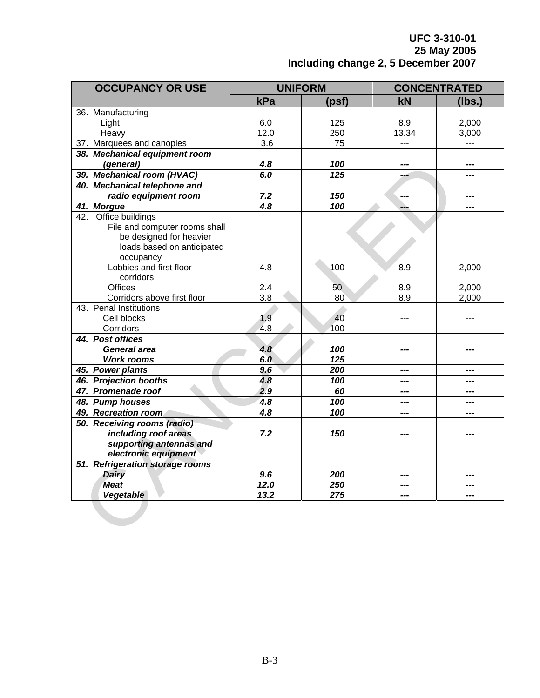| <b>OCCUPANCY OR USE</b>         | <b>UNIFORM</b>   |       | <b>CONCENTRATED</b> |        |  |
|---------------------------------|------------------|-------|---------------------|--------|--|
|                                 | kPa              | (psf) | <b>kN</b>           | (lbs.) |  |
| 36. Manufacturing               |                  |       |                     |        |  |
| Light                           | 6.0              | 125   | 8.9                 | 2,000  |  |
| Heavy                           | 12.0             | 250   | 13.34               | 3,000  |  |
| 37. Marquees and canopies       | $\overline{3.6}$ | 75    | $\overline{a}$      | $---$  |  |
| 38. Mechanical equipment room   |                  |       |                     |        |  |
| (general)                       | 4.8              | 100   |                     |        |  |
| 39. Mechanical room (HVAC)      | 6.0              | 125   |                     |        |  |
| 40. Mechanical telephone and    |                  |       |                     |        |  |
| radio equipment room            | 7.2              | 150   |                     |        |  |
| 41. Morgue                      | $\overline{4.8}$ | 100   |                     |        |  |
| 42. Office buildings            |                  |       |                     |        |  |
| File and computer rooms shall   |                  |       |                     |        |  |
| be designed for heavier         |                  |       |                     |        |  |
| loads based on anticipated      |                  |       |                     |        |  |
| occupancy                       |                  |       |                     |        |  |
| Lobbies and first floor         | 4.8              | 100   | 8.9                 | 2,000  |  |
| corridors                       |                  |       |                     |        |  |
| Offices                         | 2.4              | 50    | 8.9                 | 2,000  |  |
| Corridors above first floor     | 3.8              | 80    | 8.9                 | 2,000  |  |
| 43. Penal Institutions          |                  |       |                     |        |  |
| Cell blocks                     | 1.9              | 40    |                     |        |  |
| Corridors                       | 4.8              | 100   |                     |        |  |
| 44. Post offices                |                  |       |                     |        |  |
| <b>General area</b>             | 4.8              | 100   |                     |        |  |
| <b>Work rooms</b>               | 6.0              | 125   |                     |        |  |
| 45. Power plants                | 9.6              | 200   | ---                 | ---    |  |
| 46. Projection booths           | 4.8              | 100   | ---                 | ---    |  |
| 47. Promenade roof              | 2.9              | 60    | ---                 | ---    |  |
| 48. Pump houses                 | 4.8              | 100   | ---                 | ---    |  |
| 49. Recreation room             | 4.8              | 100   | ---                 | ---    |  |
| 50. Receiving rooms (radio)     |                  |       |                     |        |  |
| including roof areas            | 7.2              | 150   |                     |        |  |
| supporting antennas and         |                  |       |                     |        |  |
| electronic equipment            |                  |       |                     |        |  |
| 51. Refrigeration storage rooms |                  |       |                     |        |  |
| <b>Dairy</b>                    | 9.6              | 200   |                     |        |  |
| <b>Meat</b>                     | 12.0             | 250   |                     |        |  |
| Vegetable                       | 13.2             | 275   |                     |        |  |
|                                 |                  |       |                     |        |  |
|                                 |                  |       |                     |        |  |
|                                 |                  |       |                     |        |  |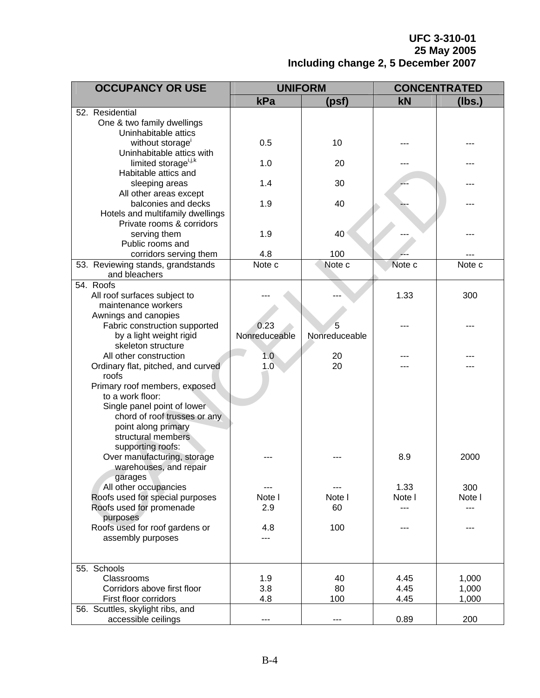| <b>OCCUPANCY OR USE</b>                                     | <b>UNIFORM</b> |               | <b>CONCENTRATED</b> |        |
|-------------------------------------------------------------|----------------|---------------|---------------------|--------|
|                                                             | kPa            | (psf)         | kN                  | (lbs.) |
| 52. Residential                                             |                |               |                     |        |
| One & two family dwellings                                  |                |               |                     |        |
| Uninhabitable attics                                        |                |               |                     |        |
| without storage <sup>1</sup>                                | 0.5            | 10            |                     |        |
| Uninhabitable attics with                                   |                |               |                     |        |
| limited storagei,j,k                                        | 1.0            | 20            |                     |        |
| Habitable attics and                                        |                |               |                     |        |
| sleeping areas                                              | 1.4            | 30            |                     |        |
| All other areas except<br>balconies and decks               | 1.9            | 40            |                     |        |
| Hotels and multifamily dwellings                            |                |               |                     |        |
| Private rooms & corridors                                   |                |               |                     |        |
| serving them                                                | 1.9            | 40            |                     |        |
| Public rooms and                                            |                |               |                     |        |
| corridors serving them                                      | 4.8            | 100           |                     |        |
| 53. Reviewing stands, grandstands                           | Note c         | Note c        | Note c              | Note c |
| and bleachers                                               |                |               |                     |        |
| 54. Roofs                                                   |                |               |                     |        |
| All roof surfaces subject to                                |                |               | 1.33                | 300    |
| maintenance workers                                         |                |               |                     |        |
| Awnings and canopies                                        |                |               |                     |        |
| Fabric construction supported                               | 0.23           | 5             |                     |        |
| by a light weight rigid                                     | Nonreduceable  | Nonreduceable |                     |        |
| skeleton structure                                          |                |               |                     |        |
| All other construction                                      | 1.0            | 20            |                     |        |
| Ordinary flat, pitched, and curved                          | 1.0            | 20            |                     |        |
| roofs                                                       |                |               |                     |        |
| Primary roof members, exposed                               |                |               |                     |        |
| to a work floor:                                            |                |               |                     |        |
| Single panel point of lower<br>chord of roof trusses or any |                |               |                     |        |
| point along primary                                         |                |               |                     |        |
| structural members                                          |                |               |                     |        |
| supporting roofs:                                           |                |               |                     |        |
| Over manufacturing, storage                                 |                |               | 8.9                 | 2000   |
| warehouses, and repair                                      |                |               |                     |        |
| garages                                                     |                |               |                     |        |
| All other occupancies                                       |                |               | 1.33                | 300    |
| Roofs used for special purposes                             | Note I         | Note I        | Note I              | Note I |
| Roofs used for promenade                                    | 2.9            | 60            | ---                 | ---    |
| purposes                                                    |                |               |                     |        |
| Roofs used for roof gardens or                              | 4.8            | 100           |                     |        |
| assembly purposes                                           | ---            |               |                     |        |
|                                                             |                |               |                     |        |
| 55. Schools                                                 |                |               |                     |        |
| Classrooms                                                  | 1.9            | 40            | 4.45                | 1,000  |
| Corridors above first floor                                 | 3.8            | 80            | 4.45                | 1,000  |
| First floor corridors                                       | 4.8            | 100           | 4.45                | 1,000  |
| 56. Scuttles, skylight ribs, and                            |                |               |                     |        |
| accessible ceilings                                         | ---            | ---           | 0.89                | 200    |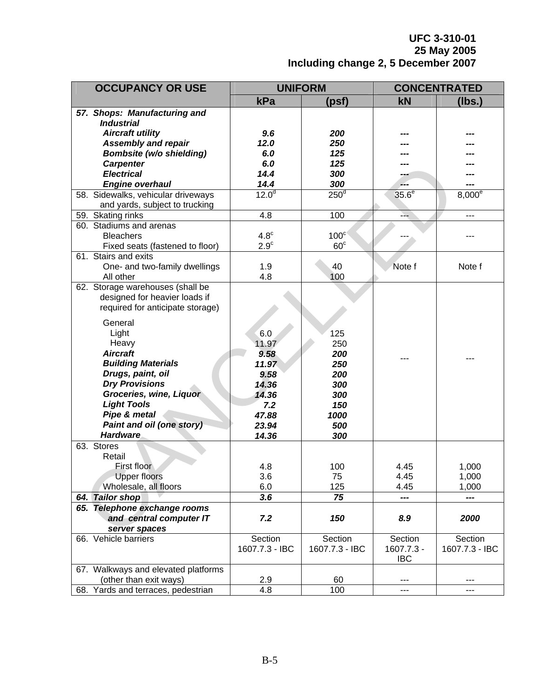| <b>OCCUPANCY OR USE</b>                                              | <b>UNIFORM</b>            |                           | <b>CONCENTRATED</b>   |                           |  |
|----------------------------------------------------------------------|---------------------------|---------------------------|-----------------------|---------------------------|--|
|                                                                      | kPa                       | (psf)                     | kN                    | (lbs.)                    |  |
| 57. Shops: Manufacturing and                                         |                           |                           |                       |                           |  |
| <b>Industrial</b>                                                    |                           |                           |                       |                           |  |
| <b>Aircraft utility</b>                                              | 9.6                       | 200                       |                       |                           |  |
| <b>Assembly and repair</b>                                           | 12.0                      | 250                       |                       |                           |  |
| <b>Bombsite (w/o shielding)</b>                                      | 6.0                       | 125                       |                       |                           |  |
| <b>Carpenter</b>                                                     | 6.0                       | 125                       |                       |                           |  |
| <b>Electrical</b>                                                    | 14.4                      | 300                       |                       |                           |  |
| <b>Engine overhaul</b>                                               | 14.4                      | 300                       |                       |                           |  |
| 58. Sidewalks, vehicular driveways<br>and yards, subject to trucking | 12.0 <sup>d</sup>         | 250 <sup>d</sup>          | 35.6 <sup>e</sup>     | $8,000^e$                 |  |
| 59. Skating rinks                                                    | 4.8                       | 100                       | ∴.                    | ---                       |  |
| 60. Stadiums and arenas                                              |                           |                           |                       |                           |  |
| <b>Bleachers</b>                                                     | $4.8^\circ$               | 100 <sup>c</sup>          |                       |                           |  |
| Fixed seats (fastened to floor)                                      | $2.9^\circ$               | 60 <sup>c</sup>           |                       |                           |  |
| 61. Stairs and exits                                                 |                           |                           |                       |                           |  |
| One- and two-family dwellings                                        | 1.9                       | 40                        | Note f                | Note f                    |  |
| All other                                                            | 4.8                       | 100                       |                       |                           |  |
| 62. Storage warehouses (shall be                                     |                           |                           |                       |                           |  |
| designed for heavier loads if                                        |                           |                           |                       |                           |  |
| required for anticipate storage)                                     |                           |                           |                       |                           |  |
| General                                                              |                           |                           |                       |                           |  |
| Light                                                                | 6.0                       | 125                       |                       |                           |  |
| Heavy                                                                | 11.97                     | 250                       |                       |                           |  |
| <b>Aircraft</b>                                                      | 9.58                      | 200                       |                       |                           |  |
| <b>Building Materials</b>                                            | 11.97                     | 250                       |                       |                           |  |
| Drugs, paint, oil                                                    | 9.58                      | 200                       |                       |                           |  |
| <b>Dry Provisions</b>                                                | 14.36                     | 300                       |                       |                           |  |
| Groceries, wine, Liquor                                              | 14.36                     | 300                       |                       |                           |  |
| <b>Light Tools</b>                                                   | 7.2                       | 150                       |                       |                           |  |
| Pipe & metal                                                         | 47.88                     | 1000                      |                       |                           |  |
| <b>Paint and oil (one story)</b>                                     | 23.94                     | 500                       |                       |                           |  |
| <b>Hardware</b>                                                      | 14.36                     | 300                       |                       |                           |  |
| 63. Stores                                                           |                           |                           |                       |                           |  |
| Retail                                                               |                           |                           |                       |                           |  |
| First floor                                                          | 4.8                       | 100                       | 4.45                  | 1,000                     |  |
| <b>Upper floors</b>                                                  | 3.6                       | 75                        | 4.45                  | 1,000                     |  |
| Wholesale, all floors                                                | 6.0                       | 125                       | 4.45                  | 1,000                     |  |
| 64. Tailor shop                                                      | 3.6                       | 75                        | ---                   | ---                       |  |
| 65. Telephone exchange rooms                                         |                           |                           |                       |                           |  |
| and central computer IT                                              | 7.2                       | 150                       | 8.9                   | 2000                      |  |
| server spaces                                                        |                           |                           |                       |                           |  |
| 66. Vehicle barriers                                                 | Section<br>1607.7.3 - IBC | Section<br>1607.7.3 - IBC | Section<br>1607.7.3 - | Section<br>1607.7.3 - IBC |  |
|                                                                      |                           |                           | <b>IBC</b>            |                           |  |
| 67. Walkways and elevated platforms                                  |                           |                           |                       |                           |  |
| (other than exit ways)                                               | 2.9                       | 60                        |                       |                           |  |
| 68. Yards and terraces, pedestrian                                   | 4.8                       | 100                       | ---                   | ---                       |  |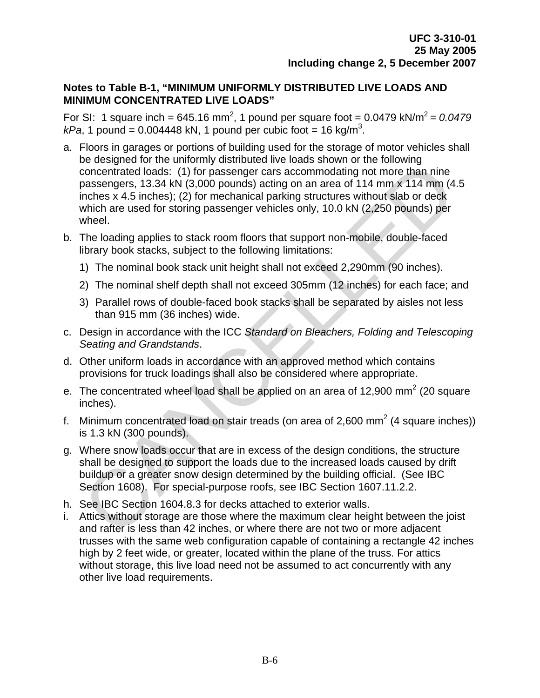#### **Notes to Table B-1, "MINIMUM UNIFORMLY DISTRIBUTED LIVE LOADS AND MINIMUM CONCENTRATED LIVE LOADS"**

For SI: 1 square inch =  $645.16$  mm<sup>2</sup>, 1 pound per square foot =  $0.0479$  kN/m<sup>2</sup> =  $0.0479$  $kPa$ , 1 pound = 0.004448 kN, 1 pound per cubic foot = 16 kg/m<sup>3</sup>.

- a. Floors in garages or portions of building used for the storage of motor vehicles shall be designed for the uniformly distributed live loads shown or the following concentrated loads: (1) for passenger cars accommodating not more than nine passengers, 13.34 kN (3,000 pounds) acting on an area of 114 mm x 114 mm (4.5 inches x 4.5 inches); (2) for mechanical parking structures without slab or deck which are used for storing passenger vehicles only, 10.0 kN (2,250 pounds) per wheel. be designed of the diminimity dismibuted the deal of the following<br>concentrated loads: (1) for passenger cars accommodating not more than nine<br>passengers, 13.34 kN (3,000 pounds) acting in on a race of 114 mm x 114 mm (4)<br>
- b. The loading applies to stack room floors that support non-mobile, double-faced library book stacks, subject to the following limitations:
	- 1) The nominal book stack unit height shall not exceed 2,290mm (90 inches).
	- 2) The nominal shelf depth shall not exceed 305mm (12 inches) for each face; and
	- 3) Parallel rows of double-faced book stacks shall be separated by aisles not less than 915 mm (36 inches) wide.
- c. Design in accordance with the ICC *Standard on Bleachers, Folding and Telescoping Seating and Grandstands*.
- d. Other uniform loads in accordance with an approved method which contains provisions for truck loadings shall also be considered where appropriate.
- e. The concentrated wheel load shall be applied on an area of 12,900 mm<sup>2</sup> (20 square inches).
- f. Minimum concentrated load on stair treads (on area of 2,600 mm<sup>2</sup> (4 square inches)) is 1.3 kN (300 pounds).
- g. Where snow loads occur that are in excess of the design conditions, the structure shall be designed to support the loads due to the increased loads caused by drift buildup or a greater snow design determined by the building official. (See IBC Section 1608). For special-purpose roofs, see IBC Section 1607.11.2.2.
- h. See IBC Section 1604.8.3 for decks attached to exterior walls.
- i. Attics without storage are those where the maximum clear height between the joist and rafter is less than 42 inches, or where there are not two or more adjacent trusses with the same web configuration capable of containing a rectangle 42 inches high by 2 feet wide, or greater, located within the plane of the truss. For attics without storage, this live load need not be assumed to act concurrently with any other live load requirements.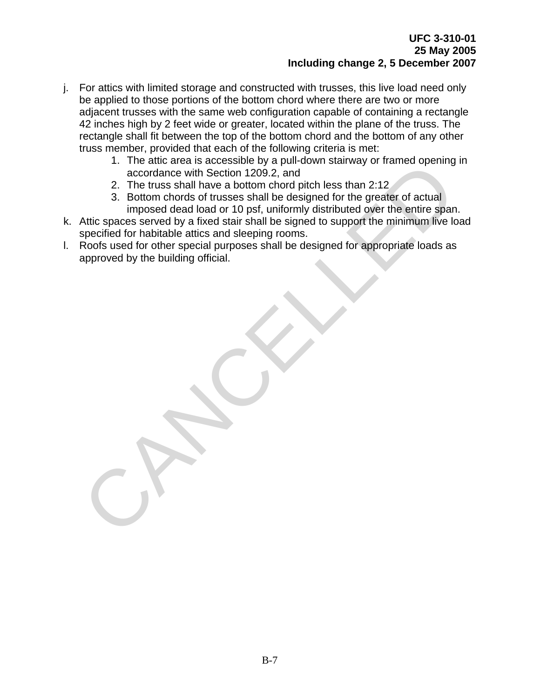- j. For attics with limited storage and constructed with trusses, this live load need only be applied to those portions of the bottom chord where there are two or more adjacent trusses with the same web configuration capable of containing a rectangle 42 inches high by 2 feet wide or greater, located within the plane of the truss. The rectangle shall fit between the top of the bottom chord and the bottom of any other truss member, provided that each of the following criteria is met:
	- 1. The attic area is accessible by a pull-down stairway or framed opening in accordance with Section 1209.2, and
	- 2. The truss shall have a bottom chord pitch less than 2:12
	- 3. Bottom chords of trusses shall be designed for the greater of actual imposed dead load or 10 psf, uniformly distributed over the entire span.
- k. Attic spaces served by a fixed stair shall be signed to support the minimum live load specified for habitable attics and sleeping rooms.
- l. Roofs used for other special purposes shall be designed for appropriate loads as approved by the building official. 1. In each care as accessione by a pull-down statiwal of irrand opening<br>accordance with Section 1209.2, and<br>2. The truss shall have a bottom chord pich less than 2:12<br>3. Bottom chords of trusses hall be designed for the gr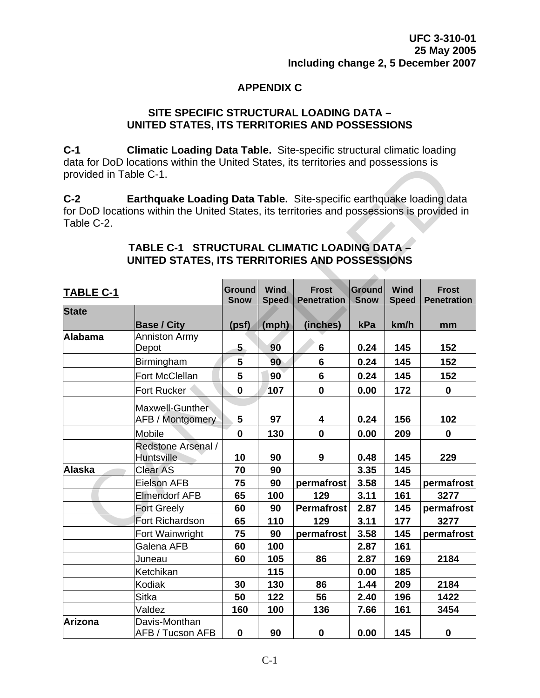## **APPENDIX C**

#### **SITE SPECIFIC STRUCTURAL LOADING DATA – UNITED STATES, ITS TERRITORIES AND POSSESSIONS**

**C-1 Climatic Loading Data Table.** Site-specific structural climatic loading data for DoD locations within the United States, its territories and possessions is provided in Table C-1.

| provided in Table C-1. | data for DoD locations within the United States, its territories and possessions is                                                                                       |                              |                      |                                    |                              |                      |                                    |
|------------------------|---------------------------------------------------------------------------------------------------------------------------------------------------------------------------|------------------------------|----------------------|------------------------------------|------------------------------|----------------------|------------------------------------|
| $C-2$<br>Table C-2.    | <b>Earthquake Loading Data Table.</b> Site-specific earthquake loading data<br>for DoD locations within the United States, its territories and possessions is provided in |                              |                      |                                    |                              |                      |                                    |
|                        | TABLE C-1 STRUCTURAL CLIMATIC LOADING DATA -<br>UNITED STATES, ITS TERRITORIES AND POSSESSIONS                                                                            |                              |                      |                                    |                              |                      |                                    |
| <b>TABLE C-1</b>       |                                                                                                                                                                           | <b>Ground</b><br><b>Snow</b> | Wind<br><b>Speed</b> | <b>Frost</b><br><b>Penetration</b> | <b>Ground</b><br><b>Snow</b> | Wind<br><b>Speed</b> | <b>Frost</b><br><b>Penetration</b> |
| <b>State</b>           | <b>Base / City</b>                                                                                                                                                        | (psf)                        | (mph)                | (inches)                           | kPa                          | km/h                 | mm                                 |
| Alabama                | <b>Anniston Army</b><br>Depot                                                                                                                                             | 5                            | 90                   | 6                                  | 0.24                         | 145                  | 152                                |
|                        | Birmingham                                                                                                                                                                | 5                            | 90                   | 6                                  | 0.24                         | 145                  | 152                                |
|                        | Fort McClellan                                                                                                                                                            | 5                            | 90                   | 6                                  | 0.24                         | 145                  | 152                                |
|                        | Fort Rucker                                                                                                                                                               | $\mathbf 0$                  | 107                  | $\mathbf 0$                        | 0.00                         | 172                  | $\mathbf 0$                        |
|                        | Maxwell-Gunther<br>AFB / Montgomery                                                                                                                                       | 5                            | 97                   | 4                                  | 0.24                         | 156                  | 102                                |
|                        | <b>Mobile</b>                                                                                                                                                             | $\mathbf 0$                  | 130                  | $\mathbf{0}$                       | 0.00                         | 209                  | $\mathbf 0$                        |
|                        | Redstone Arsenal /<br><b>Huntsville</b>                                                                                                                                   | 10                           | 90                   | $\boldsymbol{9}$                   | 0.48                         | 145                  | 229                                |
| Alaska                 | <b>Clear AS</b>                                                                                                                                                           | 70                           | 90                   |                                    | 3.35                         | 145                  |                                    |
|                        | <b>Eielson AFB</b>                                                                                                                                                        | 75                           | 90                   | permafrost                         | 3.58                         | 145                  | permafrost                         |
|                        | <b>Elmendorf AFB</b>                                                                                                                                                      | 65                           | 100                  | 129                                | 3.11                         | 161                  | 3277                               |
|                        | <b>Fort Greely</b>                                                                                                                                                        | 60                           | 90                   | <b>Permafrost</b>                  | 2.87                         | 145                  | permafrost                         |
|                        | Fort Richardson                                                                                                                                                           | 65                           | 110                  | 129                                | 3.11                         | 177                  | 3277                               |
|                        | Fort Wainwright                                                                                                                                                           | 75                           | 90                   | permafrost                         | 3.58                         | 145                  | permafrost                         |
|                        | Galena AFB                                                                                                                                                                | 60                           | 100                  |                                    | 2.87                         | 161                  |                                    |
|                        | Juneau                                                                                                                                                                    | 60                           | 105                  | 86                                 | 2.87                         | 169                  | 2184                               |
|                        | Ketchikan                                                                                                                                                                 |                              | 115                  |                                    | 0.00                         | 185                  |                                    |
|                        | Kodiak                                                                                                                                                                    | 30                           | 130                  | 86                                 | 1.44                         | 209                  | 2184                               |
|                        | Sitka                                                                                                                                                                     | 50                           | 122                  | 56                                 | 2.40                         | 196                  | 1422                               |
|                        | Valdez                                                                                                                                                                    | 160                          | 100                  | 136                                | 7.66                         | 161                  | 3454                               |
| Arizona                | Davis-Monthan<br><b>AFB / Tucson AFB</b>                                                                                                                                  | $\mathbf 0$                  | 90                   | $\mathbf 0$                        | 0.00                         | 145                  | $\mathbf 0$                        |

#### **TABLE C-1 STRUCTURAL CLIMATIC LOADING DATA – UNITED STATES, ITS TERRITORIES AND POSSESSIONS**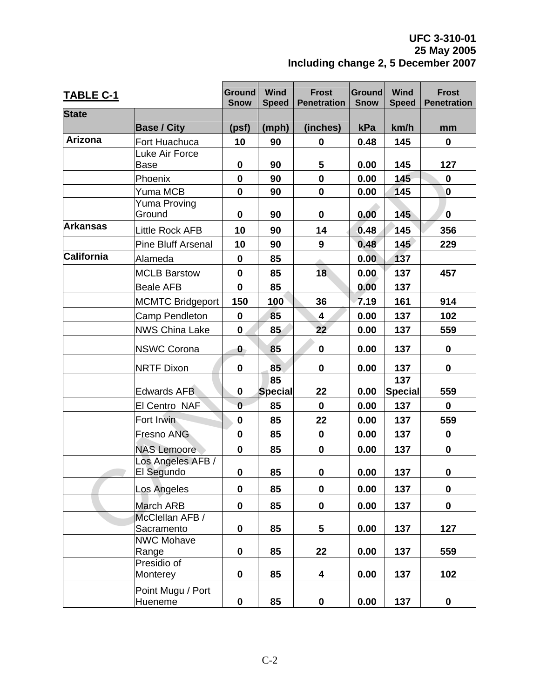| <b>TABLE C-1</b>  |                                 | <b>Ground</b><br><b>Snow</b> | <b>Wind</b><br><b>Speed</b> | <b>Frost</b><br><b>Penetration</b> | <b>Ground</b><br><b>Snow</b> | <b>Wind</b><br><b>Speed</b> | <b>Frost</b><br><b>Penetration</b> |
|-------------------|---------------------------------|------------------------------|-----------------------------|------------------------------------|------------------------------|-----------------------------|------------------------------------|
| <b>State</b>      | <b>Base / City</b>              | (psf)                        | (mph)                       | (inches)                           | kPa                          | km/h                        | mm                                 |
| <b>Arizona</b>    | Fort Huachuca                   | 10                           | 90                          | $\bf{0}$                           | 0.48                         | 145                         | $\mathbf 0$                        |
|                   | Luke Air Force<br>Base          | $\bf{0}$                     | 90                          | 5                                  | 0.00                         | 145                         | 127                                |
|                   | Phoenix                         | $\mathbf 0$                  | 90                          | $\mathbf 0$                        | 0.00                         | 145                         | $\mathbf 0$                        |
|                   | Yuma MCB                        | $\mathbf 0$                  | 90                          | $\mathbf 0$                        | 0.00                         | 145                         | 0                                  |
|                   | Yuma Proving<br>Ground          | $\mathbf 0$                  | 90                          | $\bf{0}$                           | 0.00                         | 145                         | $\mathbf{0}$                       |
| <b>Arkansas</b>   | <b>Little Rock AFB</b>          | 10                           | 90                          | 14                                 | 0.48                         | 145                         | 356                                |
|                   | <b>Pine Bluff Arsenal</b>       | 10                           | 90                          | $\boldsymbol{9}$                   | 0.48                         | 145                         | 229                                |
| <b>California</b> | Alameda                         | $\mathbf 0$                  | 85                          |                                    | 0.00                         | 137                         |                                    |
|                   | <b>MCLB Barstow</b>             | $\mathbf 0$                  | 85                          | 18                                 | 0.00                         | 137                         | 457                                |
|                   | <b>Beale AFB</b>                | $\mathbf 0$                  | 85                          |                                    | 0.00                         | 137                         |                                    |
|                   | <b>MCMTC Bridgeport</b>         | 150                          | 100                         | 36                                 | 7.19                         | 161                         | 914                                |
|                   | Camp Pendleton                  | $\mathbf 0$                  | 85                          | $\boldsymbol{4}$                   | 0.00                         | 137                         | 102                                |
|                   | <b>NWS China Lake</b>           | $\mathbf{0}$                 | 85                          | 22                                 | 0.00                         | 137                         | 559                                |
|                   | <b>NSWC Corona</b>              | $\mathbf{0}$                 | 85                          | $\mathbf 0$                        | 0.00                         | 137                         | $\mathbf 0$                        |
|                   | <b>NRTF Dixon</b>               | $\mathbf 0$                  | 85                          | $\bf{0}$                           | 0.00                         | 137                         | $\mathbf 0$                        |
|                   | Edwards AFB                     | $\mathbf 0$                  | 85<br><b>Special</b>        | 22                                 | 0.00                         | 137<br><b>Special</b>       | 559                                |
|                   | El Centro NAF                   | $\bf{0}$                     | 85                          | $\mathbf 0$                        | 0.00                         | 137                         | $\mathbf 0$                        |
|                   | Fort Irwin                      | $\bf{0}$                     | 85                          | 22                                 | 0.00                         | 137                         | 559                                |
|                   | <b>Fresno ANG</b>               | $\mathbf 0$                  | 85                          | $\bf{0}$                           | 0.00                         | 137                         | $\mathbf 0$                        |
|                   | <b>NAS Lemoore</b>              | $\mathbf 0$                  | 85                          | $\mathbf 0$                        | 0.00                         | 137                         | $\mathbf 0$                        |
|                   | Los Angeles AFB /<br>El Segundo | 0                            | 85                          | $\bf{0}$                           | 0.00                         | 137                         | $\bf{0}$                           |
|                   | Los Angeles                     | 0                            | 85                          | $\pmb{0}$                          | 0.00                         | 137                         | $\mathbf 0$                        |
|                   | March ARB                       | $\mathbf 0$                  | 85                          | $\mathbf 0$                        | 0.00                         | 137                         | $\mathbf 0$                        |
|                   | McClellan AFB /<br>Sacramento   | $\pmb{0}$                    | 85                          | 5                                  | 0.00                         | 137                         | 127                                |
|                   | <b>NWC Mohave</b><br>Range      | $\mathbf 0$                  | 85                          | 22                                 | 0.00                         | 137                         | 559                                |
|                   | Presidio of<br>Monterey         | 0                            | 85                          | 4                                  | 0.00                         | 137                         | 102                                |
|                   | Point Mugu / Port<br>Hueneme    | $\pmb{0}$                    | 85                          | $\mathbf 0$                        | 0.00                         | 137                         | $\mathbf 0$                        |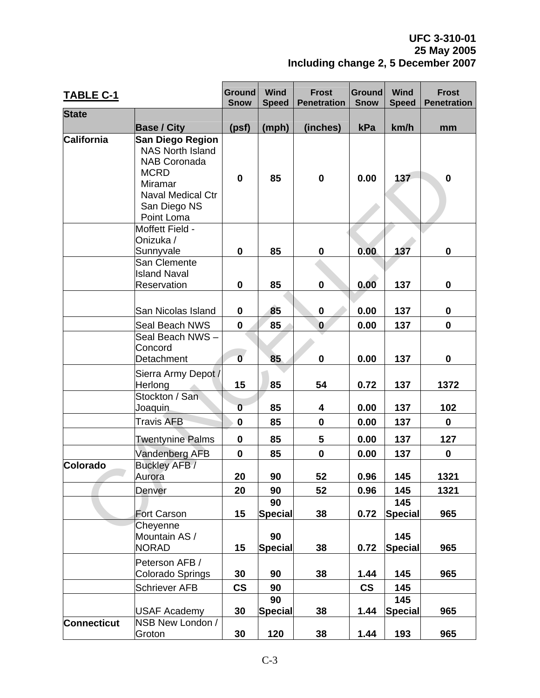| <b>TABLE C-1</b>   |                                                                                                                                                                      | <b>Ground</b><br><b>Snow</b> | <b>Wind</b><br><b>Speed</b> | <b>Frost</b><br><b>Penetration</b> | <b>Ground</b><br><b>Snow</b> | <b>Wind</b><br><b>Speed</b>  | <b>Frost</b><br><b>Penetration</b> |
|--------------------|----------------------------------------------------------------------------------------------------------------------------------------------------------------------|------------------------------|-----------------------------|------------------------------------|------------------------------|------------------------------|------------------------------------|
| <b>State</b>       |                                                                                                                                                                      |                              |                             |                                    |                              |                              |                                    |
|                    | <b>Base / City</b>                                                                                                                                                   | (psf)                        | (mph)                       | (inches)                           | kPa                          | km/h                         | mm                                 |
| California         | <b>San Diego Region</b><br><b>NAS North Island</b><br><b>NAB Coronada</b><br><b>MCRD</b><br><b>Miramar</b><br><b>Naval Medical Ctr</b><br>San Diego NS<br>Point Loma | $\mathbf 0$                  | 85                          | $\mathbf 0$                        | 0.00                         | 137                          | $\mathbf 0$                        |
|                    | Moffett Field -<br>Onizuka /<br>Sunnyvale                                                                                                                            | 0                            | 85                          | $\bf{0}$                           | 0.00                         | 137                          | $\mathbf 0$                        |
|                    | San Clemente<br><b>Island Naval</b><br>Reservation                                                                                                                   | 0                            | 85                          | $\mathbf 0$                        | 0.00                         | 137                          | $\mathbf 0$                        |
|                    | San Nicolas Island                                                                                                                                                   | 0                            | 85                          | $\mathbf 0$                        | 0.00                         | 137                          | $\mathbf 0$                        |
|                    | Seal Beach NWS<br>Seal Beach NWS -<br>Concord<br>Detachment                                                                                                          | 0<br>$\overline{\mathbf{0}}$ | 85<br>85                    | $\mathbf{0}$<br>$\mathbf 0$        | 0.00<br>0.00                 | 137<br>137                   | $\mathbf 0$<br>$\mathbf 0$         |
|                    | Sierra Army Depot /<br>Herlong                                                                                                                                       | 15                           | 85                          | 54                                 | 0.72                         | 137                          | 1372                               |
|                    | Stockton / San<br>Joaquin                                                                                                                                            | $\mathbf 0$                  | 85                          | $\overline{\mathbf{4}}$            | 0.00                         | 137                          | 102                                |
|                    | <b>Travis AFB</b>                                                                                                                                                    | $\mathbf 0$                  | 85                          | $\mathbf 0$                        | 0.00                         | 137                          | $\mathbf 0$                        |
|                    | <b>Twentynine Palms</b>                                                                                                                                              | $\mathbf 0$                  | 85                          | 5                                  | 0.00                         | 137                          | 127                                |
| <b>Colorado</b>    | Vandenberg AFB<br><b>Buckley AFB /</b><br>Aurora                                                                                                                     | $\mathbf 0$<br>20            | 85<br>90                    | $\mathbf 0$<br>52                  | 0.00<br>0.96                 | 137<br>145                   | $\mathbf 0$<br>1321                |
|                    | Denver<br>Fort Carson                                                                                                                                                | 20<br>15                     | 90<br>90<br>Special         | 52<br>38                           | 0.96<br>0.72                 | 145<br>145<br><b>Special</b> | 1321<br>965                        |
|                    | Cheyenne<br>Mountain AS /<br><b>NORAD</b>                                                                                                                            | 15                           | 90<br>Special               | 38                                 | 0.72                         | 145<br><b>Special</b>        | 965                                |
|                    | Peterson AFB /<br>Colorado Springs                                                                                                                                   | 30                           | 90                          | 38                                 | 1.44                         | 145                          | 965                                |
|                    | <b>Schriever AFB</b>                                                                                                                                                 | $\mathsf{CS}\phantom{0}$     | 90<br>90                    |                                    | $\mathsf{CS}\phantom{0}$     | 145<br>145                   |                                    |
| <b>Connecticut</b> | <b>USAF Academy</b><br>NSB New London /<br>Groton                                                                                                                    | 30<br>30                     | Special<br>120              | 38<br>38                           | 1.44<br>1.44                 | <b>Special</b><br>193        | 965<br>965                         |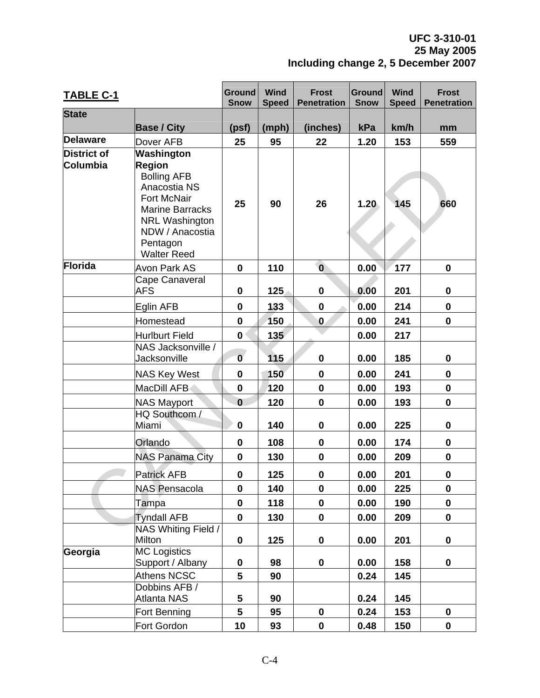| <b>TABLE C-1</b>               |                                                                                                                                                                                          | <b>Ground</b><br><b>Snow</b> | <b>Wind</b><br><b>Speed</b> | <b>Frost</b><br><b>Penetration</b> | <b>Ground</b><br><b>Snow</b> | <b>Wind</b><br><b>Speed</b> | <b>Frost</b><br><b>Penetration</b> |
|--------------------------------|------------------------------------------------------------------------------------------------------------------------------------------------------------------------------------------|------------------------------|-----------------------------|------------------------------------|------------------------------|-----------------------------|------------------------------------|
| <b>State</b>                   |                                                                                                                                                                                          |                              |                             |                                    |                              |                             |                                    |
|                                | <b>Base / City</b>                                                                                                                                                                       | (psf)                        | (mph)                       | (inches)                           | kPa                          | km/h                        | mm                                 |
| <b>Delaware</b>                | Dover AFB                                                                                                                                                                                | 25                           | 95                          | 22                                 | 1.20                         | 153                         | 559                                |
| <b>District of</b><br>Columbia | Washington<br><b>Region</b><br><b>Bolling AFB</b><br>Anacostia NS<br>Fort McNair<br><b>Marine Barracks</b><br><b>NRL Washington</b><br>NDW / Anacostia<br>Pentagon<br><b>Walter Reed</b> | 25                           | 90                          | 26                                 | 1.20                         | 145                         | 660                                |
| Florida                        | <b>Avon Park AS</b>                                                                                                                                                                      | $\mathbf 0$                  | 110                         | $\mathbf 0$                        | 0.00                         | 177                         | $\mathbf 0$                        |
|                                | Cape Canaveral<br>AFS                                                                                                                                                                    | $\mathbf 0$                  | 125                         | $\bf{0}$                           | 0.00                         | 201                         | $\mathbf 0$                        |
|                                | Eglin AFB                                                                                                                                                                                | $\mathbf 0$                  | 133                         | $\bf{0}$                           | 0.00                         | 214                         | $\mathbf 0$                        |
|                                | Homestead                                                                                                                                                                                | $\mathbf 0$                  | 150                         | $\mathbf 0$                        | 0.00                         | 241                         | $\mathbf 0$                        |
|                                | <b>Hurlburt Field</b>                                                                                                                                                                    | $\mathbf{0}$                 | 135                         |                                    | 0.00                         | 217                         |                                    |
|                                | NAS Jacksonville /<br><b>Jacksonville</b>                                                                                                                                                | $\mathbf 0$                  | 115                         | $\bf{0}$                           | 0.00                         | 185                         | $\mathbf 0$                        |
|                                | <b>NAS Key West</b>                                                                                                                                                                      | $\mathbf 0$                  | 150                         | $\bf{0}$                           | 0.00                         | 241                         | $\mathbf 0$                        |
|                                | MacDill AFB                                                                                                                                                                              | $\mathbf 0$                  | 120                         | $\bf{0}$                           | 0.00                         | 193                         | $\mathbf 0$                        |
|                                | <b>NAS Mayport</b>                                                                                                                                                                       | $\bf{0}$                     | 120                         | $\bf{0}$                           | 0.00                         | 193                         | $\mathbf 0$                        |
|                                | HQ Southcom /<br>Miami                                                                                                                                                                   | $\mathbf 0$                  | 140                         | $\bf{0}$                           | 0.00                         | 225                         | $\mathbf 0$                        |
|                                | Orlando                                                                                                                                                                                  | $\mathbf 0$                  | 108                         | $\bf{0}$                           | 0.00                         | 174                         | $\mathbf 0$                        |
|                                | <b>NAS Panama City</b>                                                                                                                                                                   | $\bf{0}$                     | 130                         | $\bf{0}$                           | 0.00                         | 209                         | $\mathbf 0$                        |
|                                | <b>Patrick AFB</b>                                                                                                                                                                       | $\pmb{0}$                    | 125                         | $\mathbf 0$                        | 0.00                         | <b>201</b>                  | $\mathbf 0$                        |
|                                | <b>NAS Pensacola</b>                                                                                                                                                                     | $\mathbf 0$                  | 140                         | $\mathbf 0$                        | 0.00                         | 225                         | $\mathbf 0$                        |
|                                | Tampa                                                                                                                                                                                    | $\pmb{0}$                    | 118                         | $\mathbf 0$                        | 0.00                         | 190                         | $\mathbf 0$                        |
|                                | <b>Tyndall AFB</b>                                                                                                                                                                       | $\mathbf 0$                  | 130                         | $\mathbf 0$                        | 0.00                         | 209                         | $\mathbf 0$                        |
|                                | NAS Whiting Field /<br><b>Milton</b>                                                                                                                                                     | $\mathbf 0$                  | 125                         | $\mathbf 0$                        | 0.00                         | 201                         | $\mathbf 0$                        |
| Georgia                        | <b>MC</b> Logistics<br>Support / Albany                                                                                                                                                  | 0                            | 98                          | $\mathbf 0$                        | 0.00                         | 158                         | $\mathbf 0$                        |
|                                | <b>Athens NCSC</b>                                                                                                                                                                       | 5                            | 90                          |                                    | 0.24                         | 145                         |                                    |
|                                | Dobbins AFB /<br>Atlanta NAS                                                                                                                                                             | 5                            | 90                          |                                    | 0.24                         | 145                         |                                    |
|                                | Fort Benning                                                                                                                                                                             | 5                            | 95                          | $\pmb{0}$                          | 0.24                         | 153                         | $\mathbf 0$                        |
|                                | Fort Gordon                                                                                                                                                                              | 10                           | 93                          | $\mathbf 0$                        | 0.48                         | 150                         | $\mathbf 0$                        |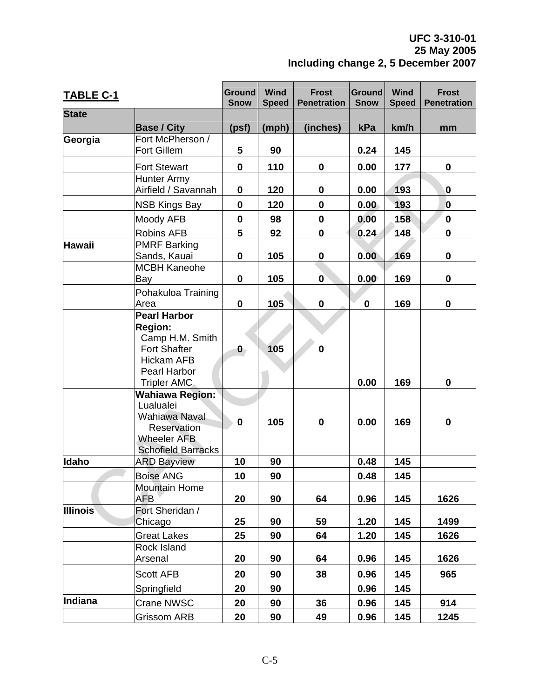| <b>TABLE C-1</b> |                                                                                                                                                   | <b>Ground</b><br><b>Snow</b> | <b>Wind</b><br><b>Speed</b> | <b>Frost</b><br><b>Penetration</b> | <b>Ground</b><br><b>Snow</b> | <b>Wind</b><br><b>Speed</b> | <b>Frost</b><br><b>Penetration</b> |
|------------------|---------------------------------------------------------------------------------------------------------------------------------------------------|------------------------------|-----------------------------|------------------------------------|------------------------------|-----------------------------|------------------------------------|
| <b>State</b>     | <b>Base / City</b>                                                                                                                                | (psf)                        | (mph)                       | (inches)                           | kPa                          | km/h                        | mm                                 |
| Georgia          | Fort McPherson /<br>Fort Gillem                                                                                                                   | 5                            | 90                          |                                    | 0.24                         | 145                         |                                    |
|                  | <b>Fort Stewart</b>                                                                                                                               | $\mathbf 0$                  | 110                         | $\mathbf 0$                        | 0.00                         | 177                         | $\mathbf 0$                        |
|                  | <b>Hunter Army</b><br>Airfield / Savannah                                                                                                         | $\mathbf 0$                  | 120                         | $\bf{0}$                           | 0.00                         | 193                         | $\mathbf{0}$                       |
|                  | <b>NSB Kings Bay</b>                                                                                                                              | $\mathbf 0$                  | 120                         | $\mathbf 0$                        | 0.00                         | 193                         | $\mathbf 0$                        |
|                  | Moody AFB                                                                                                                                         | $\mathbf 0$                  | 98                          | $\mathbf 0$                        | 0.00                         | 158                         | $\mathbf 0$                        |
|                  | <b>Robins AFB</b>                                                                                                                                 | 5                            | 92                          | $\bf{0}$                           | 0.24                         | 148                         | $\mathbf 0$                        |
| <b>Hawaii</b>    | <b>PMRF Barking</b><br>Sands, Kauai                                                                                                               | $\mathbf 0$                  | 105                         | $\boldsymbol{0}$                   | 0.00                         | 169                         | $\mathbf 0$                        |
|                  | <b>MCBH Kaneohe</b><br>Bay                                                                                                                        | $\mathbf 0$                  | 105                         | $\mathbf{0}$                       | 0.00                         | 169                         | $\mathbf 0$                        |
|                  | Pohakuloa Training<br>Area                                                                                                                        | $\mathbf 0$                  | 105                         | $\mathbf 0$                        | $\mathbf 0$                  | 169                         | $\mathbf 0$                        |
|                  | <b>Pearl Harbor</b><br><b>Region:</b><br>Camp H.M. Smith<br><b>Fort Shafter</b><br><b>Hickam AFB</b><br><b>Pearl Harbor</b><br><b>Tripler AMC</b> | $\mathbf{0}$                 | 105                         | $\bf{0}$                           | 0.00                         | 169                         | $\mathbf 0$                        |
|                  | <b>Wahiawa Region:</b><br>Lualualei<br>Wahiawa Naval<br>Reservation<br><b>Wheeler AFB</b><br><b>Schofield Barracks</b>                            | $\mathbf 0$                  | 105                         | $\bf{0}$                           | 0.00                         | 169                         | $\bf{0}$                           |
| <b>Idaho</b>     | <b>ARD Bayview</b>                                                                                                                                | 10                           | 90                          |                                    | 0.48                         | 145                         |                                    |
|                  | <b>Boise ANG</b>                                                                                                                                  | 10                           | 90                          |                                    | 0.48                         | 145                         |                                    |
|                  | <b>Mountain Home</b><br>AFB                                                                                                                       | 20                           | 90                          | 64                                 | 0.96                         | 145                         | 1626                               |
| <b>Illinois</b>  | Fort Sheridan /<br>Chicago                                                                                                                        | 25                           | 90                          | 59                                 | 1.20                         | 145                         | 1499                               |
|                  | <b>Great Lakes</b>                                                                                                                                | 25                           | 90                          | 64                                 | 1.20                         | 145                         | 1626                               |
|                  | Rock Island<br>Arsenal                                                                                                                            | 20                           | 90                          | 64                                 | 0.96                         | 145                         | 1626                               |
|                  | <b>Scott AFB</b>                                                                                                                                  | 20                           | 90                          | 38                                 | 0.96                         | 145                         | 965                                |
|                  | Springfield                                                                                                                                       | 20                           | 90                          |                                    | 0.96                         | 145                         |                                    |
| Indiana          | <b>Crane NWSC</b>                                                                                                                                 | 20                           | 90                          | 36                                 | 0.96                         | 145                         | 914                                |
|                  | <b>Grissom ARB</b>                                                                                                                                | 20                           | 90                          | 49                                 | 0.96                         | 145                         | 1245                               |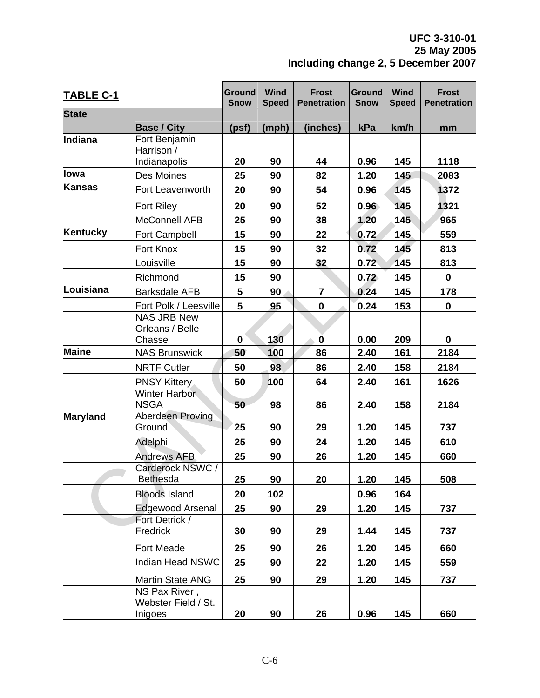| <b>TABLE C-1</b> |                                                 | <b>Ground</b><br><b>Snow</b> | <b>Wind</b><br><b>Speed</b> | <b>Frost</b><br><b>Penetration</b> | <b>Ground</b><br><b>Snow</b> | <b>Wind</b><br><b>Speed</b> | <b>Frost</b><br><b>Penetration</b> |
|------------------|-------------------------------------------------|------------------------------|-----------------------------|------------------------------------|------------------------------|-----------------------------|------------------------------------|
| <b>State</b>     |                                                 |                              |                             |                                    |                              |                             |                                    |
|                  | <b>Base / City</b>                              | (psf)                        | (mph)                       | (inches)                           | kPa                          | km/h                        | mm                                 |
| Indiana          | Fort Benjamin<br>Harrison /<br>Indianapolis     | 20                           | 90                          | 44                                 | 0.96                         | 145                         | 1118                               |
| lowa             | <b>Des Moines</b>                               | 25                           | 90                          | 82                                 | 1.20                         | 145                         | 2083                               |
| <b>Kansas</b>    |                                                 | 20                           | 90                          | 54                                 | 0.96                         | 145                         | 1372                               |
|                  | Fort Leavenworth                                |                              |                             |                                    |                              |                             |                                    |
|                  | Fort Riley                                      | 20                           | 90                          | 52                                 | 0.96                         | 145                         | 1321                               |
|                  | McConnell AFB                                   | 25                           | 90                          | 38                                 | 1.20                         | 145                         | 965                                |
| Kentucky         | <b>Fort Campbell</b>                            | 15                           | 90                          | 22                                 | 0.72                         | 145                         | 559                                |
|                  | Fort Knox                                       | 15                           | 90                          | 32                                 | 0.72                         | 145                         | 813                                |
|                  | Louisville                                      | 15                           | 90                          | 32                                 | 0.72                         | 145                         | 813                                |
|                  | Richmond                                        | 15                           | 90                          |                                    | 0.72                         | 145                         | $\mathbf 0$                        |
| Louisiana        | <b>Barksdale AFB</b>                            | 5                            | 90                          | $\overline{7}$                     | 0.24                         | 145                         | 178                                |
|                  | Fort Polk / Leesville                           | 5                            | 95                          | $\mathbf 0$                        | 0.24                         | 153                         | $\mathbf 0$                        |
|                  | <b>NAS JRB New</b><br>Orleans / Belle           |                              |                             |                                    |                              |                             |                                    |
| <b>Maine</b>     | Chasse<br><b>NAS Brunswick</b>                  | 0<br>50                      | 130<br>100                  | $\bf{0}$<br>86                     | 0.00<br>2.40                 | 209<br>161                  | 0<br>2184                          |
|                  |                                                 |                              |                             |                                    |                              |                             |                                    |
|                  | <b>NRTF Cutler</b>                              | 50                           | 98                          | 86                                 | 2.40                         | 158                         | 2184                               |
|                  | <b>PNSY Kittery</b><br><b>Winter Harbor</b>     | 50                           | 100                         | 64                                 | 2.40                         | 161                         | 1626                               |
|                  | <b>NSGA</b>                                     | 50                           | 98                          | 86                                 | 2.40                         | 158                         | 2184                               |
| Maryland         | Aberdeen Proving<br>Ground                      | 25                           | 90                          | 29                                 | 1.20                         | 145                         | 737                                |
|                  | Adelphi                                         | 25                           | 90                          | 24                                 | 1.20                         | 145                         | 610                                |
|                  | <b>Andrews AFB</b>                              | 25                           | 90                          | 26                                 | 1.20                         | 145                         | 660                                |
|                  | Carderock NSWC /<br><b>Bethesda</b>             | 25                           | 90                          | 20                                 | 1.20                         | 145                         | 508                                |
|                  | <b>Bloods Island</b>                            | 20                           | 102                         |                                    | 0.96                         | 164                         |                                    |
|                  | Edgewood Arsenal                                | 25                           | 90                          | 29                                 | 1.20                         | 145                         | 737                                |
|                  | Fort Detrick /<br><b>Fredrick</b>               | 30                           | 90                          | 29                                 | 1.44                         | 145                         | 737                                |
|                  | Fort Meade                                      | 25                           | 90                          | 26                                 | 1.20                         | 145                         | 660                                |
|                  | <b>Indian Head NSWC</b>                         | 25                           | 90                          | 22                                 | 1.20                         | 145                         | 559                                |
|                  | Martin State ANG                                | 25                           | 90                          | 29                                 | 1.20                         | 145                         | 737                                |
|                  | NS Pax River,<br>Webster Field / St.<br>Inigoes | 20                           | 90                          | 26                                 | 0.96                         | 145                         | 660                                |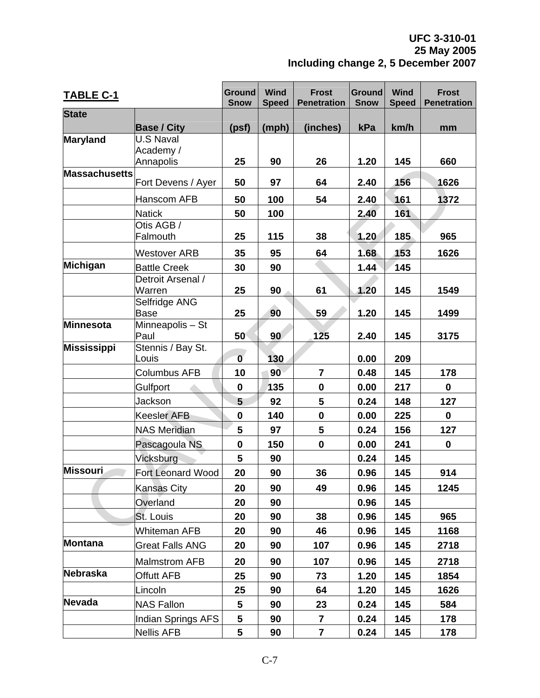| <b>TABLE C-1</b>     |                              | <b>Ground</b><br><b>Snow</b> | <b>Wind</b><br><b>Speed</b> | <b>Frost</b><br><b>Penetration</b> | <b>Ground</b><br><b>Snow</b> | <b>Wind</b><br><b>Speed</b> | <b>Frost</b><br><b>Penetration</b> |
|----------------------|------------------------------|------------------------------|-----------------------------|------------------------------------|------------------------------|-----------------------------|------------------------------------|
| <b>State</b>         |                              |                              |                             |                                    |                              |                             |                                    |
|                      | <b>Base / City</b>           | (psf)                        | (mph)                       | (inches)                           | kPa                          | km/h                        | mm                                 |
| Maryland             | <b>U.S Naval</b>             |                              |                             |                                    |                              |                             |                                    |
|                      | Academy/                     |                              |                             | 26                                 |                              |                             |                                    |
| <b>Massachusetts</b> | Annapolis                    | 25                           | 90                          |                                    | 1.20                         | 145                         | 660                                |
|                      | Fort Devens / Ayer           | 50                           | 97                          | 64                                 | 2.40                         | 156                         | 1626                               |
|                      | Hanscom AFB                  | 50                           | 100                         | 54                                 | 2.40                         | 161                         | 1372                               |
|                      | <b>Natick</b>                | 50                           | 100                         |                                    | 2.40                         | 161                         |                                    |
|                      | Otis AGB /                   |                              |                             |                                    |                              |                             |                                    |
|                      | Falmouth                     | 25                           | 115                         | 38                                 | 1.20                         | 185                         | 965                                |
|                      | <b>Westover ARB</b>          | 35                           | 95                          | 64                                 | 1.68                         | 153                         | 1626                               |
| Michigan             | <b>Battle Creek</b>          | 30                           | 90                          |                                    | 1.44                         | 145                         |                                    |
|                      | Detroit Arsenal /            |                              |                             |                                    |                              |                             |                                    |
|                      | Warren                       | 25                           | 90                          | 61                                 | 1.20                         | 145                         | 1549                               |
|                      | Selfridge ANG<br><b>Base</b> | 25                           | 90                          | 59                                 | 1.20                         | 145                         | 1499                               |
| Minnesota            | Minneapolis - St             |                              |                             |                                    |                              |                             |                                    |
|                      | Paul                         | 50                           | 90                          | 125                                | 2.40                         | 145                         | 3175                               |
| Mississippi          | Stennis / Bay St.            |                              |                             |                                    |                              |                             |                                    |
|                      | Louis                        | $\mathbf 0$                  | 130                         |                                    | 0.00                         | 209                         |                                    |
|                      | <b>Columbus AFB</b>          | 10                           | 90                          | $\overline{7}$                     | 0.48                         | 145                         | 178                                |
|                      | Gulfport                     | $\mathbf 0$                  | 135                         | $\bf{0}$                           | 0.00                         | 217                         | $\mathbf 0$                        |
|                      | Jackson                      | 5                            | 92                          | 5                                  | 0.24                         | 148                         | 127                                |
|                      | Keesler AFB                  | $\bf{0}$                     | 140                         | $\mathbf 0$                        | 0.00                         | 225                         | $\mathbf 0$                        |
|                      | <b>NAS Meridian</b>          | 5                            | 97                          | 5                                  | 0.24                         | 156                         | 127                                |
|                      | Pascagoula NS                | $\pmb{0}$                    | 150                         | $\mathbf 0$                        | 0.00                         | 241                         | $\mathbf 0$                        |
|                      | Vicksburg                    | 5                            | 90                          |                                    | 0.24                         | 145                         |                                    |
| <b>Missouri</b>      | <b>Fort Leonard Wood</b>     | 20                           | 90                          | 36                                 | 0.96                         | 145                         | 914                                |
|                      | <b>Kansas City</b>           | 20                           | 90                          | 49                                 | 0.96                         | 145                         | 1245                               |
|                      | Overland                     | 20                           | 90                          |                                    | 0.96                         | 145                         |                                    |
|                      | St. Louis                    | 20                           | 90                          | 38                                 | 0.96                         | 145                         | 965                                |
|                      | Whiteman AFB                 | 20                           | 90                          | 46                                 | 0.96                         | 145                         | 1168                               |
| <b>Montana</b>       | Great Falls ANG              | 20                           | 90                          | 107                                | 0.96                         | 145                         | 2718                               |
|                      | <b>Malmstrom AFB</b>         | 20                           | 90                          | 107                                | 0.96                         | 145                         | 2718                               |
| Nebraska             | <b>Offutt AFB</b>            | 25                           | 90                          | 73                                 | 1.20                         | 145                         | 1854                               |
|                      | Lincoln                      | 25                           | 90                          | 64                                 | 1.20                         | 145                         | 1626                               |
| <b>Nevada</b>        | <b>NAS Fallon</b>            | 5                            | 90                          | 23                                 | 0.24                         | 145                         | 584                                |
|                      | <b>Indian Springs AFS</b>    | $\overline{\mathbf{5}}$      | 90                          | $\overline{\mathbf{7}}$            | 0.24                         | 145                         | 178                                |
|                      | Nellis AFB                   | 5                            | 90                          | $\overline{\mathbf{7}}$            | 0.24                         | 145                         | 178                                |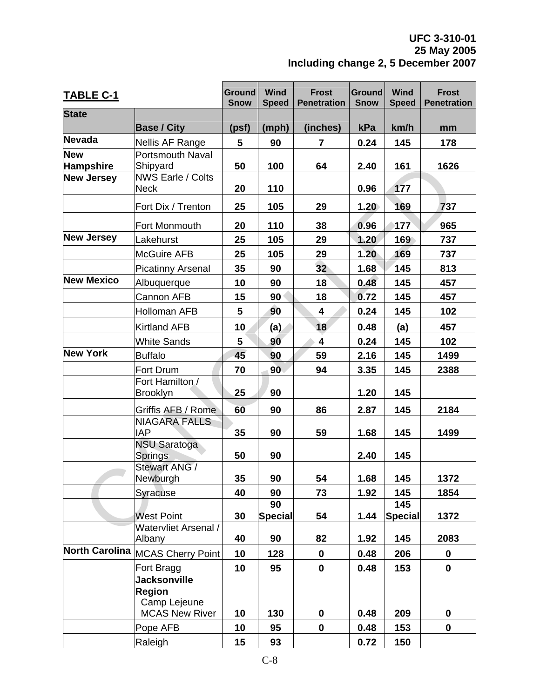| <b>TABLE C-1</b>      |                                           | <b>Ground</b><br><b>Snow</b> | <b>Wind</b><br><b>Speed</b> | <b>Frost</b><br><b>Penetration</b> | <b>Ground</b><br><b>Snow</b> | <b>Wind</b><br><b>Speed</b> | <b>Frost</b><br><b>Penetration</b> |
|-----------------------|-------------------------------------------|------------------------------|-----------------------------|------------------------------------|------------------------------|-----------------------------|------------------------------------|
| <b>State</b>          |                                           |                              |                             |                                    |                              |                             |                                    |
|                       | <b>Base / City</b>                        | (psf)                        | (mph)                       | (inches)                           | kPa                          | km/h                        | mm                                 |
| <b>Nevada</b>         | Nellis AF Range                           | 5                            | 90                          | $\overline{7}$                     | 0.24                         | 145                         | 178                                |
| <b>New</b>            | <b>Portsmouth Naval</b>                   |                              |                             |                                    |                              |                             |                                    |
| Hampshire             | Shipyard                                  | 50                           | 100                         | 64                                 | 2.40                         | 161                         | 1626                               |
| <b>New Jersey</b>     | <b>NWS Earle / Colts</b><br><b>Neck</b>   | 20                           | 110                         |                                    | 0.96                         | 177                         |                                    |
|                       |                                           |                              |                             |                                    |                              |                             |                                    |
|                       | Fort Dix / Trenton                        | 25                           | 105                         | 29                                 | 1.20                         | 169                         | 737                                |
|                       | Fort Monmouth                             | 20                           | 110                         | 38                                 | 0.96                         | 177                         | 965                                |
| <b>New Jersey</b>     | Lakehurst                                 | 25                           | 105                         | 29                                 | 1.20                         | 169                         | 737                                |
|                       | <b>McGuire AFB</b>                        | 25                           | 105                         | 29                                 | 1.20                         | 169                         | 737                                |
|                       | <b>Picatinny Arsenal</b>                  | 35                           | 90                          | 32 <sub>2</sub>                    | 1.68                         | 145                         | 813                                |
| <b>New Mexico</b>     | Albuquerque                               | 10                           | 90                          | 18                                 | 0.48                         | 145                         | 457                                |
|                       | <b>Cannon AFB</b>                         | 15                           | $90^{\circ}$                | 18                                 | 0.72                         | 145                         | 457                                |
|                       | Holloman AFB                              | 5                            | 90                          | $\overline{\mathbf{4}}$            | 0.24                         | 145                         | 102                                |
|                       | Kirtland AFB                              | 10                           | (a)                         | 18                                 | 0.48                         | (a)                         | 457                                |
|                       | <b>White Sands</b>                        | 5                            | 90                          | 4                                  | 0.24                         | 145                         | 102                                |
| <b>New York</b>       | Buffalo                                   | 45                           | 90                          | 59                                 | 2.16                         | 145                         | 1499                               |
|                       | Fort Drum                                 | 70                           | 90                          | 94                                 | 3.35                         | 145                         | 2388                               |
|                       | Fort Hamilton /                           |                              |                             |                                    |                              |                             |                                    |
|                       | <b>Brooklyn</b>                           | 25                           | 90                          |                                    | 1.20                         | 145                         |                                    |
|                       | Griffis AFB / Rome                        | 60                           | 90                          | 86                                 | 2.87                         | 145                         | 2184                               |
|                       | <b>NIAGARA FALLS</b>                      |                              |                             |                                    |                              |                             |                                    |
|                       | <b>IAP</b><br><b>NSU Saratoga</b>         | 35                           | 90                          | 59                                 | 1.68                         | 145                         | 1499                               |
|                       | <b>Springs</b>                            | 50                           | 90                          |                                    | 2.40                         | 145                         |                                    |
|                       | Stewart ANG /                             |                              |                             |                                    |                              |                             |                                    |
|                       | Newburgh                                  | 35                           | 90                          | 54                                 | 1.68                         | 145                         | 1372                               |
|                       | Syracuse                                  | 40                           | 90                          | 73                                 | 1.92                         | 145                         | 1854                               |
|                       |                                           |                              | 90                          |                                    |                              | 145                         |                                    |
|                       | <b>West Point</b><br>Watervliet Arsenal / | 30                           | Special                     | 54                                 | 1.44                         | <b>Special</b>              | 1372                               |
|                       | Albany                                    | 40                           | 90                          | 82                                 | 1.92                         | 145                         | 2083                               |
| <b>North Carolina</b> | <b>MCAS Cherry Point</b>                  | 10                           | 128                         | $\mathbf 0$                        | 0.48                         | 206                         | $\mathbf 0$                        |
|                       | Fort Bragg                                | 10                           | 95                          | $\mathbf 0$                        | 0.48                         | 153                         | $\mathbf 0$                        |
|                       | <b>Jacksonville</b>                       |                              |                             |                                    |                              |                             |                                    |
|                       | <b>Region</b>                             |                              |                             |                                    |                              |                             |                                    |
|                       | Camp Lejeune                              |                              |                             |                                    |                              |                             |                                    |
|                       | <b>MCAS New River</b>                     | 10                           | 130                         | $\mathbf 0$                        | 0.48                         | 209                         | $\mathbf 0$                        |
|                       | Pope AFB                                  | 10                           | 95                          | $\mathbf 0$                        | 0.48                         | 153                         | $\mathbf 0$                        |
|                       | Raleigh                                   | 15                           | 93                          |                                    | 0.72                         | 150                         |                                    |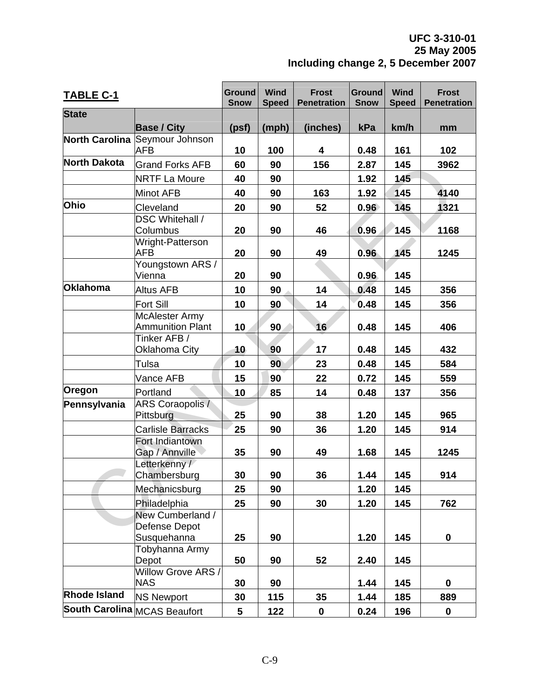| <b>TABLE C-1</b>      |                                                  | <b>Ground</b><br><b>Snow</b> | <b>Wind</b><br><b>Speed</b> | <b>Frost</b><br><b>Penetration</b> | <b>Ground</b><br><b>Snow</b> | <b>Wind</b><br><b>Speed</b> | <b>Frost</b><br><b>Penetration</b> |
|-----------------------|--------------------------------------------------|------------------------------|-----------------------------|------------------------------------|------------------------------|-----------------------------|------------------------------------|
| <b>State</b>          | <b>Base / City</b>                               | (psf)                        | (mph)                       | (inches)                           | kPa                          | km/h                        | mm                                 |
| <b>North Carolina</b> | Seymour Johnson<br><b>AFB</b>                    | 10                           | 100                         | 4                                  | 0.48                         | 161                         | 102                                |
| <b>North Dakota</b>   | <b>Grand Forks AFB</b>                           | 60                           | 90                          | 156                                | 2.87                         | 145                         | 3962                               |
|                       | <b>NRTF La Moure</b>                             | 40                           | 90                          |                                    | 1.92                         | 145                         |                                    |
|                       | Minot AFB                                        | 40                           | 90                          | 163                                | 1.92                         | 145                         | 4140                               |
| Ohio                  | Cleveland                                        | 20                           | 90                          | 52                                 | 0.96                         | 145                         | 1321                               |
|                       | DSC Whitehall /<br>Columbus                      | 20                           | 90                          | 46                                 | 0.96                         | 145                         | 1168                               |
|                       | Wright-Patterson<br><b>AFB</b>                   | 20                           | 90                          | 49                                 | 0.96                         | 145                         | 1245                               |
|                       | Youngstown ARS /<br>Vienna                       | 20                           | 90                          |                                    | 0.96                         | 145                         |                                    |
| Oklahoma              | Altus AFB                                        | 10                           | 90                          | 14                                 | 0.48                         | 145                         | 356                                |
|                       | <b>Fort Sill</b>                                 | 10                           | 90                          | 14                                 | 0.48                         | 145                         | 356                                |
|                       | <b>McAlester Army</b><br><b>Ammunition Plant</b> | 10                           | 90                          | 16                                 | 0.48                         | 145                         | 406                                |
|                       | Tinker AFB /<br>Oklahoma City                    | 10                           | 90                          | 17                                 | 0.48                         | 145                         | 432                                |
|                       | Tulsa                                            | 10                           | 90                          | 23                                 | 0.48                         | 145                         | 584                                |
|                       | Vance AFB                                        | 15                           | 90                          | 22                                 | 0.72                         | 145                         | 559                                |
| Oregon                | Portland                                         | 10                           | 85                          | 14                                 | 0.48                         | 137                         | 356                                |
| Pennsylvania          | ARS Coraopolis /<br>Pittsburg                    | 25                           | 90                          | 38                                 | 1.20                         | 145                         | 965                                |
|                       | <b>Carlisle Barracks</b><br>Fort Indiantown      | 25                           | 90                          | 36                                 | 1.20                         | 145                         | 914                                |
|                       | Gap / Annville                                   | 35                           | 90                          | 49                                 | 1.68                         | 145                         | 1245                               |
|                       | Letterkenny /<br>Chambersburg                    | 30                           | 90                          | 36                                 | 1.44                         | 145                         | 914                                |
|                       | Mechanicsburg                                    | 25                           | 90                          |                                    | 1.20                         | 145                         |                                    |
|                       | Philadelphia                                     | 25                           | 90                          | 30                                 | 1.20                         | 145                         | 762                                |
|                       | New Cumberland /<br>Defense Depot<br>Susquehanna | 25                           | 90                          |                                    | 1.20                         | 145                         | 0                                  |
|                       | Tobyhanna Army<br>Depot                          | 50                           | 90                          | 52                                 | 2.40                         | 145                         |                                    |
|                       | Willow Grove ARS /<br><b>NAS</b>                 | 30                           | 90                          |                                    | 1.44                         | 145                         | $\mathbf 0$                        |
| <b>Rhode Island</b>   | <b>NS Newport</b>                                | 30                           | 115                         | 35                                 | 1.44                         | 185                         | 889                                |
|                       | South Carolina MCAS Beaufort                     | 5                            | 122                         | $\mathbf 0$                        | 0.24                         | 196                         | $\mathbf 0$                        |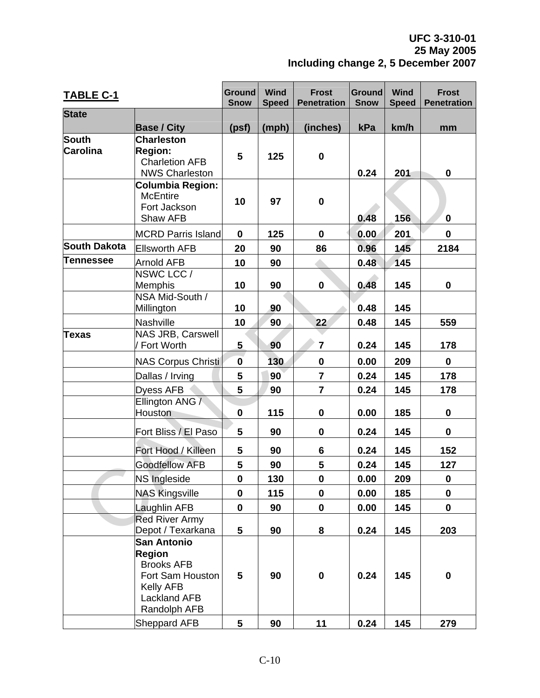| <b>TABLE C-1</b>                |                                                                                                                                         | <b>Ground</b><br><b>Snow</b> | <b>Wind</b><br><b>Speed</b> | <b>Frost</b><br><b>Penetration</b> | <b>Ground</b><br><b>Snow</b> | <b>Wind</b><br><b>Speed</b> | <b>Frost</b><br><b>Penetration</b> |
|---------------------------------|-----------------------------------------------------------------------------------------------------------------------------------------|------------------------------|-----------------------------|------------------------------------|------------------------------|-----------------------------|------------------------------------|
| <b>State</b>                    |                                                                                                                                         |                              |                             |                                    |                              |                             |                                    |
|                                 | <b>Base / City</b>                                                                                                                      | (psf)                        | (mph)                       | (inches)                           | kPa                          | km/h                        | mm                                 |
| <b>South</b><br><b>Carolina</b> | <b>Charleston</b><br><b>Region:</b><br><b>Charletion AFB</b><br><b>NWS Charleston</b>                                                   | 5                            | 125                         | $\mathbf 0$                        | 0.24                         | 201                         | $\mathbf 0$                        |
|                                 | <b>Columbia Region:</b><br><b>McEntire</b><br>Fort Jackson<br>Shaw AFB                                                                  | 10                           | 97                          | $\mathbf 0$                        | 0.48                         | 156                         | 0                                  |
|                                 | <b>MCRD Parris Island</b>                                                                                                               | $\mathbf 0$                  | 125                         | $\mathbf 0$                        | 0.00                         | 201                         | 0                                  |
| <b>South Dakota</b>             | <b>Ellsworth AFB</b>                                                                                                                    | 20                           | 90                          | 86                                 | 0.96                         | 145                         | 2184                               |
| <b>Tennessee</b>                | <b>Arnold AFB</b>                                                                                                                       | 10                           | 90                          |                                    | 0.48                         | 145                         |                                    |
|                                 | NSWC LCC /<br>Memphis                                                                                                                   | 10                           | 90                          | $\mathbf 0$                        | 0.48                         | 145                         | $\mathbf 0$                        |
|                                 | NSA Mid-South /<br>Millington                                                                                                           | 10                           | 90                          |                                    | 0.48                         | 145                         |                                    |
|                                 | Nashville                                                                                                                               | 10                           | 90                          | 22                                 | 0.48                         | 145                         | 559                                |
| <b>Texas</b>                    | NAS JRB, Carswell<br>Fort Worth                                                                                                         | 5                            | 90                          | $\overline{7}$                     | 0.24                         | 145                         | 178                                |
|                                 | NAS Corpus Christi                                                                                                                      | $\mathbf 0$                  | 130                         | $\mathbf 0$                        | 0.00                         | 209                         | 0                                  |
|                                 | Dallas / Irving                                                                                                                         | 5                            | 90                          | $\overline{7}$                     | 0.24                         | 145                         | 178                                |
|                                 | <b>Dyess AFB</b>                                                                                                                        | 5                            | 90                          | $\overline{7}$                     | 0.24                         | 145                         | 178                                |
|                                 | Ellington ANG /<br>Houston                                                                                                              | 0                            | 115                         | $\mathbf 0$                        | 0.00                         | 185                         | $\mathbf 0$                        |
|                                 | Fort Bliss / El Paso                                                                                                                    | 5                            | 90                          | $\mathbf 0$                        | 0.24                         | 145                         | $\mathbf 0$                        |
|                                 | Fort Hood / Killeen                                                                                                                     | 5                            | 90                          | $6\phantom{1}6$                    | 0.24                         | 145                         | 152                                |
|                                 | <b>Goodfellow AFB</b>                                                                                                                   | 5                            | 90                          | 5                                  | 0.24                         | 145                         | 127                                |
|                                 | NS Ingleside                                                                                                                            | 0                            | 130                         | $\mathbf 0$                        | 0.00                         | 209                         | $\mathbf 0$                        |
|                                 | <b>NAS Kingsville</b>                                                                                                                   | 0                            | 115                         | 0                                  | 0.00                         | 185                         | 0                                  |
|                                 | Laughlin AFB                                                                                                                            | $\mathbf 0$                  | 90                          | $\mathbf 0$                        | 0.00                         | 145                         | $\mathbf 0$                        |
|                                 | <b>Red River Army</b><br>Depot / Texarkana                                                                                              | 5                            | 90                          | 8                                  | 0.24                         | 145                         | 203                                |
|                                 | <b>San Antonio</b><br><b>Region</b><br><b>Brooks AFB</b><br>Fort Sam Houston<br><b>Kelly AFB</b><br><b>Lackland AFB</b><br>Randolph AFB | 5                            | 90                          | $\mathbf 0$                        | 0.24                         | 145                         | $\mathbf 0$                        |
|                                 | Sheppard AFB                                                                                                                            | 5                            | 90                          | 11                                 | 0.24                         | 145                         | 279                                |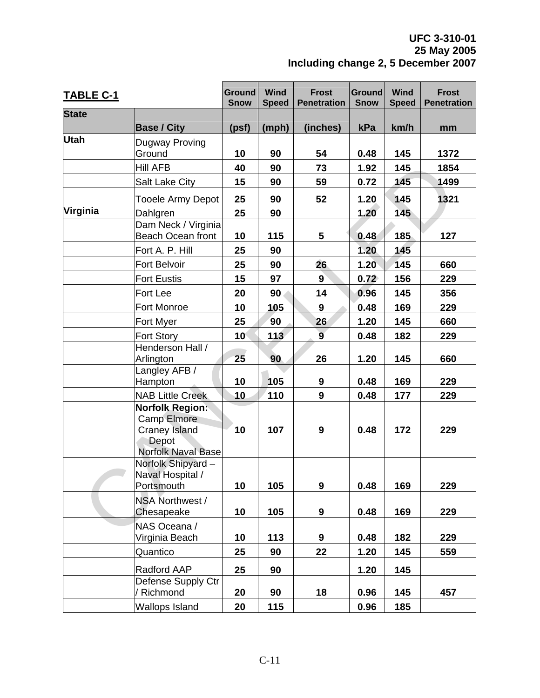| <b>TABLE C-1</b> |                                                                                                            | <b>Ground</b><br><b>Snow</b> | <b>Wind</b><br><b>Speed</b> | <b>Frost</b><br><b>Penetration</b> | <b>Ground</b><br><b>Snow</b> | <b>Wind</b><br><b>Speed</b> | <b>Frost</b><br><b>Penetration</b> |
|------------------|------------------------------------------------------------------------------------------------------------|------------------------------|-----------------------------|------------------------------------|------------------------------|-----------------------------|------------------------------------|
| <b>State</b>     | <b>Base / City</b>                                                                                         | (psf)                        | (mph)                       | (inches)                           | kPa                          | km/h                        | mm                                 |
| <b>Utah</b>      | Dugway Proving<br>Ground                                                                                   | 10                           | 90                          | 54                                 | 0.48                         | 145                         | 1372                               |
|                  | <b>Hill AFB</b>                                                                                            | 40                           | 90                          | 73                                 | 1.92                         | 145                         | 1854                               |
|                  | <b>Salt Lake City</b>                                                                                      | 15                           | 90                          | 59                                 | 0.72                         | 145                         | 1499                               |
|                  | <b>Tooele Army Depot</b>                                                                                   | 25                           | 90                          | 52                                 | 1.20                         | 145                         | 1321                               |
| Virginia         | Dahlgren                                                                                                   | 25                           | 90                          |                                    | 1.20                         | 145                         |                                    |
|                  | Dam Neck / Virginia<br>Beach Ocean front                                                                   | 10                           | 115                         | 5                                  | 0.48                         | 185                         | 127                                |
|                  | Fort A. P. Hill                                                                                            | 25                           | 90                          |                                    | 1.20                         | 145                         |                                    |
|                  | <b>Fort Belvoir</b>                                                                                        | 25                           | 90                          | 26                                 | 1.20                         | 145                         | 660                                |
|                  | <b>Fort Eustis</b>                                                                                         | 15                           | 97                          | $9^{\circ}$                        | 0.72                         | 156                         | 229                                |
|                  | Fort Lee                                                                                                   | 20                           | 90                          | 14                                 | 0.96                         | 145                         | 356                                |
|                  | <b>Fort Monroe</b>                                                                                         | 10                           | 105                         | $\boldsymbol{9}$                   | 0.48                         | 169                         | 229                                |
|                  | <b>Fort Myer</b>                                                                                           | 25                           | 90                          | 26                                 | 1.20                         | 145                         | 660                                |
|                  | Fort Story                                                                                                 | 10                           | 113                         | $\overline{9}$                     | 0.48                         | 182                         | 229                                |
|                  | Henderson Hall /<br>Arlington                                                                              | 25                           | 90                          | 26                                 | 1.20                         | 145                         | 660                                |
|                  | Langley AFB /<br>Hampton                                                                                   | 10                           | 105                         | 9                                  | 0.48                         | 169                         | 229                                |
|                  | <b>NAB Little Creek</b>                                                                                    | 10                           | 110                         | $\boldsymbol{9}$                   | 0.48                         | 177                         | 229                                |
|                  | <b>Norfolk Region:</b><br><b>Camp Elmore</b><br><b>Craney Island</b><br>Depot<br><b>Norfolk Naval Base</b> | 10                           | 107                         | 9                                  | 0.48                         | 172                         | 229                                |
|                  | Norfolk Shipyard -<br>Naval Hospital /<br>Portsmouth                                                       | 10                           | 105                         | $\boldsymbol{9}$                   | 0.48                         | 169                         | 229                                |
|                  | NSA Northwest /<br>Chesapeake                                                                              | 10                           | 105                         | 9                                  | 0.48                         | 169                         | 229                                |
|                  | NAS Oceana /<br>Virginia Beach                                                                             | 10                           | 113                         | 9                                  | 0.48                         | 182                         | 229                                |
|                  | Quantico                                                                                                   | 25                           | 90                          | 22                                 | 1.20                         | 145                         | 559                                |
|                  | Radford AAP                                                                                                | 25                           | 90                          |                                    | 1.20                         | 145                         |                                    |
|                  | Defense Supply Ctr<br>/ Richmond                                                                           | 20                           | 90                          | 18                                 | 0.96                         | 145                         | 457                                |
|                  | <b>Wallops Island</b>                                                                                      | 20                           | 115                         |                                    | 0.96                         | 185                         |                                    |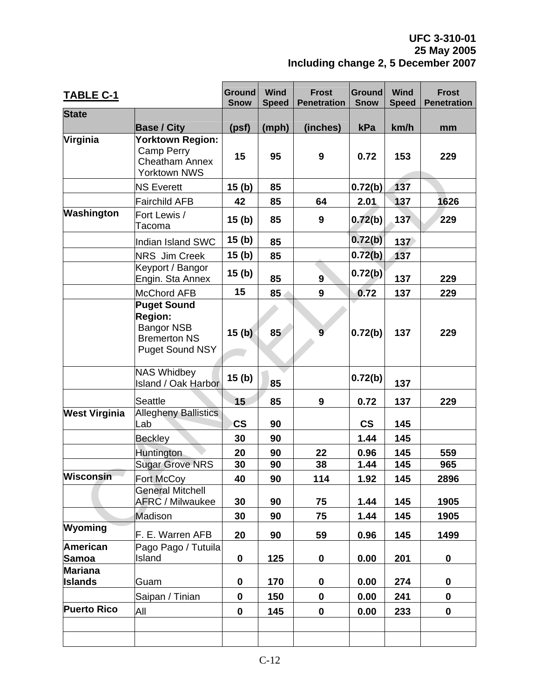| <b>TABLE C-1</b>     |                                                                                                            | <b>Ground</b><br><b>Snow</b> | <b>Wind</b><br><b>Speed</b> | <b>Frost</b><br><b>Penetration</b> | <b>Ground</b><br><b>Snow</b> | <b>Wind</b><br><b>Speed</b> | <b>Frost</b><br><b>Penetration</b> |
|----------------------|------------------------------------------------------------------------------------------------------------|------------------------------|-----------------------------|------------------------------------|------------------------------|-----------------------------|------------------------------------|
| <b>State</b>         | <b>Base / City</b>                                                                                         | (psf)                        | (mph)                       | (inches)                           | kPa                          | km/h                        | mm                                 |
| Virginia             | <b>Yorktown Region:</b><br>Camp Perry<br><b>Cheatham Annex</b><br><b>Yorktown NWS</b>                      | 15                           | 95                          | 9                                  | 0.72                         | 153                         | 229                                |
|                      | <b>NS Everett</b>                                                                                          | 15 <sub>(b)</sub>            | 85                          |                                    | 0.72(b)                      | 137                         |                                    |
|                      | <b>Fairchild AFB</b>                                                                                       | 42                           | 85                          | 64                                 | 2.01                         | 137                         | 1626                               |
| Washington           | Fort Lewis /<br>Tacoma                                                                                     | 15 <sub>(b)</sub>            | 85                          | 9                                  | 0.72(b)                      | 137                         | 229                                |
|                      | Indian Island SWC                                                                                          | 15 (b)                       | 85                          |                                    | 0.72(b)                      | 137                         |                                    |
|                      | <b>NRS</b> Jim Creek                                                                                       | 15 <sub>(b)</sub>            | 85                          |                                    | 0.72(b)                      | 137                         |                                    |
|                      | Keyport / Bangor<br>Engin. Sta Annex                                                                       | 15 (b)                       | 85                          | $\overline{9}$                     | 0.72(b)                      | 137                         | 229                                |
|                      | <b>McChord AFB</b>                                                                                         | 15                           | 85                          | 9                                  | 0.72                         | 137                         | 229                                |
|                      | <b>Puget Sound</b><br><b>Region:</b><br><b>Bangor NSB</b><br><b>Bremerton NS</b><br><b>Puget Sound NSY</b> | 15(b)                        | 85                          | 9                                  | 0.72(b)                      | 137                         | 229                                |
|                      | <b>NAS Whidbey</b><br><b>Island / Oak Harbor</b>                                                           | 15 <sub>(b)</sub>            | 85                          |                                    | 0.72(b)                      | 137                         |                                    |
|                      | Seattle                                                                                                    | 15                           | 85                          | 9                                  | 0.72                         | 137                         | 229                                |
| <b>West Virginia</b> | <b>Allegheny Ballistics</b><br>Lab                                                                         | <b>CS</b>                    | 90                          |                                    | $\mathsf{CS}\phantom{0}$     | 145                         |                                    |
|                      | <b>Beckley</b>                                                                                             | 30                           | 90                          |                                    | 1.44                         | 145                         |                                    |
|                      | <b>Huntington</b>                                                                                          | 20                           | 90                          | 22                                 | 0.96                         | 145                         | 559                                |
|                      | <b>Sugar Grove NRS</b>                                                                                     | 30                           | 90                          | 38                                 | 1.44                         | 145                         | 965                                |
| Wisconsin            | Fort McCoy                                                                                                 | 40                           | 90                          | 114                                | 1.92                         | 145                         | 2896                               |
|                      | <b>General Mitchell</b><br><b>AFRC / Milwaukee</b>                                                         | 30                           | 90                          | 75                                 | 1.44                         | 145                         | 1905                               |
|                      | Madison                                                                                                    | 30                           | 90                          | 75                                 | 1.44                         | 145                         | 1905                               |
| Wyoming              | F. E. Warren AFB                                                                                           | 20                           | 90                          | 59                                 | 0.96                         | 145                         | 1499                               |
| American             | Pago Pago / Tutuila                                                                                        |                              |                             |                                    |                              |                             |                                    |
| Samoa                | Island                                                                                                     | $\mathbf 0$                  | 125                         | $\mathbf 0$                        | 0.00                         | 201                         | 0                                  |
| <b>Mariana</b>       |                                                                                                            |                              |                             |                                    |                              |                             |                                    |
| <b>Islands</b>       | Guam                                                                                                       | $\mathbf 0$                  | 170                         | 0                                  | 0.00                         | 274                         | 0                                  |
| <b>Puerto Rico</b>   | Saipan / Tinian                                                                                            | $\mathbf 0$                  | 150                         | $\mathbf 0$                        | 0.00                         | 241                         | $\mathbf 0$                        |
|                      | All                                                                                                        | $\mathbf 0$                  | 145                         | $\mathbf 0$                        | 0.00                         | 233                         | $\mathbf 0$                        |
|                      |                                                                                                            |                              |                             |                                    |                              |                             |                                    |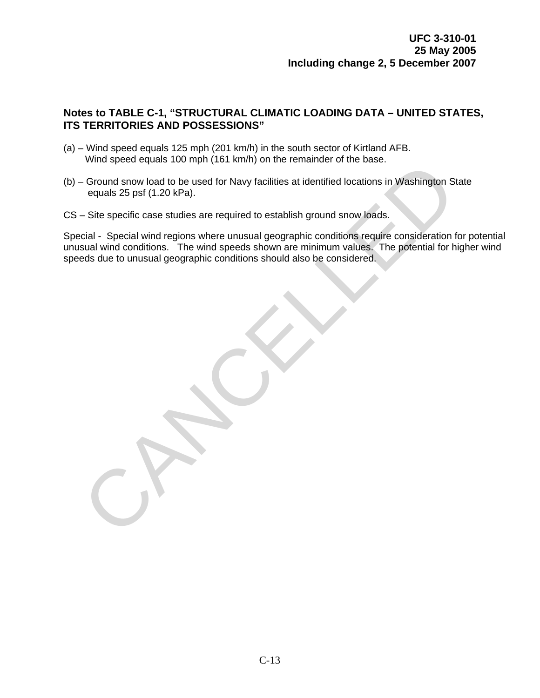#### **Notes to TABLE C-1, "STRUCTURAL CLIMATIC LOADING DATA – UNITED STATES, ITS TERRITORIES AND POSSESSIONS"**

- (a) Wind speed equals 125 mph (201 km/h) in the south sector of Kirtland AFB. Wind speed equals 100 mph (161 km/h) on the remainder of the base.
- (b) Ground snow load to be used for Navy facilities at identified locations in Washington State equals 25 psf (1.20 kPa).
- CS Site specific case studies are required to establish ground snow loads.

Special - Special wind regions where unusual geographic conditions require consideration for potential unusual wind conditions. The wind speeds shown are minimum values. The potential for higher wind speeds due to unusual geographic conditions should also be considered. which speed equals Too inprint (for Kinni) of the lemanted of the base.<br>Capcinal show load to be used for Navy facilities at identified locations in Washington St<br>equals 25 psf (1.20 kPa).<br>Cial - Special wind regions where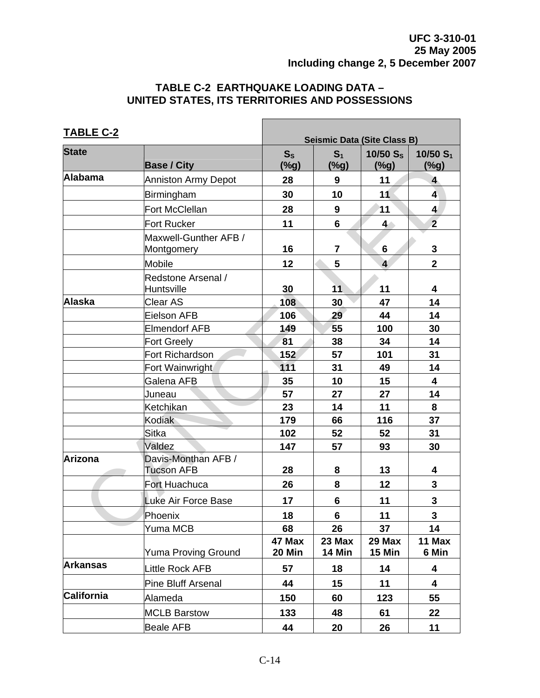| <b>TABLE C-2</b>  |                                          |                  | <b>Seismic Data (Site Class B)</b> |                         |                         |
|-------------------|------------------------------------------|------------------|------------------------------------|-------------------------|-------------------------|
| <b>State</b>      | <b>Base / City</b>                       | $S_{S}$<br>( %g) | S <sub>1</sub><br>(%g)             | 10/50 $S_s$<br>(%g)     | 10/50 $S_1$<br>(%g)     |
| <b>Alabama</b>    | <b>Anniston Army Depot</b>               | 28               | 9                                  | 11                      | 4                       |
|                   | Birmingham                               | 30               | 10                                 | 11                      | $\overline{\mathbf{4}}$ |
|                   | Fort McClellan                           | 28               | 9                                  | 11                      | $\overline{\mathbf{4}}$ |
|                   | <b>Fort Rucker</b>                       | 11               | $6\phantom{1}$                     | 4 <sup>°</sup>          | $\overline{2}$          |
|                   | Maxwell-Gunther AFB /<br>Montgomery      | 16               | $\overline{7}$                     | 6                       | 3                       |
|                   | <b>Mobile</b>                            | 12               | 5                                  | $\overline{4}$          | $\overline{2}$          |
|                   | Redstone Arsenal /<br>Huntsville         | 30               | 11                                 | 11                      | $\overline{\mathbf{4}}$ |
| Alaska            | Clear AS                                 | 108              | 30                                 | 47                      | 14                      |
|                   | Eielson AFB                              | 106              | 29                                 | 44                      | 14                      |
|                   | <b>Elmendorf AFB</b>                     | 149              | 55                                 | 100                     | 30                      |
|                   | <b>Fort Greely</b>                       | 81               | 38                                 | 34                      | 14                      |
|                   | Fort Richardson                          | 152              | 57                                 | 101                     | 31                      |
|                   | Fort Wainwright                          | 111              | 31                                 | 49                      | 14                      |
|                   | Galena AFB                               | 35               | 10                                 | 15                      | $\overline{\mathbf{4}}$ |
|                   | Juneau                                   | 57               | 27                                 | 27                      | 14                      |
|                   | Ketchikan                                | 23               | 14                                 | 11                      | 8                       |
|                   | Kodiak                                   | 179              | 66                                 | 116                     | 37                      |
|                   | <b>Sitka</b>                             | 102              | 52                                 | 52                      | 31                      |
|                   | Valdez                                   | 147              | 57                                 | 93                      | 30                      |
| <b>Arizona</b>    | Davis-Monthan AFB /<br><b>Tucson AFB</b> | 28               | 8                                  | 13                      | 4                       |
|                   | Fort Huachuca                            | 26               | 8                                  | 12                      | 3                       |
|                   | Luke Air Force Base                      | 17               | 6                                  | 11                      | $\mathbf{3}$            |
|                   | Phoenix                                  | 18               | $6\phantom{1}$                     | 11                      | 3                       |
|                   | Yuma MCB                                 | 68               | 26                                 | 37                      | 14                      |
|                   | <b>Yuma Proving Ground</b>               | 47 Max<br>20 Min | 23 Max<br><b>14 Min</b>            | 29 Max<br><b>15 Min</b> | 11 Max<br>6 Min         |
| <b>Arkansas</b>   | Little Rock AFB                          | 57               | 18                                 | 14                      | 4                       |
|                   | <b>Pine Bluff Arsenal</b>                | 44               | 15                                 | 11                      | 4                       |
| <b>California</b> | Alameda                                  | 150              | 60                                 | 123                     | 55                      |
|                   | <b>MCLB Barstow</b>                      | 133              | 48                                 | 61                      | 22                      |
|                   | <b>Beale AFB</b>                         | 44               | 20                                 | 26                      | 11                      |

#### **TABLE C-2 EARTHQUAKE LOADING DATA – UNITED STATES, ITS TERRITORIES AND POSSESSIONS**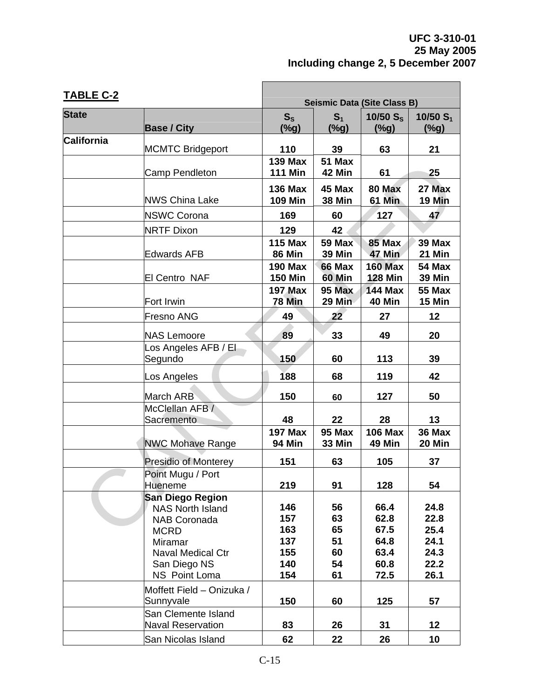| <b>TABLE C-2</b>  |                                    | <b>Seismic Data (Site Class B)</b> |                |                |               |  |  |  |
|-------------------|------------------------------------|------------------------------------|----------------|----------------|---------------|--|--|--|
|                   |                                    |                                    |                |                |               |  |  |  |
| <b>State</b>      |                                    | $S_{S}$                            | S <sub>1</sub> | 10/50 $S_s$    | $10/50 S_1$   |  |  |  |
|                   | <b>Base / City</b>                 | $(\%g)$                            | $(\%g)$        | $(\%g)$        | $(\%g)$       |  |  |  |
| <b>California</b> | <b>MCMTC Bridgeport</b>            | 110                                | 39             | 63             | 21            |  |  |  |
|                   |                                    | <b>139 Max</b>                     | 51 Max         |                |               |  |  |  |
|                   | Camp Pendleton                     | <b>111 Min</b>                     | <b>42 Min</b>  | 61             | 25            |  |  |  |
|                   |                                    | <b>136 Max</b>                     | 45 Max         | 80 Max         | 27 Max        |  |  |  |
|                   | <b>NWS China Lake</b>              | <b>109 Min</b>                     | <b>38 Min</b>  | <b>61 Min</b>  | 19 Min        |  |  |  |
|                   | <b>NSWC Corona</b>                 | 169                                | 60             | 127            | 47            |  |  |  |
|                   | <b>NRTF Dixon</b>                  | 129                                | 42             |                |               |  |  |  |
|                   |                                    | <b>115 Max</b>                     | <b>59 Max</b>  | <b>85 Max</b>  | 39 Max        |  |  |  |
|                   | <b>Edwards AFB</b>                 | <b>86 Min</b>                      | <b>39 Min</b>  | <b>47 Min</b>  | 21 Min        |  |  |  |
|                   |                                    | <b>190 Max</b>                     | <b>66 Max</b>  | <b>160 Max</b> | <b>54 Max</b> |  |  |  |
|                   | El Centro NAF                      | <b>150 Min</b>                     | 60 Min         | <b>128 Min</b> | <b>39 Min</b> |  |  |  |
|                   |                                    | <b>197 Max</b>                     | <b>95 Max</b>  | <b>144 Max</b> | <b>55 Max</b> |  |  |  |
|                   | Fort Irwin                         | <b>78 Min</b>                      | <b>29 Min</b>  | <b>40 Min</b>  | <b>15 Min</b> |  |  |  |
|                   | Fresno ANG                         | 49                                 | 22             | 27             | 12            |  |  |  |
|                   | <b>NAS Lemoore</b>                 | 89                                 | 33             | 49             | 20            |  |  |  |
|                   | Los Angeles AFB / El               |                                    |                |                |               |  |  |  |
|                   | Segundo                            | 150                                | 60             | 113            | 39            |  |  |  |
|                   | Los Angeles                        | 188                                | 68             | 119            | 42            |  |  |  |
|                   | March ARB                          | 150                                | 60             | 127            | 50            |  |  |  |
|                   | McClellan AFB /                    |                                    |                |                |               |  |  |  |
|                   | Sacremento                         | 48                                 | 22             | 28             | 13            |  |  |  |
|                   |                                    | <b>197 Max</b>                     | <b>95 Max</b>  | <b>106 Max</b> | 36 Max        |  |  |  |
|                   | <b>NWC Mohave Range</b>            | <b>94 Min</b>                      | <b>33 Min</b>  | 49 Min         | 20 Min        |  |  |  |
|                   | <b>Presidio of Monterey</b>        | 151                                | 63             | 105            | 37            |  |  |  |
|                   | Point Mugu / Port                  |                                    |                |                |               |  |  |  |
|                   | Hueneme                            | 219                                | 91             | 128            | 54            |  |  |  |
|                   | <b>San Diego Region</b>            |                                    |                |                |               |  |  |  |
|                   | <b>NAS North Island</b>            | 146                                | 56             | 66.4           | 24.8          |  |  |  |
|                   | <b>NAB Coronada</b><br><b>MCRD</b> | 157<br>163                         | 63<br>65       | 62.8<br>67.5   | 22.8<br>25.4  |  |  |  |
|                   | Miramar                            | 137                                | 51             | 64.8           | 24.1          |  |  |  |
|                   | <b>Naval Medical Ctr</b>           | 155                                | 60             | 63.4           | 24.3          |  |  |  |
|                   | San Diego NS                       | 140                                | 54             | 60.8           | 22.2          |  |  |  |
|                   | NS Point Loma                      | 154                                | 61             | 72.5           | 26.1          |  |  |  |
|                   | Moffett Field - Onizuka /          |                                    |                |                |               |  |  |  |
|                   | Sunnyvale                          | 150                                | 60             | 125            | 57            |  |  |  |
|                   | San Clemente Island                |                                    |                |                |               |  |  |  |
|                   | <b>Naval Reservation</b>           | 83                                 | 26             | 31             | 12            |  |  |  |
|                   | San Nicolas Island                 | 62                                 | 22             | 26             | 10            |  |  |  |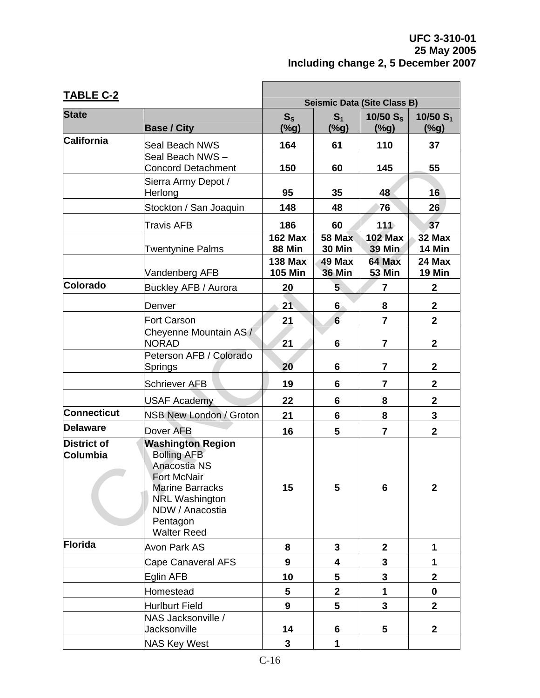| <b>TABLE C-2</b>               | <b>Seismic Data (Site Class B)</b>                                                                                                                                                                  |                                  |                                |                                 |                         |  |
|--------------------------------|-----------------------------------------------------------------------------------------------------------------------------------------------------------------------------------------------------|----------------------------------|--------------------------------|---------------------------------|-------------------------|--|
| <b>State</b>                   | <b>Base / City</b>                                                                                                                                                                                  | $S_{\rm S}$<br>$(\%g)$           | S <sub>1</sub><br>$(\%g)$      | 10/50 $S_s$<br>$(\%g)$          | 10/50 $S_1$<br>(%g)     |  |
| <b>California</b>              | <b>Seal Beach NWS</b>                                                                                                                                                                               | 164                              | 61                             | 110                             | 37                      |  |
|                                | Seal Beach NWS -<br><b>Concord Detachment</b>                                                                                                                                                       | 150                              | 60                             | 145                             | 55                      |  |
|                                | Sierra Army Depot /<br>Herlong                                                                                                                                                                      | 95                               | 35                             | 48                              | 16                      |  |
|                                | Stockton / San Joaquin                                                                                                                                                                              | 148                              | 48                             | 76                              | 26                      |  |
|                                | Travis AFB                                                                                                                                                                                          | 186                              | 60                             | 111                             | 37                      |  |
|                                | Twentynine Palms                                                                                                                                                                                    | <b>162 Max</b><br><b>88 Min</b>  | <b>58 Max</b><br><b>30 Min</b> | <b>102 Max</b><br><b>39 Min</b> | 32 Max<br>14 Min        |  |
|                                | Vandenberg AFB                                                                                                                                                                                      | <b>138 Max</b><br><b>105 Min</b> | 49 Max<br><b>36 Min</b>        | 64 Max<br><b>53 Min</b>         | 24 Max<br><b>19 Min</b> |  |
| Colorado                       | Buckley AFB / Aurora                                                                                                                                                                                | 20                               | 5                              | 7                               | $\mathbf 2$             |  |
|                                | Denver                                                                                                                                                                                              | 21                               | $6\phantom{1}$                 | 8                               | $\mathbf{2}$            |  |
|                                | <b>Fort Carson</b>                                                                                                                                                                                  | 21                               | $6\phantom{1}$                 | $\overline{7}$                  | $\overline{2}$          |  |
|                                | Cheyenne Mountain AS /<br><b>NORAD</b>                                                                                                                                                              | 21                               | 6                              | $\overline{7}$                  | $\mathbf 2$             |  |
|                                | Peterson AFB / Colorado<br>Springs                                                                                                                                                                  | 20                               | 6                              | 7                               | $\mathbf{2}$            |  |
|                                | <b>Schriever AFB</b>                                                                                                                                                                                | 19                               | 6                              | $\overline{7}$                  | $\overline{2}$          |  |
|                                | <b>USAF Academy</b>                                                                                                                                                                                 | 22                               | 6                              | 8                               | $\mathbf{2}$            |  |
| <b>Connecticut</b>             | <b>NSB New London / Groton</b>                                                                                                                                                                      | 21                               | 6                              | 8                               | $\overline{\mathbf{3}}$ |  |
| <b>Delaware</b>                | Dover AFB                                                                                                                                                                                           | 16                               | 5                              | $\overline{7}$                  | $\overline{2}$          |  |
| <b>District of</b><br>Columbia | <b>Washington Region</b><br><b>Bolling AFB</b><br><b>Anacostia NS</b><br><b>Fort McNair</b><br><b>Marine Barracks</b><br><b>NRL Washington</b><br>NDW / Anacostia<br>Pentagon<br><b>Walter Reed</b> | 15                               | 5                              | 6                               | $\mathbf{2}$            |  |
| Florida                        | <b>Avon Park AS</b>                                                                                                                                                                                 | 8                                | 3                              | $\mathbf{2}$                    | 1                       |  |
|                                | <b>Cape Canaveral AFS</b>                                                                                                                                                                           | 9                                | 4                              | 3                               | 1                       |  |
|                                | Eglin AFB                                                                                                                                                                                           | 10                               | 5                              | 3                               | $\mathbf 2$             |  |
|                                | Homestead                                                                                                                                                                                           | 5                                | $\mathbf{2}$                   | 1                               | $\mathbf 0$             |  |
|                                | <b>Hurlburt Field</b>                                                                                                                                                                               | 9                                | 5                              | 3                               | $\overline{2}$          |  |
|                                | NAS Jacksonville /<br>Jacksonville                                                                                                                                                                  | 14                               | 6                              | 5                               | $\mathbf{2}$            |  |
|                                | <b>NAS Key West</b>                                                                                                                                                                                 | 3                                | 1                              |                                 |                         |  |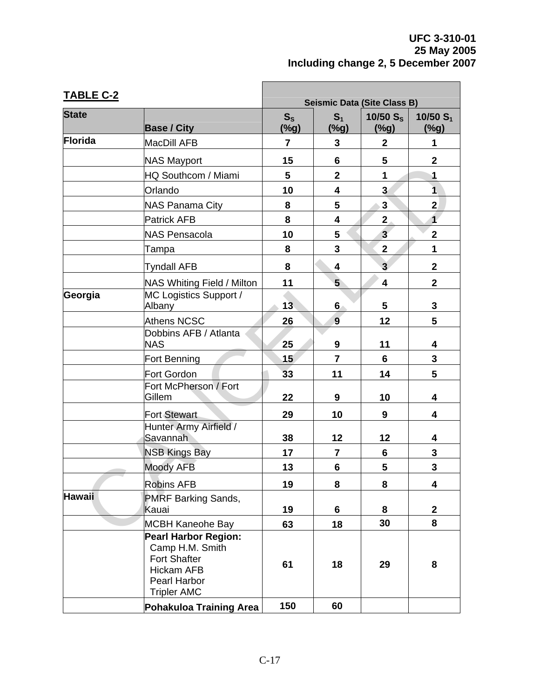| <b>TABLE C-2</b> |                                                                                                                                  | <b>Seismic Data (Site Class B)</b> |                           |                         |                         |  |  |
|------------------|----------------------------------------------------------------------------------------------------------------------------------|------------------------------------|---------------------------|-------------------------|-------------------------|--|--|
| <b>State</b>     | <b>Base / City</b>                                                                                                               | $S_{\rm S}$<br>$(\%g)$             | S <sub>1</sub><br>$(\%g)$ | 10/50 $S_s$<br>(%g)     | 10/50 $S_1$<br>$(\%g)$  |  |  |
| Florida          | MacDill AFB                                                                                                                      | $\overline{7}$                     | 3                         | $\mathbf{2}$            | 1                       |  |  |
|                  | <b>NAS Mayport</b>                                                                                                               | 15                                 | $6\phantom{1}$            | 5                       | $\mathbf{2}$            |  |  |
|                  | HQ Southcom / Miami                                                                                                              | 5                                  | $\overline{2}$            | 1                       | 1                       |  |  |
|                  | Orlando                                                                                                                          | 10                                 | 4                         | $\mathbf{3}$            | $\overline{\mathbf{1}}$ |  |  |
|                  | <b>NAS Panama City</b>                                                                                                           | 8                                  | 5                         | $\mathbf{3}$            | $\overline{2}$          |  |  |
|                  | <b>Patrick AFB</b>                                                                                                               | 8                                  | $\overline{\mathbf{4}}$   | 2 <sub>1</sub>          | $\overline{\mathbf{1}}$ |  |  |
|                  | <b>NAS Pensacola</b>                                                                                                             | 10                                 | 5                         | $\overline{\mathbf{3}}$ | $\overline{\mathbf{2}}$ |  |  |
|                  | Tampa                                                                                                                            | 8                                  | $\overline{\mathbf{3}}$   | $\mathbf{2}$            | 1                       |  |  |
|                  | <b>Tyndall AFB</b>                                                                                                               | 8                                  | 4                         | $\overline{3}$          | $\overline{\mathbf{2}}$ |  |  |
|                  | NAS Whiting Field / Milton                                                                                                       | 11                                 | $5\phantom{.}$            | 4                       | $\overline{2}$          |  |  |
| Georgia          | MC Logistics Support /<br>Albany                                                                                                 | 13                                 | $6 \,$                    | $\overline{\mathbf{5}}$ | 3                       |  |  |
|                  | <b>Athens NCSC</b>                                                                                                               | 26                                 | 9                         | 12                      | 5                       |  |  |
|                  | Dobbins AFB / Atlanta<br><b>NAS</b>                                                                                              | 25                                 | 9                         | 11                      | 4                       |  |  |
|                  | Fort Benning                                                                                                                     | 15                                 | $\overline{7}$            | 6                       | $\overline{\mathbf{3}}$ |  |  |
|                  | <b>Fort Gordon</b>                                                                                                               | 33                                 | 11                        | 14                      | 5                       |  |  |
|                  | Fort McPherson / Fort<br>Gillem                                                                                                  | 22                                 | 9                         | 10                      | 4                       |  |  |
|                  | <b>Fort Stewart</b>                                                                                                              | 29                                 | 10                        | $\boldsymbol{9}$        | 4                       |  |  |
|                  | Hunter Army Airfield /<br>Savannah                                                                                               | 38                                 | 12                        | 12                      | 4                       |  |  |
|                  | <b>NSB Kings Bay</b>                                                                                                             | 17                                 | $\overline{7}$            | 6                       | 3                       |  |  |
|                  | <b>Moody AFB</b>                                                                                                                 | 13                                 | $\bf 6$                   | $5\phantom{1}$          | 3                       |  |  |
|                  | <b>Robins AFB</b>                                                                                                                | 19                                 | 8                         | 8                       | 4                       |  |  |
| <b>Hawaii</b>    | <b>PMRF Barking Sands,</b><br>Kauai                                                                                              | 19                                 | 6                         | 8                       | $\mathbf{2}$            |  |  |
|                  | <b>MCBH Kaneohe Bay</b>                                                                                                          | 63                                 | 18                        | 30                      | 8                       |  |  |
|                  | <b>Pearl Harbor Region:</b><br>Camp H.M. Smith<br><b>Fort Shafter</b><br><b>Hickam AFB</b><br>Pearl Harbor<br><b>Tripler AMC</b> | 61                                 | 18                        | 29                      | 8                       |  |  |
|                  | <b>Pohakuloa Training Area</b>                                                                                                   | 150                                | 60                        |                         |                         |  |  |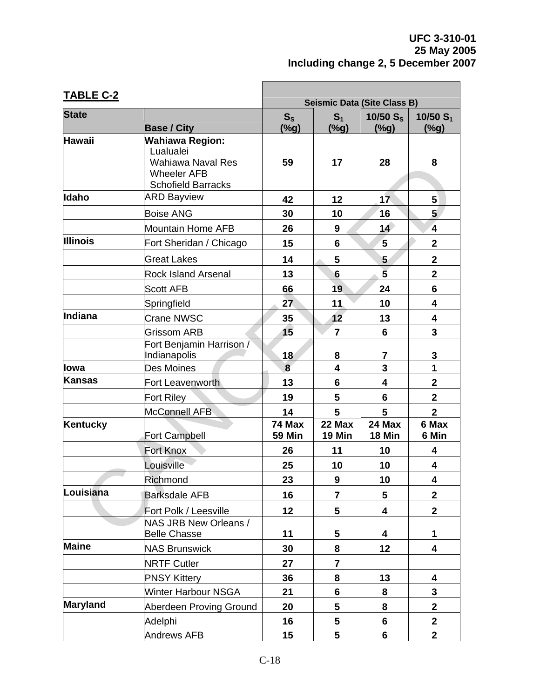| <b>TABLE C-2</b> |                                                                                                                    | <b>Seismic Data (Site Class B)</b> |                         |                         |                         |  |  |
|------------------|--------------------------------------------------------------------------------------------------------------------|------------------------------------|-------------------------|-------------------------|-------------------------|--|--|
| <b>State</b>     | <b>Base / City</b>                                                                                                 | $S_{S}$<br>( %g)                   | S <sub>1</sub><br>(%g)  | 10/50 $S_s$<br>$(\%g)$  | 10/50 $S_1$<br>$(\%g)$  |  |  |
| <b>Hawaii</b>    | <b>Wahiawa Region:</b><br>Lualualei<br><b>Wahiawa Naval Res</b><br><b>Wheeler AFB</b><br><b>Schofield Barracks</b> | 59                                 | 17                      | 28                      | 8                       |  |  |
| Idaho            | <b>ARD Bayview</b>                                                                                                 | 42                                 | 12                      | 17 <sub>2</sub>         | 5 <sup>1</sup>          |  |  |
|                  | <b>Boise ANG</b>                                                                                                   | 30                                 | 10                      | 16                      | 5                       |  |  |
|                  | <b>Mountain Home AFB</b>                                                                                           | 26                                 | 9                       | 14                      | $\overline{\mathbf{4}}$ |  |  |
| <b>Illinois</b>  | Fort Sheridan / Chicago                                                                                            | 15                                 | 6                       | 5                       | $\mathbf{2}$            |  |  |
|                  | <b>Great Lakes</b>                                                                                                 | 14                                 | 5                       | 5 <sup>5</sup>          | $\mathbf{2}$            |  |  |
|                  | <b>Rock Island Arsenal</b>                                                                                         | 13                                 | 6                       | $\overline{5}$          | $\overline{2}$          |  |  |
|                  | <b>Scott AFB</b>                                                                                                   | 66                                 | 19                      | 24                      | 6                       |  |  |
|                  | Springfield                                                                                                        | 27                                 | 11                      | 10                      | 4                       |  |  |
| Indiana          | Crane NWSC                                                                                                         | 35                                 | 12                      | 13                      | 4                       |  |  |
|                  | <b>Grissom ARB</b>                                                                                                 | 15                                 | 7                       | $6\phantom{1}$          | 3                       |  |  |
|                  | Fort Benjamin Harrison /<br>Indianapolis                                                                           | 18                                 | 8                       | 7                       | 3                       |  |  |
| lowa             | <b>Des Moines</b>                                                                                                  | 8                                  | $\overline{\mathbf{4}}$ | 3                       | $\mathbf{1}$            |  |  |
| <b>Kansas</b>    | Fort Leavenworth                                                                                                   | 13                                 | 6                       | 4                       | $\mathbf{2}$            |  |  |
|                  | <b>Fort Riley</b>                                                                                                  | 19                                 | 5                       | $6\phantom{1}$          | $\overline{2}$          |  |  |
|                  | McConnell AFB                                                                                                      | 14                                 | 5                       | 5                       | $\mathbf{2}$            |  |  |
| Kentucky         | <b>Fort Campbell</b>                                                                                               | 74 Max<br><b>59 Min</b>            | 22 Max<br>19 Min        | 24 Max<br><b>18 Min</b> | 6 Max<br>6 Min          |  |  |
|                  | Fort Knox                                                                                                          | 26                                 | 11                      | 10                      | 4                       |  |  |
|                  | Louisville                                                                                                         | 25                                 | 10                      | 10                      | 4                       |  |  |
|                  | Richmond                                                                                                           | 23                                 | $\boldsymbol{9}$        | 10                      | 4                       |  |  |
| Louisiana        | <b>Barksdale AFB</b>                                                                                               | 16                                 | $\overline{7}$          | 5                       | $\overline{2}$          |  |  |
|                  | Fort Polk / Leesville                                                                                              | 12                                 | 5                       | $\overline{\mathbf{4}}$ | $\overline{2}$          |  |  |
|                  | NAS JRB New Orleans /<br><b>Belle Chasse</b>                                                                       | 11                                 | 5                       | 4                       | 1                       |  |  |
| <b>Maine</b>     | <b>NAS Brunswick</b>                                                                                               | 30                                 | 8                       | 12                      | 4                       |  |  |
|                  | <b>NRTF Cutler</b>                                                                                                 | 27                                 | $\overline{7}$          |                         |                         |  |  |
|                  | <b>PNSY Kittery</b>                                                                                                | 36                                 | 8                       | 13                      | 4                       |  |  |
|                  | <b>Winter Harbour NSGA</b>                                                                                         | 21                                 | 6                       | 8                       | 3                       |  |  |
| Maryland         | Aberdeen Proving Ground                                                                                            | 20                                 | 5                       | 8                       | $\overline{\mathbf{2}}$ |  |  |
|                  | Adelphi                                                                                                            | 16                                 | 5                       | 6                       | $\overline{\mathbf{2}}$ |  |  |
|                  | <b>Andrews AFB</b>                                                                                                 | 15                                 | $5\phantom{.0}$         | 6                       | $\overline{2}$          |  |  |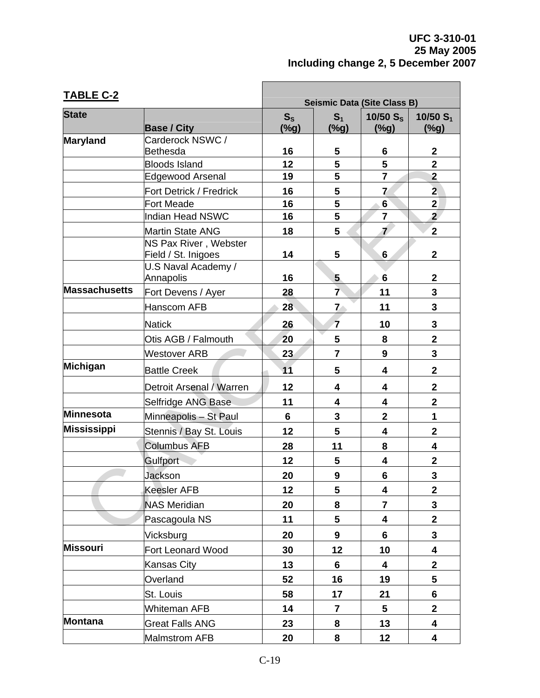| <b>TABLE C-2</b>     | <b>Seismic Data (Site Class B)</b>           |                 |                           |                         |                         |  |
|----------------------|----------------------------------------------|-----------------|---------------------------|-------------------------|-------------------------|--|
| <b>State</b>         |                                              |                 |                           |                         |                         |  |
|                      | <b>Base / City</b>                           | $S_{S}$<br>(%g) | S <sub>1</sub><br>$(\%g)$ | 10/50 $S_s$<br>$(\%g)$  | 10/50 $S_1$<br>(%g)     |  |
| Maryland             | Carderock NSWC /                             |                 |                           |                         |                         |  |
|                      | <b>Bethesda</b>                              | 16              | 5                         | 6                       | $\mathbf 2$             |  |
|                      | <b>Bloods Island</b>                         | 12              | 5                         | 5                       | $\overline{\mathbf{2}}$ |  |
|                      | <b>Edgewood Arsenal</b>                      | 19              | 5                         | $\overline{7}$          | $\overline{2}$          |  |
|                      | Fort Detrick / Fredrick                      | 16              | 5                         | $\overline{7}$          | $\overline{2}$          |  |
|                      | <b>Fort Meade</b>                            | 16              | 5                         | $6\phantom{1}$          | $\mathbf{2}$            |  |
|                      | <b>Indian Head NSWC</b>                      | 16              | 5                         | $\overline{\mathbf{r}}$ | $\overline{2}$          |  |
|                      | <b>Martin State ANG</b>                      | 18              | 5                         | 7                       | $\overline{2}$          |  |
|                      | NS Pax River, Webster<br>Field / St. Inigoes | 14              | 5                         | 6                       | $\mathbf 2$             |  |
|                      | U.S Naval Academy /<br>Annapolis             | 16              | 5                         | 6                       | $\mathbf{2}$            |  |
| <b>Massachusetts</b> | Fort Devens / Ayer                           | 28              | $\overline{\mathbf{7}}$   | 11                      | 3                       |  |
|                      | <b>Hanscom AFB</b>                           | 28              | $\overline{\mathbf{r}}$   | 11                      | $\overline{\mathbf{3}}$ |  |
|                      | <b>Natick</b>                                | 26              | $\overline{7}$            | 10                      | 3                       |  |
|                      | Otis AGB / Falmouth                          | 20              | 5                         | 8                       | $\mathbf 2$             |  |
|                      | <b>Westover ARB</b>                          | 23              | $\overline{7}$            | 9                       | 3                       |  |
| Michigan             | <b>Battle Creek</b>                          | 11              | 5                         | 4                       | $\mathbf{2}$            |  |
|                      | Detroit Arsenal / Warren                     | 12              | 4                         | 4                       | $\mathbf{2}$            |  |
|                      | Selfridge ANG Base                           | 11              | $\overline{\mathbf{4}}$   | 4                       | $\mathbf{2}$            |  |
| Minnesota            | Minneapolis - St Paul                        | 6               | 3                         | $\overline{2}$          | $\mathbf{1}$            |  |
| <b>Mississippi</b>   | Stennis / Bay St. Louis                      | 12              | 5                         | 4                       | $\mathbf 2$             |  |
|                      | <b>Columbus AFB</b>                          | 28              | 11                        | 8                       | 4                       |  |
|                      | Gulfport                                     | 12              | 5                         | 4                       | $\overline{\mathbf{2}}$ |  |
|                      | Jackson                                      | 20              | 9                         | 6                       | 3                       |  |
|                      | Keesler AFB                                  | 12              | 5                         | 4                       | $\mathbf{2}$            |  |
|                      | <b>NAS Meridian</b>                          | 20              | 8                         | $\overline{7}$          | 3                       |  |
|                      | Pascagoula NS                                | 11              | 5                         | 4                       | $\overline{\mathbf{2}}$ |  |
|                      | Vicksburg                                    | 20              | 9                         | 6                       | 3                       |  |
| <b>Missouri</b>      | Fort Leonard Wood                            | 30              | 12                        | 10                      | 4                       |  |
|                      | Kansas City                                  | 13              | 6                         | 4                       | $\overline{\mathbf{2}}$ |  |
|                      | Overland                                     | 52              | 16                        | 19                      | 5                       |  |
|                      | St. Louis                                    | 58              | 17                        | 21                      | 6                       |  |
|                      | <b>Whiteman AFB</b>                          | 14              | $\overline{7}$            | 5                       | $\overline{2}$          |  |
| <b>Montana</b>       | <b>Great Falls ANG</b>                       | 23              | 8                         | 13                      | 4                       |  |
|                      | Malmstrom AFB                                | 20              | 8                         | 12                      | 4                       |  |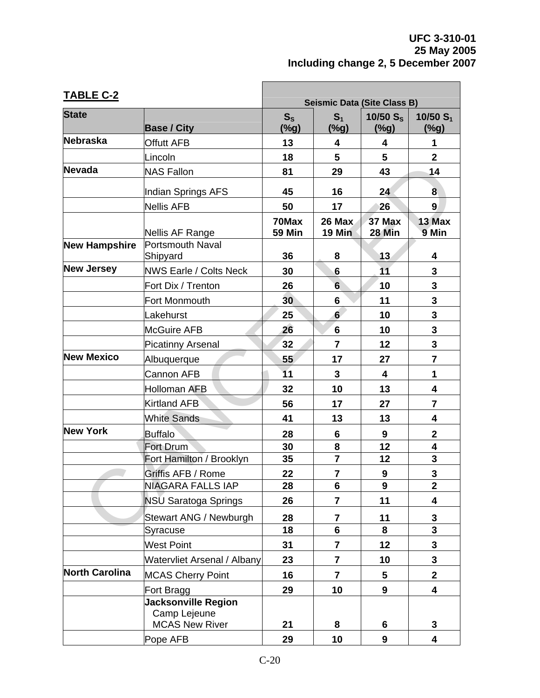| <b>TABLE C-2</b>      |                                                                     | <b>Seismic Data (Site Class B)</b> |                         |                         |                         |  |
|-----------------------|---------------------------------------------------------------------|------------------------------------|-------------------------|-------------------------|-------------------------|--|
| <b>State</b>          |                                                                     | $S_{S}$                            | S <sub>1</sub>          | 10/50 $S_s$             | 10/50 $S_1$             |  |
|                       | <b>Base / City</b>                                                  | (%g)                               | (%g)                    | $(\%g)$                 | $(\%g)$                 |  |
| Nebraska              | <b>Offutt AFB</b>                                                   | 13                                 | 4                       | 4                       | 1                       |  |
|                       | Lincoln                                                             | 18                                 | 5                       | 5                       | $\overline{2}$          |  |
| Nevada                | <b>NAS Fallon</b>                                                   | 81                                 | 29                      | 43                      | 14                      |  |
|                       | <b>Indian Springs AFS</b>                                           | 45                                 | 16                      | 24                      | 8                       |  |
|                       | <b>Nellis AFB</b>                                                   | 50                                 | 17                      | 26                      | 9                       |  |
|                       | Nellis AF Range                                                     | 70Max<br><b>59 Min</b>             | 26 Max<br>19 Min        | 37 Max<br><b>28 Min</b> | 13 Max<br>9 Min         |  |
| <b>New Hampshire</b>  | <b>Portsmouth Naval</b><br>Shipyard                                 |                                    | 8                       | 13                      | 4                       |  |
| <b>New Jersey</b>     | <b>NWS Earle / Colts Neck</b>                                       | 30                                 | 6                       | 11                      | 3                       |  |
|                       | Fort Dix / Trenton                                                  | 26                                 | 6                       | 10                      | 3                       |  |
|                       | <b>Fort Monmouth</b>                                                | 30 <sup>°</sup>                    | 6                       | 11                      | 3                       |  |
|                       | Lakehurst                                                           | 25                                 | 6                       | 10                      | 3                       |  |
|                       | <b>McGuire AFB</b>                                                  | 26                                 | $6\phantom{1}$          | 10                      | 3                       |  |
|                       | <b>Picatinny Arsenal</b>                                            | 32                                 | $\overline{7}$          | 12                      | 3                       |  |
| <b>New Mexico</b>     | Albuquerque                                                         | 55                                 | 17                      | 27                      | $\overline{\mathbf{r}}$ |  |
|                       | Cannon AFB                                                          | 11                                 | 3                       | 4                       | 1                       |  |
|                       | <b>Holloman AFB</b>                                                 | 32                                 | 10                      | 13                      | 4                       |  |
|                       | Kirtland AFB                                                        | 56                                 | 17                      | 27                      | $\overline{7}$          |  |
|                       | <b>White Sands</b>                                                  | 41                                 | 13                      | 13                      | 4                       |  |
| <b>New York</b>       | <b>Buffalo</b>                                                      | 28                                 | 6                       | 9                       | $\mathbf 2$             |  |
|                       | Fort Drum                                                           | 30                                 | 8                       | 12                      | 4                       |  |
|                       | Fort Hamilton / Brooklyn                                            | 35                                 | $\overline{\mathbf{r}}$ | 12                      | 3                       |  |
|                       | Griffis AFB / Rome                                                  | 22                                 | $\overline{7}$          | 9                       | 3                       |  |
|                       | <b>NIAGARA FALLS IAP</b>                                            | 28                                 | 6                       | $\boldsymbol{9}$        | $\mathbf 2$             |  |
|                       | <b>NSU Saratoga Springs</b>                                         | 26                                 | $\overline{7}$          | 11                      | 4                       |  |
|                       | Stewart ANG / Newburgh                                              | 28                                 | 7                       | 11                      | 3                       |  |
|                       | Syracuse                                                            | 18                                 | 6                       | 8                       | 3                       |  |
|                       | <b>West Point</b>                                                   | 31                                 | $\overline{\mathbf{7}}$ | 12                      | 3                       |  |
|                       | Watervliet Arsenal / Albany                                         | 23                                 | $\overline{\mathbf{7}}$ | 10                      | 3                       |  |
| <b>North Carolina</b> | <b>MCAS Cherry Point</b>                                            | 16                                 | $\overline{7}$          | 5                       | $\overline{2}$          |  |
|                       | Fort Bragg                                                          | 29                                 | 10                      | 9                       | 4                       |  |
|                       | <b>Jacksonville Region</b><br>Camp Lejeune<br><b>MCAS New River</b> | 21                                 | 8                       | 6                       | 3                       |  |
|                       | Pope AFB                                                            | 29                                 | 10                      | 9                       | 4                       |  |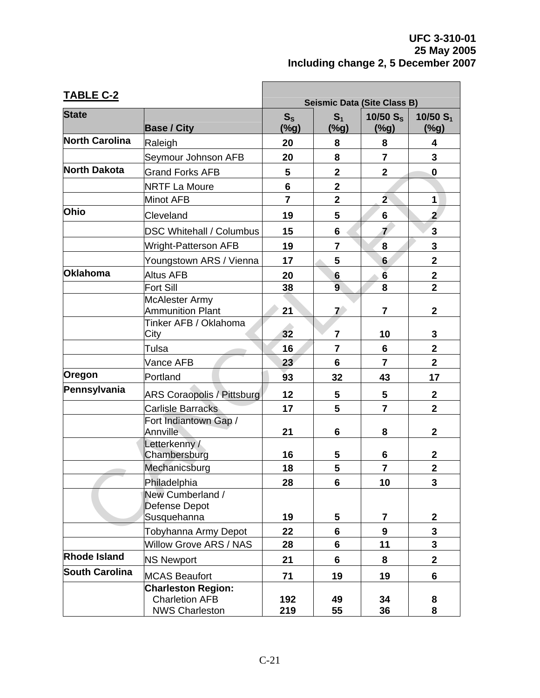| <b>TABLE C-2</b>      | <b>Seismic Data (Site Class B)</b>                                          |                 |                           |                          |                         |  |
|-----------------------|-----------------------------------------------------------------------------|-----------------|---------------------------|--------------------------|-------------------------|--|
| <b>State</b>          | <b>Base / City</b>                                                          | $S_{S}$<br>(%g) | S <sub>1</sub><br>$(\%g)$ | 10/50 $S_s$<br>$(\%g)$   | 10/50 $S_1$<br>(%g)     |  |
| <b>North Carolina</b> | Raleigh                                                                     | 20              | 8                         | 8                        | 4                       |  |
|                       | Seymour Johnson AFB                                                         | 20              | 8                         | $\overline{7}$           | 3                       |  |
| North Dakota          | <b>Grand Forks AFB</b>                                                      | 5               | $\overline{2}$            | $\overline{2}$           | $\mathbf{0}$            |  |
|                       | <b>NRTF La Moure</b>                                                        | $6\phantom{1}$  | $\mathbf{2}$              |                          |                         |  |
|                       | <b>Minot AFB</b>                                                            | $\overline{7}$  | $\overline{2}$            | $\overline{2}$           | $\mathbf{1}$            |  |
| <b>Ohio</b>           | Cleveland                                                                   | 19              | 5                         | 6                        | $\overline{2}$          |  |
|                       | <b>DSC Whitehall / Columbus</b>                                             | 15              | 6                         | $\overline{\mathcal{L}}$ | $\overline{\mathbf{3}}$ |  |
|                       | <b>Wright-Patterson AFB</b>                                                 | 19              | $\overline{7}$            | 8                        | 3                       |  |
|                       | Youngstown ARS / Vienna                                                     | 17              | 5                         | $6\phantom{1}6$          | $\overline{\mathbf{2}}$ |  |
| <b>Oklahoma</b>       | <b>Altus AFB</b>                                                            | 20              | 6                         | 6                        | $\overline{\mathbf{2}}$ |  |
|                       | Fort Sill                                                                   | 38              | 9                         | 8                        | $\overline{2}$          |  |
|                       | <b>McAlester Army</b><br><b>Ammunition Plant</b>                            | 21              | $\overline{7}$            | $\overline{7}$           | $\mathbf{2}$            |  |
|                       | Tinker AFB / Oklahoma<br>City                                               | 32              | $\overline{7}$            | 10                       | 3                       |  |
|                       | Tulsa                                                                       | 16              | $\overline{7}$            | 6                        | $\overline{\mathbf{2}}$ |  |
|                       | Vance AFB                                                                   | 23              | 6                         | $\overline{7}$           | $\overline{2}$          |  |
| Oregon                | Portland                                                                    | 93              | 32                        | 43                       | 17                      |  |
| Pennsylvania          | <b>ARS Coraopolis / Pittsburg</b>                                           | 12              | 5                         | 5                        | $\overline{\mathbf{2}}$ |  |
|                       | <b>Carlisle Barracks</b>                                                    | 17              | 5                         | $\overline{7}$           | $\overline{2}$          |  |
|                       | Fort Indiantown Gap /<br>Annville                                           | 21              | 6                         | 8                        | $\overline{2}$          |  |
|                       | Letterkenny /<br>Chambersburg                                               | 16              | 5                         | 6                        | $\mathbf 2$             |  |
|                       | Mechanicsburg                                                               | 18              | 5                         | $\overline{7}$           | $\overline{2}$          |  |
|                       | Philadelphia                                                                | 28              | 6                         | 10                       | 3                       |  |
|                       | New Cumberland /<br>Defense Depot<br>Susquehanna                            | 19              | 5                         | $\overline{\mathbf{7}}$  | $\mathbf{2}$            |  |
|                       | Tobyhanna Army Depot                                                        | 22              | 6                         | 9                        | 3                       |  |
|                       | Willow Grove ARS / NAS                                                      | 28              | $6\phantom{1}$            | 11                       | $\overline{\mathbf{3}}$ |  |
| <b>Rhode Island</b>   | <b>NS Newport</b>                                                           | 21              | 6                         | 8                        | $\mathbf{2}$            |  |
| <b>South Carolina</b> | <b>MCAS Beaufort</b>                                                        | 71              | 19                        | 19                       | 6                       |  |
|                       | <b>Charleston Region:</b><br><b>Charletion AFB</b><br><b>NWS Charleston</b> | 192<br>219      | 49<br>55                  | 34<br>36                 | 8<br>8                  |  |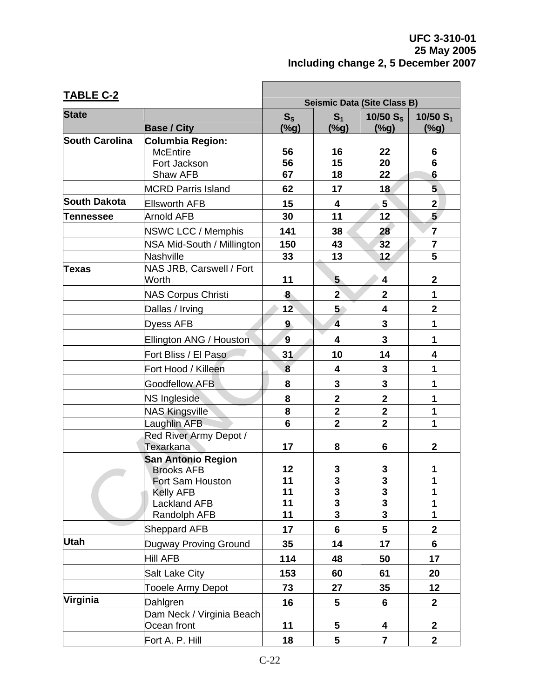| <b>TABLE C-2</b>      | <b>Seismic Data (Site Class B)</b>                                                                                            |                            |                         |                                 |                        |
|-----------------------|-------------------------------------------------------------------------------------------------------------------------------|----------------------------|-------------------------|---------------------------------|------------------------|
| <b>State</b>          | <b>Base / City</b>                                                                                                            | $S_{\rm S}$<br>(%g)        | S <sub>1</sub><br>(%g)  | 10/50 $S_s$<br>$(\%g)$          | 10/50 $S_1$<br>$(\%g)$ |
| <b>South Carolina</b> | Columbia Region:<br><b>McEntire</b><br>Fort Jackson<br>Shaw AFB                                                               | 56<br>56<br>67             | 16<br>15<br>18          | 22<br>20<br>22                  | 6<br>6<br>6            |
|                       | <b>MCRD Parris Island</b>                                                                                                     | 62                         | 17                      | 18                              | 5                      |
| <b>South Dakota</b>   | <b>Ellsworth AFB</b>                                                                                                          | 15                         | 4                       | $5^{\circ}$                     | $\mathbf{2}$           |
| <b>Tennessee</b>      | <b>Arnold AFB</b>                                                                                                             | 30                         | 11                      | 12                              | $\overline{5}$         |
|                       | <b>NSWC LCC / Memphis</b>                                                                                                     | 141                        | 38                      | 28                              | $\overline{7}$         |
|                       | NSA Mid-South / Millington                                                                                                    | 150                        | 43                      | 32                              | 7                      |
|                       | <b>Nashville</b>                                                                                                              | 33                         | 13                      | 12                              | 5                      |
| <b>Texas</b>          | NAS JRB, Carswell / Fort<br>Worth                                                                                             | 11                         | 5 <sub>5</sub>          | 4                               | $\mathbf{2}$           |
|                       | <b>NAS Corpus Christi</b>                                                                                                     | 8                          | $\overline{2}$          | $\overline{2}$                  | $\mathbf{1}$           |
|                       | Dallas / Irving                                                                                                               | 12                         | 5 <sup>5</sup>          | $\overline{\mathbf{4}}$         | $\mathbf 2$            |
|                       | Dyess AFB                                                                                                                     | 9                          | $\overline{\mathbf{4}}$ | 3                               | 1                      |
|                       | Ellington ANG / Houston                                                                                                       | $\overline{9}$             | 4                       | 3                               | 1                      |
|                       | Fort Bliss / El Paso                                                                                                          | 31                         | 10                      | 14                              | 4                      |
|                       | Fort Hood / Killeen                                                                                                           | 8                          | 4                       | 3                               | 1                      |
|                       | <b>Goodfellow AFB</b>                                                                                                         | 8                          | 3                       | 3                               | 1                      |
|                       | <b>NS Ingleside</b>                                                                                                           | 8                          | $\mathbf 2$             | $\mathbf{2}$                    | 1                      |
|                       | <b>NAS Kingsville</b>                                                                                                         | 8                          | $\overline{\mathbf{2}}$ | $\mathbf{2}$                    | 1                      |
|                       | Laughlin AFB                                                                                                                  | 6                          | $\overline{\mathbf{2}}$ | $\overline{2}$                  | 1                      |
|                       | Red River Army Depot /<br>Texarkana                                                                                           | 17                         | 8                       | $6\phantom{1}6$                 | $\mathbf{2}$           |
|                       | <b>San Antonio Region</b><br><b>Brooks AFB</b><br>Fort Sam Houston<br><b>Kelly AFB</b><br><b>Lackland AFB</b><br>Randolph AFB | 12<br>11<br>11<br>11<br>11 | 3<br>3<br>3<br>3<br>3   | $\mathbf 3$<br>3<br>3<br>3<br>3 | 1<br>1<br>1<br>1       |
|                       | Sheppard AFB                                                                                                                  | 17                         | 6                       | 5                               | $\mathbf 2$            |
| <b>Utah</b>           | <b>Dugway Proving Ground</b>                                                                                                  | 35                         | 14                      | 17                              | 6                      |
|                       | <b>Hill AFB</b>                                                                                                               | 114                        | 48                      | 50                              | 17                     |
|                       | Salt Lake City                                                                                                                | 153                        | 60                      | 61                              | 20                     |
|                       | <b>Tooele Army Depot</b>                                                                                                      | 73                         | 27                      | 35                              | 12                     |
| Virginia              | Dahlgren                                                                                                                      | 16                         | 5                       | 6                               | $\mathbf 2$            |
|                       | Dam Neck / Virginia Beach<br>Ocean front                                                                                      | 11                         | 5                       | 4                               | $\mathbf{2}$           |
|                       | Fort A. P. Hill                                                                                                               | 18                         | 5                       | $\overline{7}$                  | $\overline{2}$         |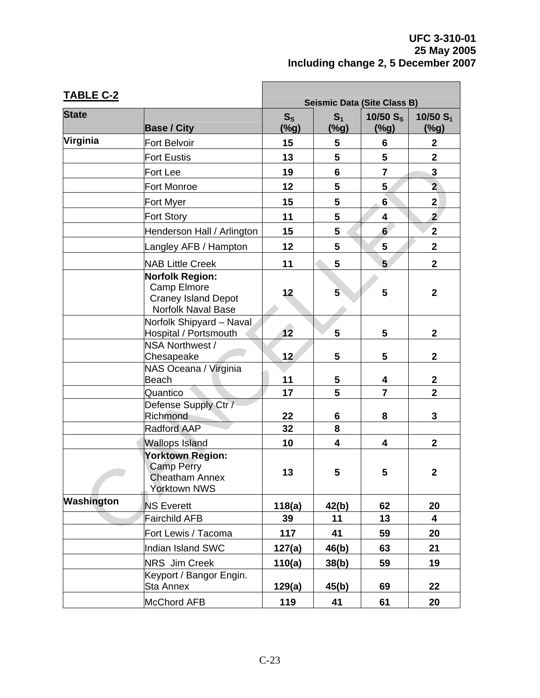| <b>TABLE C-2</b> | <b>Seismic Data (Site Class B)</b>                                                               |                 |                        |                              |                         |
|------------------|--------------------------------------------------------------------------------------------------|-----------------|------------------------|------------------------------|-------------------------|
| <b>State</b>     | <b>Base / City</b>                                                                               | $S_{S}$<br>(%g) | S <sub>1</sub><br>(%g) | 10/50 S <sub>s</sub><br>(%g) | $10/50 S_1$<br>(%g)     |
| Virginia         | Fort Belvoir                                                                                     | 15              | 5                      | 6                            | $\mathbf 2$             |
|                  | <b>Fort Eustis</b>                                                                               | 13              | 5                      | 5                            | $\overline{\mathbf{2}}$ |
|                  | Fort Lee                                                                                         | 19              | $6\phantom{1}$         | $\overline{7}$               | 3                       |
|                  | Fort Monroe                                                                                      | 12              | 5                      | 5                            | $\overline{2}$          |
|                  | Fort Myer                                                                                        | 15              | 5                      | $6 \overline{6}$             | $\mathbf{2}$            |
|                  | Fort Story                                                                                       | 11              | 5                      | 4                            | $\overline{2}$          |
|                  | Henderson Hall / Arlington                                                                       | 15              | 5                      | $6\phantom{1}$               | $\overline{2}$          |
|                  | Langley AFB / Hampton                                                                            | 12              | 5                      | 5                            | $\overline{\mathbf{2}}$ |
|                  | <b>NAB Little Creek</b>                                                                          | 11              | 5                      | 5 <sup>5</sup>               | $\mathbf 2$             |
|                  | <b>Norfolk Region:</b><br>Camp Elmore<br><b>Craney Island Depot</b><br><b>Norfolk Naval Base</b> | 12              | 5 <sup>5</sup>         | 5                            | $\mathbf{2}$            |
|                  | Norfolk Shipyard - Naval<br>Hospital / Portsmouth                                                | 12              | 5                      | 5                            | $\overline{2}$          |
|                  | NSA Northwest /<br>Chesapeake                                                                    | 12 <sup>7</sup> | 5                      | 5                            | $\overline{\mathbf{2}}$ |
|                  | NAS Oceana / Virginia<br>Beach                                                                   | 11              | 5                      | 4                            | $\mathbf 2$             |
|                  | Quantico                                                                                         | 17              | 5                      | $\overline{7}$               | $\overline{2}$          |
|                  | Defense Supply Ctr /<br>Richmond<br><b>Radford AAP</b>                                           | 22<br>32        | 6<br>8                 | 8                            | 3                       |
|                  | <b>Wallops Island</b>                                                                            | 10              | 4                      | 4                            | $\mathbf 2$             |
|                  | <b>Yorktown Region:</b><br><b>Camp Perry</b><br><b>Cheatham Annex</b><br><b>Yorktown NWS</b>     | 13              | 5                      | 5                            | $\overline{\mathbf{2}}$ |
| Washington       | <b>NS Everett</b>                                                                                | 118(a)          | 42(b)                  | 62                           | 20                      |
|                  | Fairchild AFB                                                                                    | 39              | 11                     | 13                           | 4                       |
|                  | Fort Lewis / Tacoma                                                                              | 117             | 41                     | 59                           | 20                      |
|                  | Indian Island SWC                                                                                | 127(a)          | 46(b)                  | 63                           | 21                      |
|                  | NRS Jim Creek                                                                                    | 110(a)          | 38(b)                  | 59                           | 19                      |
|                  | Keyport / Bangor Engin.<br>Sta Annex                                                             | 129(a)          | 45(b)                  | 69                           | 22                      |
|                  | <b>McChord AFB</b>                                                                               | 119             | 41                     | 61                           | 20                      |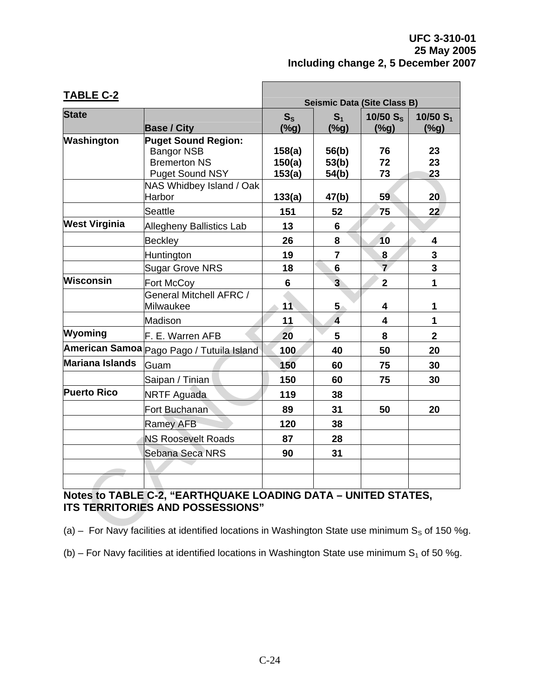| <b>State</b>           |                                                    | $S_{S}$ | S <sub>1</sub>          | 10/50 $S_s$             | 10/50 $S_1$             |
|------------------------|----------------------------------------------------|---------|-------------------------|-------------------------|-------------------------|
|                        | <b>Base / City</b>                                 | $(\%g)$ | $(\%g)$                 | $(\%g)$                 | (%g)                    |
| Washington             | <b>Puget Sound Region:</b>                         |         |                         |                         |                         |
|                        | <b>Bangor NSB</b>                                  | 158(a)  | 56(b)                   | 76                      | 23                      |
|                        | <b>Bremerton NS</b>                                | 150(a)  | 53(b)                   | 72                      | 23                      |
|                        | <b>Puget Sound NSY</b><br>NAS Whidbey Island / Oak | 153(a)  | 54(b)                   | 73                      | 23                      |
|                        | Harbor                                             | 133(a)  | 47(b)                   | 59                      | 20                      |
|                        | <b>Seattle</b>                                     | 151     | 52                      | 75                      | 22                      |
| <b>West Virginia</b>   | Allegheny Ballistics Lab                           | 13      | 6                       |                         |                         |
|                        | <b>Beckley</b>                                     | 26      | 8                       | 10                      | $\overline{\mathbf{4}}$ |
|                        | Huntington                                         | 19      | $\overline{7}$          | 8                       | 3                       |
|                        | <b>Sugar Grove NRS</b>                             | 18      | 6                       | $\overline{7}$          | 3                       |
| Wisconsin              | Fort McCoy                                         | 6       | $\overline{\mathbf{3}}$ | $\overline{2}$          | $\mathbf{1}$            |
|                        | General Mitchell AFRC /<br>Milwaukee               | 11      | 5 <sub>5</sub>          | 4                       | 1                       |
|                        | Madison                                            | 11      | $\overline{4}$          | $\overline{\mathbf{4}}$ | 1                       |
| Wyoming                | F. E. Warren AFB                                   | 20      | 5                       | 8                       | $\overline{2}$          |
|                        |                                                    | 100     | 40                      | 50                      | 20                      |
| <b>Mariana Islands</b> | Guam                                               | 150     | 60                      | 75                      | 30                      |
|                        | Saipan / Tinian                                    | 150     | 60                      | 75                      | 30                      |
| <b>Puerto Rico</b>     | <b>NRTF Aguada</b>                                 | 119     | 38                      |                         |                         |
|                        | Fort Buchanan                                      | 89      | 31                      | 50                      | 20                      |
|                        | <b>Ramey AFB</b>                                   | 120     | 38                      |                         |                         |
|                        | <b>NS Roosevelt Roads</b>                          | 87      | 28                      |                         |                         |
|                        | <b>Sebana Seca NRS</b>                             | 90      | 31                      |                         |                         |
|                        |                                                    |         |                         |                         |                         |
|                        |                                                    |         |                         |                         |                         |

(b) – For Navy facilities at identified locations in Washington State use minimum  $S_1$  of 50 %g.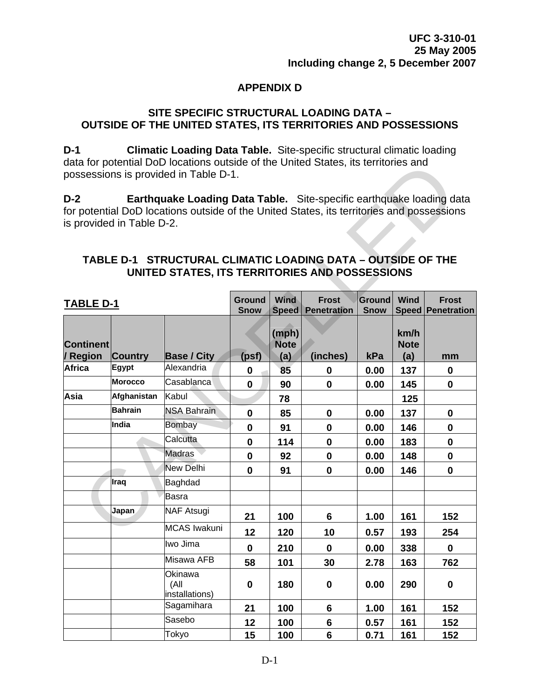## **APPENDIX D**

#### **SITE SPECIFIC STRUCTURAL LOADING DATA – OUTSIDE OF THE UNITED STATES, ITS TERRITORIES AND POSSESSIONS**

**D-1 Climatic Loading Data Table.** Site-specific structural climatic loading data for potential DoD locations outside of the United States, its territories and possessions is provided in Table D-1.

|                  |                           | data for potential DoD locations outside of the United States, its territories and<br>possessions is provided in Table D-1.                                                                                                                                                                      |                              |                      |                                    |                              |                     |                                          |
|------------------|---------------------------|--------------------------------------------------------------------------------------------------------------------------------------------------------------------------------------------------------------------------------------------------------------------------------------------------|------------------------------|----------------------|------------------------------------|------------------------------|---------------------|------------------------------------------|
| $D-2$            | is provided in Table D-2. | <b>Earthquake Loading Data Table.</b> Site-specific earthquake loading data<br>for potential DoD locations outside of the United States, its territories and possessions<br><b>TABLE D-1 STRUCTURAL CLIMATIC LOADING DATA - OUTSIDE OF THE</b><br>UNITED STATES, ITS TERRITORIES AND POSSESSIONS |                              |                      |                                    |                              |                     |                                          |
| <b>TABLE D-1</b> |                           |                                                                                                                                                                                                                                                                                                  | <b>Ground</b><br><b>Snow</b> | Wind<br><b>Speed</b> | <b>Frost</b><br><b>Penetration</b> | <b>Ground</b><br><b>Snow</b> | <b>Wind</b>         | <b>Frost</b><br><b>Speed Penetration</b> |
| <b>Continent</b> |                           |                                                                                                                                                                                                                                                                                                  |                              | (mph)<br><b>Note</b> |                                    |                              | km/h<br><b>Note</b> |                                          |
| / Region         | <b>Country</b>            | <b>Base / City</b>                                                                                                                                                                                                                                                                               | (psf)                        | (a)                  | (inches)                           | kPa                          | (a)                 | mm                                       |
| <b>Africa</b>    | <b>Egypt</b>              | Alexandria                                                                                                                                                                                                                                                                                       | $\mathbf 0$                  | 85                   | 0                                  | 0.00                         | 137                 | $\mathbf 0$                              |
|                  | <b>Morocco</b>            | Casablanca                                                                                                                                                                                                                                                                                       | $\mathbf 0$                  | 90                   | $\mathbf 0$                        | 0.00                         | 145                 | $\mathbf 0$                              |
| Asia             | Afghanistan               | Kabul                                                                                                                                                                                                                                                                                            |                              | 78                   |                                    |                              | 125                 |                                          |
|                  | <b>Bahrain</b>            | <b>NSA Bahrain</b>                                                                                                                                                                                                                                                                               | $\mathbf 0$                  | 85                   | $\mathbf 0$                        | 0.00                         | 137                 | $\bf{0}$                                 |
|                  | India                     | Bombay                                                                                                                                                                                                                                                                                           | $\mathbf 0$                  | 91                   | $\mathbf 0$                        | 0.00                         | 146                 | $\bf{0}$                                 |
|                  |                           | Calcutta                                                                                                                                                                                                                                                                                         | $\bf{0}$                     | 114                  | 0                                  | 0.00                         | 183                 | $\bf{0}$                                 |
|                  |                           | <b>Madras</b>                                                                                                                                                                                                                                                                                    | $\mathbf 0$                  | 92                   | $\mathbf 0$                        | 0.00                         | 148                 | $\bf{0}$                                 |
|                  |                           | <b>New Delhi</b>                                                                                                                                                                                                                                                                                 | $\bf{0}$                     | 91                   | 0                                  | 0.00                         | 146                 | 0                                        |
|                  | Iraq                      | Baghdad                                                                                                                                                                                                                                                                                          |                              |                      |                                    |                              |                     |                                          |
|                  |                           | Basra                                                                                                                                                                                                                                                                                            |                              |                      |                                    |                              |                     |                                          |
|                  | Japan                     | <b>NAF Atsugi</b>                                                                                                                                                                                                                                                                                | 21                           | 100                  | 6                                  | 1.00                         | 161                 | 152                                      |
|                  |                           | <b>MCAS Iwakuni</b>                                                                                                                                                                                                                                                                              | 12                           | 120                  | 10                                 | 0.57                         | 193                 | 254                                      |
|                  |                           | Iwo Jima                                                                                                                                                                                                                                                                                         | $\mathbf 0$                  | 210                  | 0                                  | 0.00                         | 338                 | 0                                        |
|                  |                           | Misawa AFB                                                                                                                                                                                                                                                                                       | 58                           | 101                  | 30                                 | 2.78                         | 163                 | 762                                      |
|                  |                           | Okinawa<br>(All<br>installations)                                                                                                                                                                                                                                                                | $\mathbf 0$                  | 180                  | 0                                  | 0.00                         | 290                 | 0                                        |
|                  |                           | Sagamihara                                                                                                                                                                                                                                                                                       | 21                           | 100                  | 6                                  | 1.00                         | 161                 | 152                                      |
|                  |                           | Sasebo                                                                                                                                                                                                                                                                                           | 12                           | 100                  | 6                                  | 0.57                         | 161                 | 152                                      |
|                  |                           | Tokyo                                                                                                                                                                                                                                                                                            | 15                           | 100                  | 6                                  | 0.71                         | 161                 | 152                                      |

### **TABLE D-1 STRUCTURAL CLIMATIC LOADING DATA – OUTSIDE OF THE UNITED STATES, ITS TERRITORIES AND POSSESSIONS**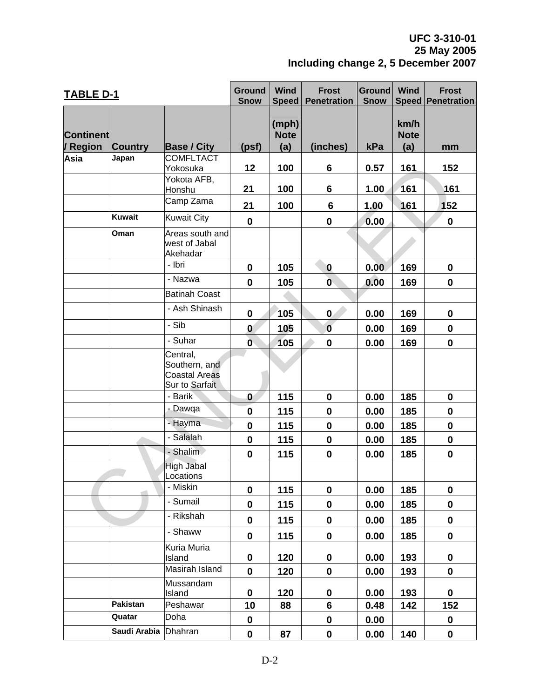| <b>TABLE D-1</b>             |                |                                                                     | <b>Ground</b><br><b>Snow</b> | <b>Wind</b><br><b>Speed</b> | <b>Frost</b><br><b>Penetration</b> | <b>Ground</b><br><b>Snow</b> | <b>Wind</b>                | <b>Frost</b><br><b>Speed Penetration</b> |
|------------------------------|----------------|---------------------------------------------------------------------|------------------------------|-----------------------------|------------------------------------|------------------------------|----------------------------|------------------------------------------|
| <b>Continent</b><br>/ Region | <b>Country</b> | <b>Base / City</b>                                                  | (psf)                        | (mph)<br><b>Note</b><br>(a) | (inches)                           | kPa                          | km/h<br><b>Note</b><br>(a) | mm                                       |
| Asia                         | Japan          | <b>COMFLTACT</b><br>Yokosuka                                        | 12                           | 100                         | 6                                  | 0.57                         | 161                        | 152                                      |
|                              |                | Yokota AFB,<br>Honshu                                               | 21                           | 100                         | 6                                  | 1.00                         | 161                        | 161                                      |
|                              |                | Camp Zama                                                           | 21                           | 100                         | 6                                  | 1.00                         | 161                        | 152                                      |
|                              | Kuwait         | <b>Kuwait City</b>                                                  | $\mathbf 0$                  |                             | $\mathbf 0$                        | 0.00                         |                            | $\mathbf 0$                              |
|                              | Oman           | Areas south and<br>west of Jabal<br>Akehadar                        |                              |                             |                                    |                              |                            |                                          |
|                              |                | - Ibri                                                              | $\mathbf 0$                  | 105                         | 0                                  | 0.00                         | 169                        | $\mathbf 0$                              |
|                              |                | - Nazwa                                                             | $\mathbf 0$                  | 105                         | $\overline{\mathbf{0}}$            | 0.00                         | 169                        | $\mathbf 0$                              |
|                              |                | <b>Batinah Coast</b>                                                |                              |                             |                                    |                              |                            |                                          |
|                              |                | - Ash Shinash                                                       | $\mathbf 0$                  | 105                         | $\bf{0}$                           | 0.00                         | 169                        | $\bf{0}$                                 |
|                              |                | - Sib                                                               | 0                            | 105                         | $\overline{\mathbf{0}}$            | 0.00                         | 169                        | $\mathbf 0$                              |
|                              |                | - Suhar                                                             | $\overline{\mathbf{0}}$      | 105                         | $\mathbf 0$                        | 0.00                         | 169                        | $\mathbf 0$                              |
|                              |                | Central,<br>Southern, and<br><b>Coastal Areas</b><br>Sur to Sarfait |                              |                             |                                    |                              |                            |                                          |
|                              |                | - Barik                                                             | $\mathbf{0}$                 | 115                         | $\mathbf 0$                        | 0.00                         | 185                        | $\mathbf 0$                              |
|                              |                | - Dawqa                                                             | $\bf{0}$                     | 115                         | $\mathbf 0$                        | 0.00                         | 185                        | $\mathbf 0$                              |
|                              |                | - Hayma                                                             | $\mathbf 0$                  | 115                         | $\mathbf 0$                        | 0.00                         | 185                        | $\mathbf 0$                              |
|                              |                | - Salalah                                                           | $\bf{0}$                     | 115                         | $\mathbf 0$                        | 0.00                         | 185                        | $\pmb{0}$                                |
|                              |                | - Shalim                                                            | $\mathbf 0$                  | 115                         | $\mathbf 0$                        | 0.00                         | 185                        | $\pmb{0}$                                |
|                              |                | <b>High Jabal</b><br>Locations                                      |                              |                             |                                    |                              |                            |                                          |
|                              |                | - Miskin                                                            | 0                            | 115                         | $\mathbf 0$                        | 0.00                         | 185                        | $\mathbf 0$                              |
|                              |                | - Sumail                                                            | $\mathbf 0$                  | 115                         | $\pmb{0}$                          | 0.00                         | 185                        | 0                                        |
|                              |                | - Rikshah                                                           | 0                            | 115                         | $\mathbf 0$                        | 0.00                         | 185                        | 0                                        |
|                              |                | - Shaww                                                             | 0                            | 115                         | $\pmb{0}$                          | 0.00                         | 185                        | 0                                        |
|                              |                | Kuria Muria<br>Island                                               | 0                            | 120                         | 0                                  | 0.00                         | 193                        | 0                                        |
|                              |                | Masirah Island                                                      | $\mathbf 0$                  | 120                         | $\mathbf 0$                        | 0.00                         | 193                        | $\mathbf 0$                              |
|                              |                | Mussandam<br>Island                                                 | 0                            | 120                         | 0                                  | 0.00                         | 193                        | $\mathbf 0$                              |
|                              | Pakistan       | Peshawar                                                            | 10                           | 88                          | 6                                  | 0.48                         | 142                        | 152                                      |
|                              | Quatar         | Doha                                                                | 0                            |                             | $\pmb{0}$                          | 0.00                         |                            | $\mathbf 0$                              |
|                              | Saudi Arabia   | Dhahran                                                             | $\mathbf 0$                  | 87                          | $\pmb{0}$                          | 0.00                         | 140                        | $\mathbf 0$                              |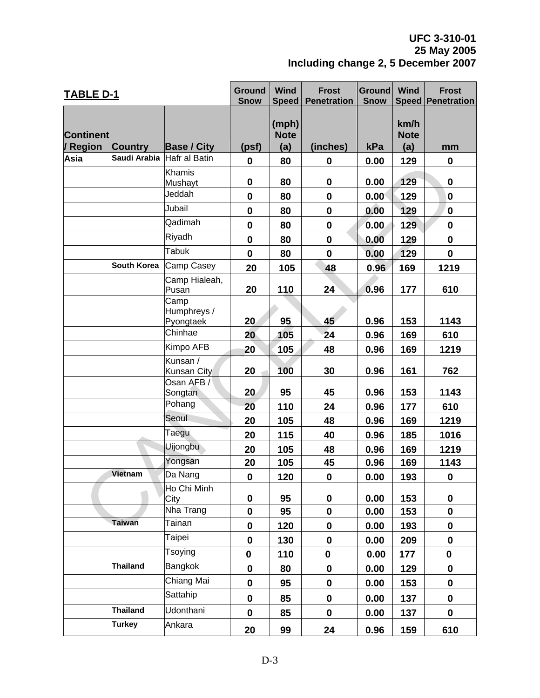| <b>TABLE D-1</b>             |                    |                                       | <b>Ground</b><br><b>Snow</b> | <b>Wind</b><br><b>Speed</b> | <b>Frost</b><br><b>Penetration</b> | <b>Ground</b><br><b>Snow</b> | <b>Wind</b>                | <b>Frost</b><br><b>Speed Penetration</b> |
|------------------------------|--------------------|---------------------------------------|------------------------------|-----------------------------|------------------------------------|------------------------------|----------------------------|------------------------------------------|
| <b>Continent</b><br>/ Region | <b>Country</b>     | <b>Base / City</b>                    | (psf)                        | (mph)<br><b>Note</b><br>(a) | (inches)                           | kPa                          | km/h<br><b>Note</b><br>(a) | mm                                       |
| Asia                         | Saudi Arabia       | Hafr al Batin                         | $\bf{0}$                     | 80                          | $\bf{0}$                           | 0.00                         | 129                        | $\mathbf 0$                              |
|                              |                    | <b>Khamis</b><br>Mushayt              | $\bf{0}$                     | 80                          | $\bf{0}$                           | 0.00                         | 129                        | $\bf{0}$                                 |
|                              |                    | Jeddah                                | $\mathbf 0$                  | 80                          | $\mathbf 0$                        | 0.00                         | 129                        | $\mathbf 0$                              |
|                              |                    | Jubail                                | $\mathbf 0$                  | 80                          | $\mathbf 0$                        | 0.00                         | 129                        | $\mathbf 0$                              |
|                              |                    | Qadimah                               | $\mathbf 0$                  | 80                          | $\bf{0}$                           | 0.00                         | 129                        | $\pmb{0}$                                |
|                              |                    | Riyadh                                | $\bf{0}$                     | 80                          | $\mathbf 0$                        | 0.00                         | 129                        | $\mathbf 0$                              |
|                              |                    | <b>Tabuk</b>                          | $\mathbf 0$                  | 80                          | $\mathbf 0$                        | 0.00                         | 129                        | $\mathbf 0$                              |
|                              | <b>South Korea</b> | Camp Casey                            | 20                           | 105                         | 48                                 | 0.96                         | 169                        | 1219                                     |
|                              |                    | Camp Hialeah,<br>Pusan                | 20                           | 110                         | 24                                 | 0.96                         | 177                        | 610                                      |
|                              |                    | Camp<br>Humphreys /                   |                              |                             |                                    |                              |                            |                                          |
|                              |                    | Pyongtaek<br>Chinhae                  | 20                           | 95                          | 45                                 | 0.96                         | 153                        | 1143                                     |
|                              |                    |                                       | 20                           | 105                         | 24                                 | 0.96                         | 169                        | 610                                      |
|                              |                    | Kimpo AFB                             | 20                           | 105                         | 48                                 | 0.96                         | 169                        | 1219                                     |
|                              |                    | Kunsan /<br>Kunsan City<br>Osan AFB / | 20                           | 100                         | 30                                 | 0.96                         | 161                        | 762                                      |
|                              |                    | Songtan                               | 20                           | 95                          | 45                                 | 0.96                         | 153                        | 1143                                     |
|                              |                    | Pohang                                | 20                           | 110                         | 24                                 | 0.96                         | 177                        | 610                                      |
|                              |                    | Seoul                                 | 20                           | 105                         | 48                                 | 0.96                         | 169                        | 1219                                     |
|                              |                    | Taegu                                 | 20                           | 115                         | 40                                 | 0.96                         | 185                        | 1016                                     |
|                              |                    | <b>Uijongbu</b>                       | 20                           | 105                         | 48                                 | 0.96                         | 169                        | 1219                                     |
|                              |                    | Yongsan                               | 20                           | 105                         | 45                                 | 0.96                         | 169                        | 1143                                     |
|                              | <b>Vietnam</b>     | Da Nang                               | $\pmb{0}$                    | 120                         | $\pmb{0}$                          | 0.00                         | 193                        | $\pmb{0}$                                |
|                              |                    | Ho Chi Minh                           |                              |                             |                                    |                              |                            |                                          |
|                              |                    | City                                  | $\mathbf 0$                  | 95                          | 0                                  | 0.00                         | 153                        | 0                                        |
|                              |                    | Nha Trang                             | $\mathbf 0$                  | 95                          | $\mathbf 0$                        | 0.00                         | 153                        | $\mathbf 0$                              |
|                              | <b>Taiwan</b>      | Tainan                                | $\pmb{0}$                    | 120                         | $\pmb{0}$                          | 0.00                         | 193                        | $\boldsymbol{0}$                         |
|                              |                    | Taipei                                | $\pmb{0}$                    | 130                         | $\pmb{0}$                          | 0.00                         | 209                        | $\pmb{0}$                                |
|                              |                    | Tsoying                               | $\mathbf 0$                  | 110                         | $\mathbf 0$                        | 0.00                         | 177                        | 0                                        |
|                              | <b>Thailand</b>    | Bangkok                               | $\pmb{0}$                    | 80                          | $\pmb{0}$                          | 0.00                         | 129                        | $\pmb{0}$                                |
|                              |                    | Chiang Mai                            | $\pmb{0}$                    | 95                          | $\pmb{0}$                          | 0.00                         | 153                        | $\boldsymbol{0}$                         |
|                              |                    | Sattahip                              | $\mathbf 0$                  | 85                          | $\mathbf 0$                        | 0.00                         | 137                        | $\mathbf 0$                              |
|                              | <b>Thailand</b>    | Udonthani                             | $\mathbf 0$                  | 85                          | $\mathbf 0$                        | 0.00                         | 137                        | $\mathbf 0$                              |
|                              | <b>Turkey</b>      | Ankara                                | 20                           | 99                          | 24                                 | 0.96                         | 159                        | 610                                      |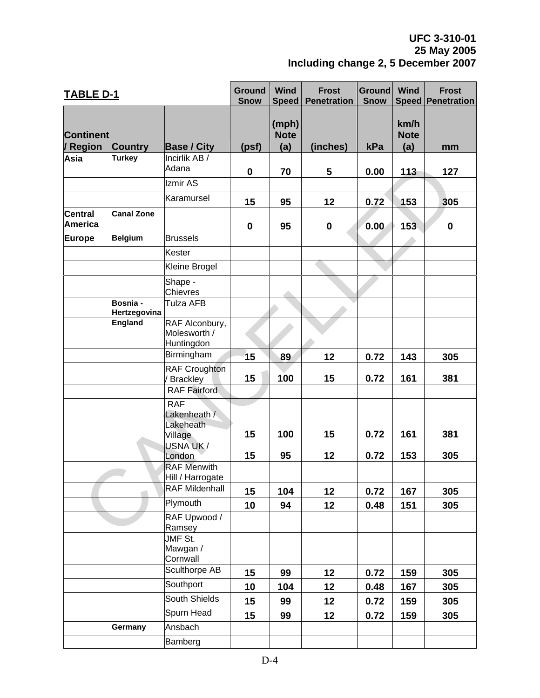| <b>TABLE D-1</b>             |                          |                                                    | <b>Ground</b><br><b>Snow</b> | <b>Wind</b><br><b>Speed</b> | <b>Frost</b><br><b>Penetration</b> | <b>Ground</b><br><b>Snow</b> | <b>Wind</b>                | <b>Frost</b><br><b>Speed Penetration</b> |
|------------------------------|--------------------------|----------------------------------------------------|------------------------------|-----------------------------|------------------------------------|------------------------------|----------------------------|------------------------------------------|
| <b>Continent</b><br>/ Region | <b>Country</b>           | <b>Base / City</b>                                 | (psf)                        | (mph)<br><b>Note</b><br>(a) | (inches)                           | kPa                          | km/h<br><b>Note</b><br>(a) | mm                                       |
| Asia                         | <b>Turkey</b>            | Incirlik AB /                                      |                              |                             |                                    |                              |                            |                                          |
|                              |                          | Adana                                              | $\mathbf 0$                  | 70                          | 5                                  | 0.00                         | 113                        | 127                                      |
|                              |                          | Izmir AS                                           |                              |                             |                                    |                              |                            |                                          |
|                              |                          | Karamursel                                         | 15                           | 95                          | 12                                 | 0.72                         | 153                        | 305                                      |
| Central                      | <b>Canal Zone</b>        |                                                    |                              |                             |                                    |                              |                            |                                          |
| <b>America</b>               |                          |                                                    | $\mathbf 0$                  | 95                          | $\mathbf 0$                        | 0.00                         | 153                        | $\mathbf 0$                              |
| Europe                       | <b>Belgium</b>           | <b>Brussels</b>                                    |                              |                             |                                    |                              |                            |                                          |
|                              |                          | Kester                                             |                              |                             |                                    |                              |                            |                                          |
|                              |                          | Kleine Brogel                                      |                              |                             |                                    |                              |                            |                                          |
|                              |                          | Shape -<br>Chievres                                |                              |                             |                                    |                              |                            |                                          |
|                              | Bosnia -<br>Hertzegovina | Tulza AFB                                          |                              |                             |                                    |                              |                            |                                          |
|                              | <b>England</b>           | RAF Alconbury,<br>Molesworth /<br>Huntingdon       |                              |                             |                                    |                              |                            |                                          |
|                              |                          | Birmingham                                         | 15                           | 89                          | 12                                 | 0.72                         | 143                        | 305                                      |
|                              |                          | <b>RAF Croughton</b><br>/ Brackley                 | 15                           | 100                         | 15                                 | 0.72                         | 161                        | 381                                      |
|                              |                          | <b>RAF Fairford</b>                                |                              |                             |                                    |                              |                            |                                          |
|                              |                          | <b>RAF</b><br>Lakenheath /<br>Lakeheath<br>Village | 15                           | 100                         | 15                                 | 0.72                         | 161                        | 381                                      |
|                              |                          | USNA UK /<br>London                                | 15                           | 95                          | 12                                 | 0.72                         | 153                        | 305                                      |
|                              |                          | <b>RAF Menwith</b><br>Hill / Harrogate             |                              |                             |                                    |                              |                            |                                          |
|                              |                          | RAF Mildenhall                                     | 15                           | 104                         | 12                                 | 0.72                         | 167                        | 305                                      |
|                              |                          | Plymouth                                           | 10                           | 94                          | 12                                 | 0.48                         | 151                        | 305                                      |
|                              |                          | RAF Upwood /<br>Ramsey<br>JMF St.                  |                              |                             |                                    |                              |                            |                                          |
|                              |                          | Mawgan /<br>Cornwall                               |                              |                             |                                    |                              |                            |                                          |
|                              |                          | Sculthorpe AB                                      | 15                           | 99                          | 12                                 | 0.72                         | 159                        | 305                                      |
|                              |                          | Southport                                          | 10                           | 104                         | 12                                 | 0.48                         | 167                        | 305                                      |
|                              |                          | South Shields                                      | 15                           | 99                          | 12                                 | 0.72                         | 159                        | 305                                      |
|                              |                          | Spurn Head                                         | 15                           | 99                          | 12 <sub>2</sub>                    | 0.72                         | 159                        | 305                                      |
|                              | Germany                  | Ansbach                                            |                              |                             |                                    |                              |                            |                                          |
|                              |                          | Bamberg                                            |                              |                             |                                    |                              |                            |                                          |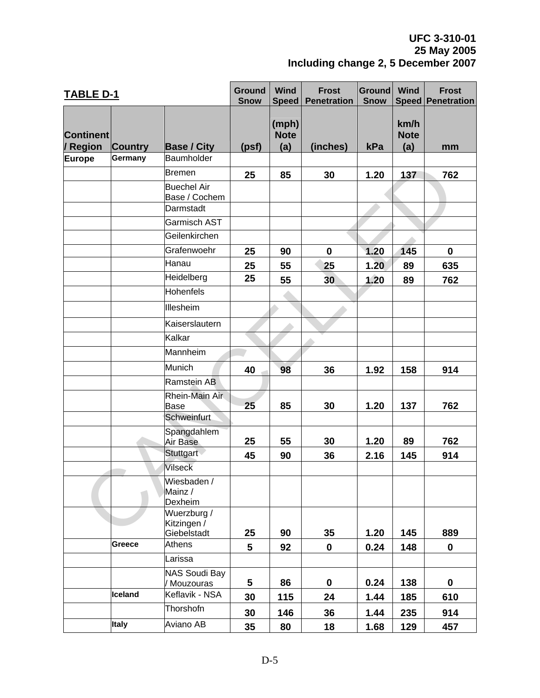| <b>TABLE D-1</b>             |                |                                           | <b>Ground</b><br><b>Snow</b> | <b>Wind</b><br><b>Speed</b> | <b>Frost</b><br><b>Penetration</b> | <b>Ground</b><br><b>Snow</b> | <b>Wind</b>                | <b>Frost</b><br><b>Speed Penetration</b> |
|------------------------------|----------------|-------------------------------------------|------------------------------|-----------------------------|------------------------------------|------------------------------|----------------------------|------------------------------------------|
| <b>Continent</b><br>/ Region | <b>Country</b> | <b>Base / City</b>                        | (psf)                        | (mph)<br><b>Note</b><br>(a) | (inches)                           | kPa                          | km/h<br><b>Note</b><br>(a) | mm                                       |
| <b>Europe</b>                | Germany        | Baumholder                                |                              |                             |                                    |                              |                            |                                          |
|                              |                | <b>Bremen</b>                             | 25                           | 85                          | 30                                 | 1.20                         | 137                        | 762                                      |
|                              |                | <b>Buechel Air</b><br>Base / Cochem       |                              |                             |                                    |                              |                            |                                          |
|                              |                | Darmstadt                                 |                              |                             |                                    |                              |                            |                                          |
|                              |                | Garmisch AST                              |                              |                             |                                    |                              |                            |                                          |
|                              |                | Geilenkirchen                             |                              |                             |                                    |                              |                            |                                          |
|                              |                | Grafenwoehr                               | 25                           | 90                          | $\mathbf 0$                        | 1.20                         | 145                        | $\mathbf 0$                              |
|                              |                | Hanau                                     | 25                           | 55                          | 25                                 | 1.20                         | 89                         | 635                                      |
|                              |                | Heidelberg                                | 25                           | 55                          | 30 <sup>°</sup>                    | 1.20                         | 89                         | 762                                      |
|                              |                | Hohenfels                                 |                              |                             |                                    |                              |                            |                                          |
|                              |                | Illesheim                                 |                              |                             |                                    |                              |                            |                                          |
|                              |                | Kaiserslautern                            |                              |                             |                                    |                              |                            |                                          |
|                              |                | Kalkar                                    |                              |                             |                                    |                              |                            |                                          |
|                              |                | Mannheim                                  |                              |                             |                                    |                              |                            |                                          |
|                              |                | Munich                                    | 40                           | 98                          | 36                                 | 1.92                         | 158                        | 914                                      |
|                              |                | Ramstein AB                               |                              |                             |                                    |                              |                            |                                          |
|                              |                | Rhein-Main Air<br><b>Base</b>             | 25                           | 85                          | 30                                 | 1.20                         | 137                        | 762                                      |
|                              |                | Schweinfurt                               |                              |                             |                                    |                              |                            |                                          |
|                              |                | Spangdahlem<br>Air Base                   | 25                           | 55                          | 30                                 | 1.20                         | 89                         | 762                                      |
|                              |                | <b>Stuttgart</b>                          | 45                           | 90                          | 36                                 | 2.16                         | 145                        | 914                                      |
|                              |                | <b>Vilseck</b>                            |                              |                             |                                    |                              |                            |                                          |
|                              |                | Wiesbaden /<br>Mainz /<br>Dexheim         |                              |                             |                                    |                              |                            |                                          |
|                              |                | Wuerzburg /<br>Kitzingen /<br>Giebelstadt | 25                           | 90                          | 35                                 | 1.20                         | 145                        | 889                                      |
|                              | <b>Greece</b>  | Athens                                    | 5                            | 92                          | $\mathbf 0$                        | 0.24                         | 148                        | $\mathbf 0$                              |
|                              |                | Larissa                                   |                              |                             |                                    |                              |                            |                                          |
|                              |                | NAS Soudi Bay<br>/ Mouzouras              | 5                            | 86                          | $\mathbf 0$                        | 0.24                         | 138                        | $\mathbf 0$                              |
|                              | Iceland        | Keflavik - NSA                            | 30                           | 115                         | 24                                 | 1.44                         | 185                        | 610                                      |
|                              |                | Thorshofn                                 | 30                           | 146                         | 36                                 | 1.44                         | 235                        | 914                                      |
|                              | <b>Italy</b>   | Aviano AB                                 | 35                           | 80                          | 18                                 | 1.68                         | 129                        | 457                                      |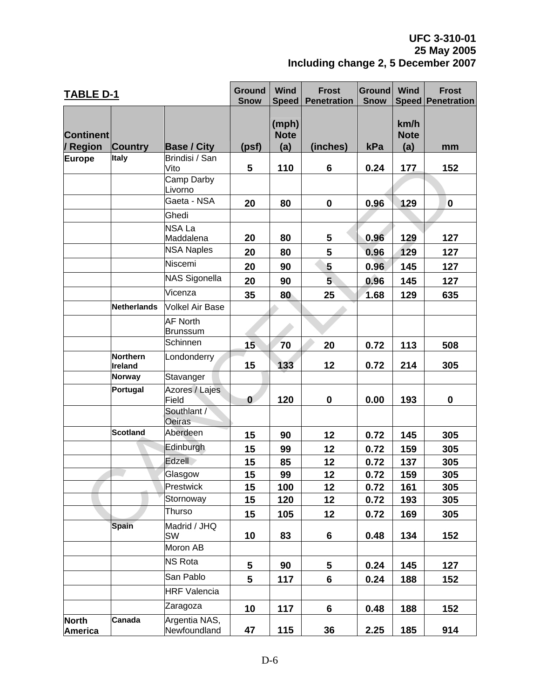| <b>TABLE D-1</b>             |                            |                                    | <b>Ground</b><br><b>Snow</b> | <b>Wind</b><br><b>Speed</b> | <b>Frost</b><br><b>Penetration</b> | <b>Ground</b><br><b>Snow</b> | <b>Wind</b>                | <b>Frost</b><br><b>Speed Penetration</b> |
|------------------------------|----------------------------|------------------------------------|------------------------------|-----------------------------|------------------------------------|------------------------------|----------------------------|------------------------------------------|
| <b>Continent</b><br>/ Region | <b>Country</b>             | <b>Base / City</b>                 | (psf)                        | (mph)<br><b>Note</b><br>(a) | (inches)                           | kPa                          | km/h<br><b>Note</b><br>(a) | mm                                       |
| <b>Europe</b>                | <b>Italy</b>               | Brindisi / San                     | 5                            | 110                         | 6                                  | 0.24                         | 177                        | 152                                      |
|                              |                            | Vito<br>Camp Darby                 |                              |                             |                                    |                              |                            |                                          |
|                              |                            | Livorno                            |                              |                             |                                    |                              |                            |                                          |
|                              |                            | Gaeta - NSA                        | 20                           | 80                          | 0                                  | 0.96                         | 129                        | $\mathbf 0$                              |
|                              |                            | Ghedi                              |                              |                             |                                    |                              |                            |                                          |
|                              |                            | NSA La<br>Maddalena                | 20                           | 80                          | 5                                  | 0.96                         | 129                        | 127                                      |
|                              |                            | <b>NSA Naples</b>                  | 20                           | 80                          | 5                                  | 0.96                         | 129                        | 127                                      |
|                              |                            | Niscemi                            | 20                           | 90                          | 5                                  | 0.96                         | 145                        | 127                                      |
|                              |                            | <b>NAS Sigonella</b>               | 20                           | 90                          | 5                                  | 0.96                         | 145                        | 127                                      |
|                              |                            | Vicenza                            | 35                           | 80                          | 25                                 | 1.68                         | 129                        | 635                                      |
|                              | Netherlands                | <b>Volkel Air Base</b>             |                              |                             |                                    |                              |                            |                                          |
|                              |                            | <b>AF North</b><br><b>Brunssum</b> |                              |                             |                                    |                              |                            |                                          |
|                              |                            | Schinnen                           | 15                           | 70                          | 20                                 | 0.72                         | 113                        | 508                                      |
|                              | <b>Northern</b><br>Ireland | Londonderry                        | 15                           | 133                         | 12                                 | 0.72                         | 214                        | 305                                      |
|                              | <b>Norway</b>              | Stavanger                          |                              |                             |                                    |                              |                            |                                          |
|                              | Portugal                   | Azores / Lajes<br>Field            | $\bf{0}$                     | 120                         | 0                                  | 0.00                         | 193                        | $\mathbf 0$                              |
|                              |                            | Southlant /<br>Oeiras              |                              |                             |                                    |                              |                            |                                          |
|                              | Scotland                   | Aberdeen                           | 15                           | 90                          | 12                                 | 0.72                         | 145                        | 305                                      |
|                              |                            | Edinburgh                          | 15                           | 99                          | 12                                 | 0.72                         | 159                        | 305                                      |
|                              |                            | Edzell                             | 15                           | 85                          | 12                                 | 0.72                         | 137                        | 305                                      |
|                              |                            | Glasgow                            | 15                           | 99                          | 12                                 | 0.72                         | 159                        | 305                                      |
|                              |                            | Prestwick                          | 15                           | 100                         | 12                                 | 0.72                         | 161                        | 305                                      |
|                              |                            | Stornoway                          | 15                           | 120                         | 12                                 | 0.72                         | 193                        | 305                                      |
|                              |                            | Thurso                             | 15                           | 105                         | 12                                 | 0.72                         | 169                        | 305                                      |
|                              | Spain                      | Madrid / JHQ<br>SW                 | 10                           | 83                          | 6                                  | 0.48                         | 134                        | 152                                      |
|                              |                            | Moron AB                           |                              |                             |                                    |                              |                            |                                          |
|                              |                            | <b>NS Rota</b>                     | 5                            | 90                          | 5                                  | 0.24                         | 145                        | 127                                      |
|                              |                            | San Pablo                          | 5                            | 117                         | 6                                  | 0.24                         | 188                        | 152                                      |
|                              |                            | <b>HRF Valencia</b>                |                              |                             |                                    |                              |                            |                                          |
|                              |                            | Zaragoza                           | 10                           | 117                         | 6                                  | 0.48                         | 188                        | 152                                      |
| <b>North</b><br>America      | Canada                     | Argentia NAS,<br>Newfoundland      | 47                           | 115                         | 36                                 | 2.25                         | 185                        | 914                                      |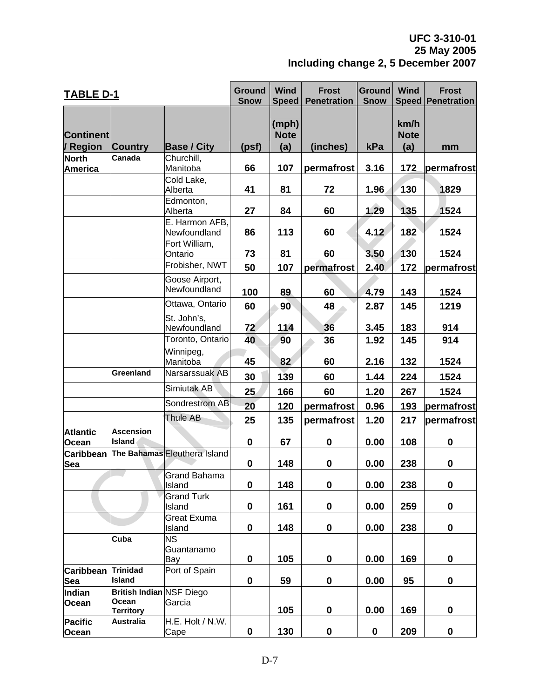| <b>TABLE D-1</b>                |                                  |                                | <b>Ground</b><br><b>Snow</b> | <b>Wind</b><br><b>Speed</b> | <b>Frost</b><br><b>Penetration</b> | <b>Ground</b><br><b>Snow</b> | <b>Wind</b>                | <b>Frost</b><br><b>Speed Penetration</b> |
|---------------------------------|----------------------------------|--------------------------------|------------------------------|-----------------------------|------------------------------------|------------------------------|----------------------------|------------------------------------------|
| <b>Continent</b><br>/ Region    | <b>Country</b>                   | <b>Base / City</b>             | (psf)                        | (mph)<br><b>Note</b><br>(a) | (inches)                           | kPa                          | km/h<br><b>Note</b><br>(a) | mm                                       |
| <b>North</b>                    | Canada                           | Churchill,                     |                              |                             |                                    |                              |                            |                                          |
| America                         |                                  | Manitoba                       | 66                           | 107                         | permafrost                         | 3.16                         | 172                        | permafrost                               |
|                                 |                                  | Cold Lake,<br>Alberta          | 41                           | 81                          | 72                                 | 1.96                         | 130                        | 1829                                     |
|                                 |                                  | Edmonton,<br>Alberta           | 27                           | 84                          | 60                                 | 1.29                         | 135                        | 1524                                     |
|                                 |                                  | E. Harmon AFB,<br>Newfoundland | 86                           | 113                         | 60                                 | 4.12                         | 182                        | 1524                                     |
|                                 |                                  | Fort William,<br>Ontario       | 73                           | 81                          | 60                                 | 3.50                         | 130                        | 1524                                     |
|                                 |                                  | Frobisher, NWT                 | 50                           | 107                         | permafrost                         | 2.40                         | 172                        | permafrost                               |
|                                 |                                  | Goose Airport,<br>Newfoundland | 100                          | 89                          | 60                                 | 4.79                         | 143                        | 1524                                     |
|                                 |                                  | Ottawa, Ontario                |                              |                             |                                    |                              |                            |                                          |
|                                 |                                  |                                | 60                           | 90                          | 48                                 | 2.87                         | 145                        | 1219                                     |
|                                 |                                  | St. John's,<br>Newfoundland    | 72                           | 114                         | 36                                 | 3.45                         | 183                        | 914                                      |
|                                 |                                  | Toronto, Ontario               | 40                           | 90                          | 36                                 | 1.92                         | 145                        | 914                                      |
|                                 |                                  | Winnipeg,<br>Manitoba          | 45                           | 82                          | 60                                 | 2.16                         | 132                        | 1524                                     |
|                                 | Greenland                        | Narsarssuak AB                 | 30                           | 139                         | 60                                 | 1.44                         | 224                        | 1524                                     |
|                                 |                                  | Simiutak AB                    | 25                           | 166                         | 60                                 | 1.20                         | 267                        | 1524                                     |
|                                 |                                  | Sondrestrom AB                 | 20                           | 120                         | permafrost                         | 0.96                         | 193                        | permafrost                               |
|                                 |                                  | Thule AB                       | 25                           | 135                         | permafrost                         | 1.20                         | 217                        | permafrost                               |
| <b>Atlantic</b><br><b>Ocean</b> | <b>Ascension</b><br>Island       |                                | $\bf{0}$                     | 67                          | $\bf{0}$                           | 0.00                         | 108                        | $\mathbf 0$                              |
| Caribbean<br>Sea                |                                  | The Bahamas Eleuthera Island   | 0                            | 148                         | $\mathbf 0$                        | 0.00                         | 238                        | $\mathbf 0$                              |
|                                 |                                  | Grand Bahama<br>Island         | $\mathbf 0$                  | 148                         | $\mathbf 0$                        | 0.00                         | 238                        | $\pmb{0}$                                |
|                                 |                                  | <b>Grand Turk</b><br>Island    | 0                            | 161                         | $\pmb{0}$                          | 0.00                         | 259                        | $\pmb{0}$                                |
|                                 |                                  | Great Exuma<br>Island          | 0                            | 148                         | 0                                  | 0.00                         | 238                        | 0                                        |
|                                 | Cuba                             | <b>NS</b><br>Guantanamo<br>Bay | 0                            | 105                         | 0                                  | 0.00                         | 169                        | 0                                        |
| <b>Caribbean</b><br>Sea         | Trinidad<br><b>Island</b>        | Port of Spain                  | 0                            | 59                          | 0                                  | 0.00                         | 95                         | 0                                        |
| Indian                          | <b>British Indian NSF Diego</b>  |                                |                              |                             |                                    |                              |                            |                                          |
| Ocean                           | <b>Ocean</b><br><b>Territory</b> | Garcia                         |                              | 105                         | 0                                  | 0.00                         | 169                        | 0                                        |
| <b>Pacific</b><br>Ocean         | <b>Australia</b>                 | H.E. Holt / N.W.<br>Cape       | 0                            | 130                         | 0                                  | $\mathbf 0$                  | 209                        | 0                                        |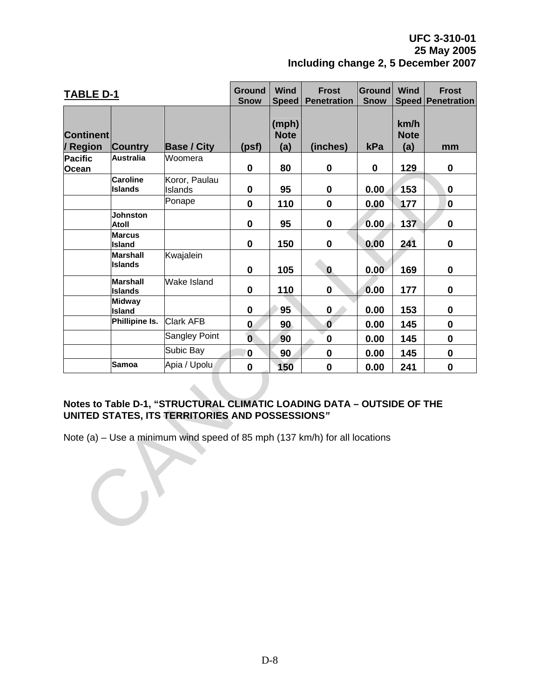| <b>TABLE D-1</b>                                                                                                                                                                                        |                                   |                          | <b>Ground</b><br><b>Snow</b> | <b>Wind</b><br><b>Speed</b> | <b>Frost</b><br><b>Penetration</b> | <b>Ground</b><br><b>Snow</b> | <b>Wind</b>                | <b>Frost</b><br><b>Speed Penetration</b> |
|---------------------------------------------------------------------------------------------------------------------------------------------------------------------------------------------------------|-----------------------------------|--------------------------|------------------------------|-----------------------------|------------------------------------|------------------------------|----------------------------|------------------------------------------|
| <b>Continent</b><br>/ Region                                                                                                                                                                            | <b>Country</b>                    | <b>Base / City</b>       | (psf)                        | (mph)<br><b>Note</b><br>(a) | (inches)                           | kPa                          | km/h<br><b>Note</b><br>(a) | mm                                       |
| Pacific<br>Ocean                                                                                                                                                                                        | <b>Australia</b>                  | Woomera                  | $\mathbf 0$                  | 80                          | $\mathbf 0$                        | $\mathbf 0$                  | 129                        | $\mathbf 0$                              |
|                                                                                                                                                                                                         | <b>Caroline</b><br><b>Islands</b> | Koror, Paulau<br>Islands | 0                            | 95                          | 0                                  | 0.00                         | 153                        | $\mathbf 0$                              |
|                                                                                                                                                                                                         |                                   | Ponape                   | 0                            | 110                         | $\mathbf 0$                        | 0.00                         | 177                        | 0                                        |
|                                                                                                                                                                                                         | Johnston<br>Atoll                 |                          | 0                            | 95                          | $\pmb{0}$                          | 0.00                         | 137                        | 0                                        |
|                                                                                                                                                                                                         | <b>Marcus</b><br><b>Island</b>    |                          | $\mathbf 0$                  | 150                         | $\mathbf 0$                        | 0.00                         | 241                        | 0                                        |
|                                                                                                                                                                                                         | <b>Marshall</b><br><b>Islands</b> | Kwajalein                | $\mathbf 0$                  | 105                         | $\boldsymbol{0}$                   | 0.00                         | 169                        | 0                                        |
|                                                                                                                                                                                                         | Marshall<br><b>Islands</b>        | Wake Island              | 0                            | 110                         | 0                                  | 0.00                         | 177                        | $\pmb{0}$                                |
|                                                                                                                                                                                                         | <b>Midway</b><br><b>Island</b>    |                          | 0                            | 95                          | $\mathbf 0$                        | 0.00                         | 153                        | 0                                        |
|                                                                                                                                                                                                         | Phillipine Is.                    | <b>Clark AFB</b>         | $\bf{0}$                     | 90                          | $\bf{0}$                           | 0.00                         | 145                        | 0                                        |
|                                                                                                                                                                                                         |                                   | Sangley Point            | $\mathbf{0}$                 | 90                          | $\bf{0}$                           | 0.00                         | 145                        | 0                                        |
|                                                                                                                                                                                                         |                                   | Subic Bay                | 0                            | 90                          | $\mathbf 0$                        | 0.00                         | 145                        | $\bf{0}$                                 |
|                                                                                                                                                                                                         | <b>Samoa</b>                      | Apia / Upolu             | $\mathbf{0}$                 | 150                         | $\mathbf 0$                        | 0.00                         | 241                        | $\mathbf 0$                              |
| Notes to Table D-1, "STRUCTURAL CLIMATIC LOADING DATA - OUTSIDE OF THE<br>UNITED STATES, ITS TERRITORIES AND POSSESSIONS"<br>Note (a) – Use a minimum wind speed of 85 mph (137 km/h) for all locations |                                   |                          |                              |                             |                                    |                              |                            |                                          |

#### **Notes to Table D-1, "STRUCTURAL CLIMATIC LOADING DATA – OUTSIDE OF THE UNITED STATES, ITS TERRITORIES AND POSSESSIONS***"*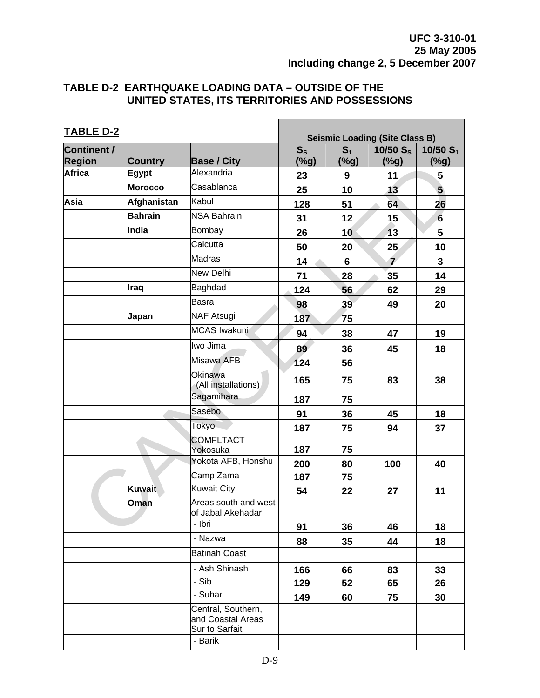| TABLE D-2 EARTHQUAKE LOADING DATA - OUTSIDE OF THE |
|----------------------------------------------------|
| UNITED STATES, ITS TERRITORIES AND POSSESSIONS     |

|                                     |                |                                                           |                 |                        | <b>Seismic Loading (Site Class B)</b> |                        |
|-------------------------------------|----------------|-----------------------------------------------------------|-----------------|------------------------|---------------------------------------|------------------------|
| <b>Continent /</b><br><b>Region</b> | <b>Country</b> | <b>Base / City</b>                                        | $S_{S}$<br>(%g) | S <sub>1</sub><br>(%g) | 10/50 $S_s$<br>( %g)                  | 10/50 $S_1$<br>$(\%g)$ |
| <b>Africa</b>                       | Egypt          | Alexandria                                                | 23              | 9                      | 11                                    | 5                      |
|                                     | <b>Morocco</b> | Casablanca                                                | 25              | 10                     | 13                                    | 5 <sup>5</sup>         |
| Asia                                | Afghanistan    | Kabul                                                     | 128             | 51                     | 64                                    | 26                     |
|                                     | <b>Bahrain</b> | <b>NSA Bahrain</b>                                        | 31              | 12                     | 15                                    | $6\phantom{1}$         |
|                                     | India          | Bombay                                                    | 26              | 10                     | 13                                    | 5                      |
|                                     |                | Calcutta                                                  | 50              | 20                     | 25                                    | 10                     |
|                                     |                | <b>Madras</b>                                             | 14              | 6                      | $\overline{\mathbf{z}}$               | 3                      |
|                                     |                | New Delhi                                                 | 71              | 28                     | 35                                    | 14                     |
|                                     | Iraq           | Baghdad                                                   | 124             | 56                     | 62                                    | 29                     |
|                                     |                | <b>Basra</b>                                              | 98              | 39                     | 49                                    | 20                     |
|                                     | Japan          | <b>NAF Atsugi</b>                                         | 187             | 75                     |                                       |                        |
|                                     |                | <b>MCAS Iwakuni</b>                                       | 94              | 38                     | 47                                    | 19                     |
|                                     |                | Iwo Jima                                                  | 89              | 36                     | 45                                    | 18                     |
|                                     |                | Misawa AFB                                                | 124             | 56                     |                                       |                        |
|                                     |                | Okinawa<br>(All installations)                            | 165             | 75                     | 83                                    | 38                     |
|                                     |                | Sagamihara                                                | 187             | 75                     |                                       |                        |
|                                     |                | Sasebo                                                    | 91              | 36                     | 45                                    | 18                     |
|                                     |                | Tokyo                                                     | 187             | 75                     | 94                                    | 37                     |
|                                     |                | <b>COMFLTACT</b><br>Yokosuka                              | 187             | 75                     |                                       |                        |
|                                     |                | Yokota AFB, Honshu                                        | 200             | 80                     | 100                                   | 40                     |
|                                     |                | Camp Zama                                                 | 187             | 75                     |                                       |                        |
|                                     | Kuwait         | <b>Kuwait City</b>                                        | 54              | 22                     | 27                                    | 11                     |
|                                     | Oman           | Areas south and west<br>of Jabal Akehadar                 |                 |                        |                                       |                        |
|                                     |                | - Ibri                                                    | 91              | 36                     | 46                                    | 18                     |
|                                     |                | - Nazwa                                                   | 88              | 35                     | 44                                    | 18                     |
|                                     |                | <b>Batinah Coast</b>                                      |                 |                        |                                       |                        |
|                                     |                | - Ash Shinash                                             | 166             | 66                     | 83                                    | 33                     |
|                                     |                | - Sib                                                     | 129             | 52                     | 65                                    | 26                     |
|                                     |                | - Suhar                                                   | 149             | 60                     | 75                                    | 30                     |
|                                     |                | Central, Southern,<br>and Coastal Areas<br>Sur to Sarfait |                 |                        |                                       |                        |
|                                     |                | - Barik                                                   |                 |                        |                                       |                        |
|                                     |                |                                                           |                 |                        |                                       |                        |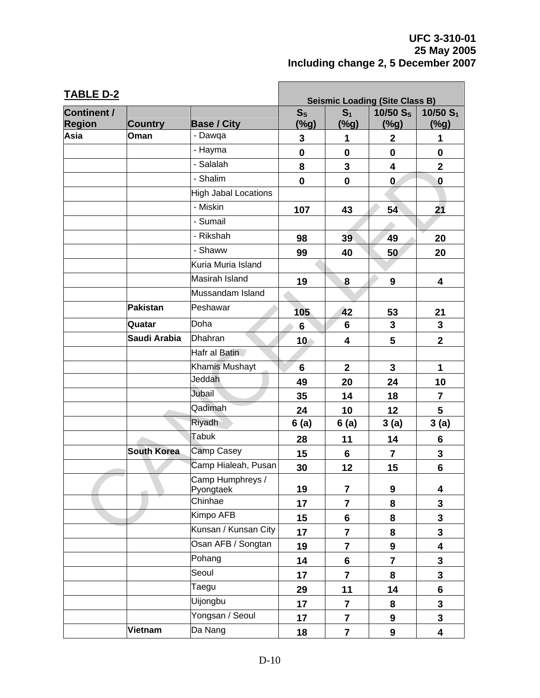| <b>Continent /</b><br>10/50 $S_s$<br>S <sub>1</sub><br>$S_{S}$<br><b>Region</b><br>$(\%g)$<br>( %g)<br>( %g)<br>( %g)<br><b>Country</b><br><b>Base / City</b><br>Asia<br>Oman<br>- Dawqa<br>3<br>$\overline{2}$<br>1<br>1<br>- Hayma<br>$\mathbf 0$<br>$\mathbf 0$<br>$\mathbf 0$<br>$\mathbf 0$<br>- Salalah<br>3<br>$\overline{\mathbf{4}}$<br>$\overline{2}$<br>8<br>- Shalim<br>$\mathbf 0$<br>$\bf{0}$<br>$\mathbf 0$<br>$\boldsymbol{0}$<br><b>High Jabal Locations</b><br>- Miskin<br>107<br>43<br>54<br>21<br>- Sumail<br>- Rikshah<br>98<br>39<br>49<br>20<br>- Shaww<br>99<br>40<br>50<br>20<br>Kuria Muria Island<br>Masirah Island<br>19<br>9<br>8<br>4<br>Mussandam Island<br>Pakistan<br>Peshawar<br>105<br>42<br>53<br>21<br>Doha<br>$\overline{3}$<br>$\mathbf{3}$<br>Quatar<br>6<br>6<br>Dhahran<br>Saudi Arabia<br>5<br>$\overline{2}$<br>10 <sub>1</sub><br>4<br>Hafr al Batin<br>Khamis Mushayt<br>3<br>6<br>$\mathbf{2}$<br>1<br>Jeddah<br>49<br>24<br>10<br>20<br><b>Jubail</b><br>35<br>14<br>18<br>$\overline{7}$<br>Qadimah<br>10<br>12<br>5<br>24<br>Riyadh<br>6(a)<br>6(a)<br>3(a)<br>3(a)<br>Tabuk<br>14<br>28<br>11<br>6<br><b>South Korea</b><br>Camp Casey<br>15<br>$\overline{\mathbf{3}}$<br>$\overline{7}$<br>6<br>Camp Hialeah, Pusan<br>30<br>12<br>6<br>15<br>Camp Humphreys /<br>19<br>$\overline{7}$<br>9<br>4<br>Pyongtaek<br>Chinhae<br>17<br>8<br>$\mathbf{3}$<br>$\overline{\mathbf{7}}$<br>Kimpo AFB<br>8<br>$\overline{\mathbf{3}}$<br>15<br>$6\phantom{1}$<br>Kunsan / Kunsan City<br>17<br>$\mathbf{3}$<br>$\overline{7}$<br>8<br>Osan AFB / Songtan<br>$\overline{\mathbf{4}}$<br>19<br>$\overline{\mathbf{7}}$<br>9<br>Pohang<br>$\overline{7}$<br>$\mathbf{3}$<br>$6\phantom{a}$<br>14<br>Seoul<br>17<br>$\mathbf{3}$<br>$\overline{7}$<br>8<br>Taegu<br>11<br>14<br>29<br>6<br>Uijongbu<br>$\mathbf{3}$<br>17<br>8<br>$\overline{\mathbf{7}}$ | <b>TABLE D-2</b> |                 | <b>Seismic Loading (Site Class B)</b> |  |  |             |  |
|--------------------------------------------------------------------------------------------------------------------------------------------------------------------------------------------------------------------------------------------------------------------------------------------------------------------------------------------------------------------------------------------------------------------------------------------------------------------------------------------------------------------------------------------------------------------------------------------------------------------------------------------------------------------------------------------------------------------------------------------------------------------------------------------------------------------------------------------------------------------------------------------------------------------------------------------------------------------------------------------------------------------------------------------------------------------------------------------------------------------------------------------------------------------------------------------------------------------------------------------------------------------------------------------------------------------------------------------------------------------------------------------------------------------------------------------------------------------------------------------------------------------------------------------------------------------------------------------------------------------------------------------------------------------------------------------------------------------------------------------------------------------------------------------------------------------------------------------------------------------------------------------------|------------------|-----------------|---------------------------------------|--|--|-------------|--|
|                                                                                                                                                                                                                                                                                                                                                                                                                                                                                                                                                                                                                                                                                                                                                                                                                                                                                                                                                                                                                                                                                                                                                                                                                                                                                                                                                                                                                                                                                                                                                                                                                                                                                                                                                                                                                                                                                                  |                  |                 |                                       |  |  | 10/50 $S_1$ |  |
|                                                                                                                                                                                                                                                                                                                                                                                                                                                                                                                                                                                                                                                                                                                                                                                                                                                                                                                                                                                                                                                                                                                                                                                                                                                                                                                                                                                                                                                                                                                                                                                                                                                                                                                                                                                                                                                                                                  |                  |                 |                                       |  |  |             |  |
|                                                                                                                                                                                                                                                                                                                                                                                                                                                                                                                                                                                                                                                                                                                                                                                                                                                                                                                                                                                                                                                                                                                                                                                                                                                                                                                                                                                                                                                                                                                                                                                                                                                                                                                                                                                                                                                                                                  |                  |                 |                                       |  |  |             |  |
|                                                                                                                                                                                                                                                                                                                                                                                                                                                                                                                                                                                                                                                                                                                                                                                                                                                                                                                                                                                                                                                                                                                                                                                                                                                                                                                                                                                                                                                                                                                                                                                                                                                                                                                                                                                                                                                                                                  |                  |                 |                                       |  |  |             |  |
|                                                                                                                                                                                                                                                                                                                                                                                                                                                                                                                                                                                                                                                                                                                                                                                                                                                                                                                                                                                                                                                                                                                                                                                                                                                                                                                                                                                                                                                                                                                                                                                                                                                                                                                                                                                                                                                                                                  |                  |                 |                                       |  |  |             |  |
|                                                                                                                                                                                                                                                                                                                                                                                                                                                                                                                                                                                                                                                                                                                                                                                                                                                                                                                                                                                                                                                                                                                                                                                                                                                                                                                                                                                                                                                                                                                                                                                                                                                                                                                                                                                                                                                                                                  |                  |                 |                                       |  |  |             |  |
|                                                                                                                                                                                                                                                                                                                                                                                                                                                                                                                                                                                                                                                                                                                                                                                                                                                                                                                                                                                                                                                                                                                                                                                                                                                                                                                                                                                                                                                                                                                                                                                                                                                                                                                                                                                                                                                                                                  |                  |                 |                                       |  |  |             |  |
|                                                                                                                                                                                                                                                                                                                                                                                                                                                                                                                                                                                                                                                                                                                                                                                                                                                                                                                                                                                                                                                                                                                                                                                                                                                                                                                                                                                                                                                                                                                                                                                                                                                                                                                                                                                                                                                                                                  |                  |                 |                                       |  |  |             |  |
|                                                                                                                                                                                                                                                                                                                                                                                                                                                                                                                                                                                                                                                                                                                                                                                                                                                                                                                                                                                                                                                                                                                                                                                                                                                                                                                                                                                                                                                                                                                                                                                                                                                                                                                                                                                                                                                                                                  |                  |                 |                                       |  |  |             |  |
|                                                                                                                                                                                                                                                                                                                                                                                                                                                                                                                                                                                                                                                                                                                                                                                                                                                                                                                                                                                                                                                                                                                                                                                                                                                                                                                                                                                                                                                                                                                                                                                                                                                                                                                                                                                                                                                                                                  |                  |                 |                                       |  |  |             |  |
|                                                                                                                                                                                                                                                                                                                                                                                                                                                                                                                                                                                                                                                                                                                                                                                                                                                                                                                                                                                                                                                                                                                                                                                                                                                                                                                                                                                                                                                                                                                                                                                                                                                                                                                                                                                                                                                                                                  |                  |                 |                                       |  |  |             |  |
|                                                                                                                                                                                                                                                                                                                                                                                                                                                                                                                                                                                                                                                                                                                                                                                                                                                                                                                                                                                                                                                                                                                                                                                                                                                                                                                                                                                                                                                                                                                                                                                                                                                                                                                                                                                                                                                                                                  |                  |                 |                                       |  |  |             |  |
|                                                                                                                                                                                                                                                                                                                                                                                                                                                                                                                                                                                                                                                                                                                                                                                                                                                                                                                                                                                                                                                                                                                                                                                                                                                                                                                                                                                                                                                                                                                                                                                                                                                                                                                                                                                                                                                                                                  |                  |                 |                                       |  |  |             |  |
|                                                                                                                                                                                                                                                                                                                                                                                                                                                                                                                                                                                                                                                                                                                                                                                                                                                                                                                                                                                                                                                                                                                                                                                                                                                                                                                                                                                                                                                                                                                                                                                                                                                                                                                                                                                                                                                                                                  |                  |                 |                                       |  |  |             |  |
|                                                                                                                                                                                                                                                                                                                                                                                                                                                                                                                                                                                                                                                                                                                                                                                                                                                                                                                                                                                                                                                                                                                                                                                                                                                                                                                                                                                                                                                                                                                                                                                                                                                                                                                                                                                                                                                                                                  |                  |                 |                                       |  |  |             |  |
|                                                                                                                                                                                                                                                                                                                                                                                                                                                                                                                                                                                                                                                                                                                                                                                                                                                                                                                                                                                                                                                                                                                                                                                                                                                                                                                                                                                                                                                                                                                                                                                                                                                                                                                                                                                                                                                                                                  |                  |                 |                                       |  |  |             |  |
|                                                                                                                                                                                                                                                                                                                                                                                                                                                                                                                                                                                                                                                                                                                                                                                                                                                                                                                                                                                                                                                                                                                                                                                                                                                                                                                                                                                                                                                                                                                                                                                                                                                                                                                                                                                                                                                                                                  |                  |                 |                                       |  |  |             |  |
|                                                                                                                                                                                                                                                                                                                                                                                                                                                                                                                                                                                                                                                                                                                                                                                                                                                                                                                                                                                                                                                                                                                                                                                                                                                                                                                                                                                                                                                                                                                                                                                                                                                                                                                                                                                                                                                                                                  |                  |                 |                                       |  |  |             |  |
|                                                                                                                                                                                                                                                                                                                                                                                                                                                                                                                                                                                                                                                                                                                                                                                                                                                                                                                                                                                                                                                                                                                                                                                                                                                                                                                                                                                                                                                                                                                                                                                                                                                                                                                                                                                                                                                                                                  |                  |                 |                                       |  |  |             |  |
|                                                                                                                                                                                                                                                                                                                                                                                                                                                                                                                                                                                                                                                                                                                                                                                                                                                                                                                                                                                                                                                                                                                                                                                                                                                                                                                                                                                                                                                                                                                                                                                                                                                                                                                                                                                                                                                                                                  |                  |                 |                                       |  |  |             |  |
|                                                                                                                                                                                                                                                                                                                                                                                                                                                                                                                                                                                                                                                                                                                                                                                                                                                                                                                                                                                                                                                                                                                                                                                                                                                                                                                                                                                                                                                                                                                                                                                                                                                                                                                                                                                                                                                                                                  |                  |                 |                                       |  |  |             |  |
|                                                                                                                                                                                                                                                                                                                                                                                                                                                                                                                                                                                                                                                                                                                                                                                                                                                                                                                                                                                                                                                                                                                                                                                                                                                                                                                                                                                                                                                                                                                                                                                                                                                                                                                                                                                                                                                                                                  |                  |                 |                                       |  |  |             |  |
|                                                                                                                                                                                                                                                                                                                                                                                                                                                                                                                                                                                                                                                                                                                                                                                                                                                                                                                                                                                                                                                                                                                                                                                                                                                                                                                                                                                                                                                                                                                                                                                                                                                                                                                                                                                                                                                                                                  |                  |                 |                                       |  |  |             |  |
|                                                                                                                                                                                                                                                                                                                                                                                                                                                                                                                                                                                                                                                                                                                                                                                                                                                                                                                                                                                                                                                                                                                                                                                                                                                                                                                                                                                                                                                                                                                                                                                                                                                                                                                                                                                                                                                                                                  |                  |                 |                                       |  |  |             |  |
|                                                                                                                                                                                                                                                                                                                                                                                                                                                                                                                                                                                                                                                                                                                                                                                                                                                                                                                                                                                                                                                                                                                                                                                                                                                                                                                                                                                                                                                                                                                                                                                                                                                                                                                                                                                                                                                                                                  |                  |                 |                                       |  |  |             |  |
|                                                                                                                                                                                                                                                                                                                                                                                                                                                                                                                                                                                                                                                                                                                                                                                                                                                                                                                                                                                                                                                                                                                                                                                                                                                                                                                                                                                                                                                                                                                                                                                                                                                                                                                                                                                                                                                                                                  |                  |                 |                                       |  |  |             |  |
|                                                                                                                                                                                                                                                                                                                                                                                                                                                                                                                                                                                                                                                                                                                                                                                                                                                                                                                                                                                                                                                                                                                                                                                                                                                                                                                                                                                                                                                                                                                                                                                                                                                                                                                                                                                                                                                                                                  |                  |                 |                                       |  |  |             |  |
|                                                                                                                                                                                                                                                                                                                                                                                                                                                                                                                                                                                                                                                                                                                                                                                                                                                                                                                                                                                                                                                                                                                                                                                                                                                                                                                                                                                                                                                                                                                                                                                                                                                                                                                                                                                                                                                                                                  |                  |                 |                                       |  |  |             |  |
|                                                                                                                                                                                                                                                                                                                                                                                                                                                                                                                                                                                                                                                                                                                                                                                                                                                                                                                                                                                                                                                                                                                                                                                                                                                                                                                                                                                                                                                                                                                                                                                                                                                                                                                                                                                                                                                                                                  |                  |                 |                                       |  |  |             |  |
|                                                                                                                                                                                                                                                                                                                                                                                                                                                                                                                                                                                                                                                                                                                                                                                                                                                                                                                                                                                                                                                                                                                                                                                                                                                                                                                                                                                                                                                                                                                                                                                                                                                                                                                                                                                                                                                                                                  |                  |                 |                                       |  |  |             |  |
|                                                                                                                                                                                                                                                                                                                                                                                                                                                                                                                                                                                                                                                                                                                                                                                                                                                                                                                                                                                                                                                                                                                                                                                                                                                                                                                                                                                                                                                                                                                                                                                                                                                                                                                                                                                                                                                                                                  |                  |                 |                                       |  |  |             |  |
|                                                                                                                                                                                                                                                                                                                                                                                                                                                                                                                                                                                                                                                                                                                                                                                                                                                                                                                                                                                                                                                                                                                                                                                                                                                                                                                                                                                                                                                                                                                                                                                                                                                                                                                                                                                                                                                                                                  |                  |                 |                                       |  |  |             |  |
|                                                                                                                                                                                                                                                                                                                                                                                                                                                                                                                                                                                                                                                                                                                                                                                                                                                                                                                                                                                                                                                                                                                                                                                                                                                                                                                                                                                                                                                                                                                                                                                                                                                                                                                                                                                                                                                                                                  |                  |                 |                                       |  |  |             |  |
|                                                                                                                                                                                                                                                                                                                                                                                                                                                                                                                                                                                                                                                                                                                                                                                                                                                                                                                                                                                                                                                                                                                                                                                                                                                                                                                                                                                                                                                                                                                                                                                                                                                                                                                                                                                                                                                                                                  |                  |                 |                                       |  |  |             |  |
| 17<br>9<br>$\mathbf{3}$<br>$\overline{7}$                                                                                                                                                                                                                                                                                                                                                                                                                                                                                                                                                                                                                                                                                                                                                                                                                                                                                                                                                                                                                                                                                                                                                                                                                                                                                                                                                                                                                                                                                                                                                                                                                                                                                                                                                                                                                                                        |                  | Yongsan / Seoul |                                       |  |  |             |  |
| Da Nang<br>Vietnam<br>$\boldsymbol{9}$<br>$\overline{\mathbf{4}}$<br>18<br>$\overline{7}$                                                                                                                                                                                                                                                                                                                                                                                                                                                                                                                                                                                                                                                                                                                                                                                                                                                                                                                                                                                                                                                                                                                                                                                                                                                                                                                                                                                                                                                                                                                                                                                                                                                                                                                                                                                                        |                  |                 |                                       |  |  |             |  |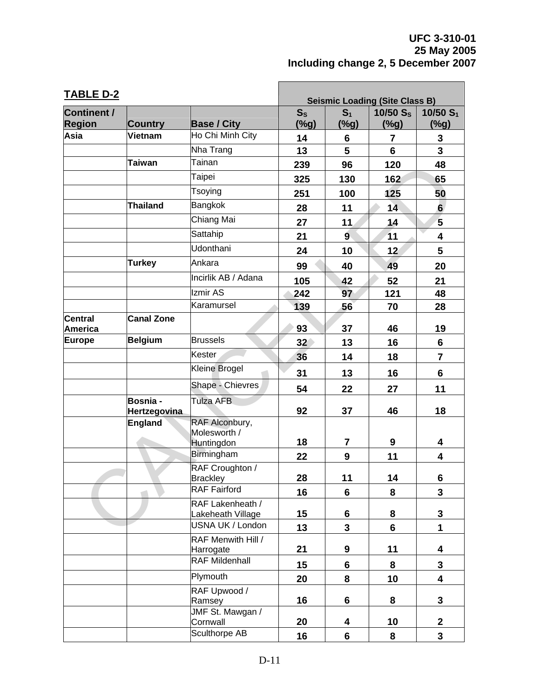| <b>TABLE D-2</b>                    |                                        |                                                            | <b>Seismic Loading (Site Class B)</b> |                           |                        |                         |  |
|-------------------------------------|----------------------------------------|------------------------------------------------------------|---------------------------------------|---------------------------|------------------------|-------------------------|--|
| <b>Continent /</b><br><b>Region</b> | <b>Country</b>                         | <b>Base / City</b>                                         | $S_{\rm S}$<br>$(\%g)$                | S <sub>1</sub><br>$(\%g)$ | 10/50 $S_s$<br>$(\%g)$ | 10/50 $S_1$<br>(%g)     |  |
| Asia                                | Vietnam                                | Ho Chi Minh City                                           | 14                                    | 6                         | $\overline{7}$         | 3                       |  |
|                                     |                                        | Nha Trang                                                  | 13                                    | 5                         | $6\phantom{1}$         | $\overline{3}$          |  |
|                                     | <b>Taiwan</b>                          | Tainan                                                     | 239                                   | 96                        | 120                    | 48                      |  |
|                                     |                                        | Taipei                                                     | 325                                   | 130                       | 162                    | 65                      |  |
|                                     |                                        | Tsoying                                                    | 251                                   | 100                       | 125                    | 50                      |  |
|                                     | <b>Thailand</b>                        | Bangkok                                                    | 28                                    | 11                        | 14                     | 6                       |  |
|                                     |                                        | Chiang Mai                                                 | 27                                    | 11                        | 14                     | $5\phantom{1}$          |  |
|                                     |                                        | Sattahip                                                   | 21                                    | $9^{\circ}$               | 11                     | 4                       |  |
|                                     |                                        | Udonthani                                                  |                                       |                           |                        | 5                       |  |
|                                     | <b>Turkey</b>                          | Ankara                                                     | 24                                    | 10                        | 12                     |                         |  |
|                                     |                                        | Incirlik AB / Adana                                        | 99                                    | 40                        | 49                     | 20                      |  |
|                                     |                                        |                                                            | 105                                   | 42                        | 52                     | 21                      |  |
|                                     |                                        | Izmir AS                                                   | 242                                   | 97                        | 121                    | 48                      |  |
|                                     |                                        | Karamursel                                                 | 139                                   | 56                        | 70                     | 28                      |  |
| <b>Central</b><br><b>America</b>    | <b>Canal Zone</b>                      |                                                            | 93                                    | 37                        | 46                     | 19                      |  |
| <b>Europe</b>                       | <b>Belgium</b>                         | <b>Brussels</b>                                            | 32 <sub>2</sub>                       | 13                        | 16                     | 6                       |  |
|                                     |                                        | <b>Kester</b>                                              | 36                                    | 14                        | 18                     | $\overline{\mathbf{7}}$ |  |
|                                     |                                        | <b>Kleine Brogel</b>                                       | 31                                    | 13                        | 16                     | 6                       |  |
|                                     |                                        | Shape - Chievres                                           | 54                                    | 22                        | 27                     | 11                      |  |
|                                     | <b>Bosnia</b> -<br><b>Hertzegovina</b> | <b>Tulza AFB</b>                                           | 92                                    | 37                        | 46                     | 18                      |  |
|                                     | England                                | RAF Alconbury,<br>Molesworth /<br>Huntingdon<br>Birmingham | 18                                    | $\overline{\mathbf{7}}$   | 9                      | 4                       |  |
|                                     |                                        | RAF Croughton /<br><b>Brackley</b>                         | 22<br>28                              | 9<br>11                   | 11<br>14               | 4<br>6                  |  |
|                                     |                                        | <b>RAF Fairford</b>                                        | 16                                    | 6                         | 8                      | $\mathbf{3}$            |  |
|                                     |                                        | RAF Lakenheath /<br>Lakeheath Village                      | 15                                    | 6                         | 8                      | $\mathbf 3$             |  |
|                                     |                                        | USNA UK / London                                           | 13                                    | $\overline{\mathbf{3}}$   | 6                      | 1                       |  |
|                                     |                                        | RAF Menwith Hill /<br>Harrogate                            | 21                                    | 9                         | 11                     | 4                       |  |
|                                     |                                        | <b>RAF Mildenhall</b>                                      | 15                                    | 6                         | 8                      | 3                       |  |
|                                     |                                        | Plymouth                                                   | 20                                    | 8                         | 10                     | 4                       |  |
|                                     |                                        | RAF Upwood /<br>Ramsey                                     | 16                                    | 6                         | 8                      | $\mathbf{3}$            |  |
|                                     |                                        | JMF St. Mawgan /<br>Cornwall                               | 20                                    | 4                         | 10                     | $\mathbf{2}$            |  |
|                                     |                                        | Sculthorpe AB                                              | 16                                    | $6\phantom{a}$            | 8                      | $\overline{\mathbf{3}}$ |  |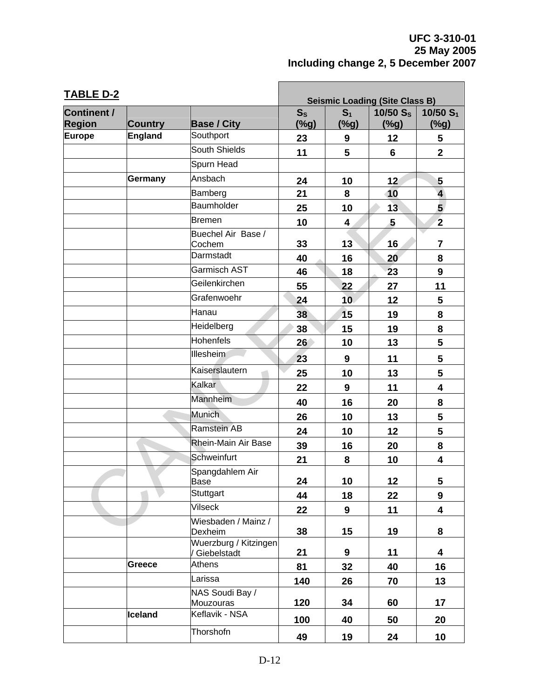| <b>TABLE D-2</b> |                |                                | <b>Seismic Loading (Site Class B)</b> |                         |             |                         |  |
|------------------|----------------|--------------------------------|---------------------------------------|-------------------------|-------------|-------------------------|--|
| Continent /      |                |                                | $S_{\rm S}$                           | S <sub>1</sub>          | 10/50 $S_s$ | 10/50 $S_1$             |  |
| <b>Region</b>    | <b>Country</b> | <b>Base / City</b>             | (%g)                                  | (%g)                    | (%g)        | $(\%g)$                 |  |
| <b>Europe</b>    | <b>England</b> | Southport                      | 23                                    | 9                       | 12          | 5                       |  |
|                  |                | South Shields                  | 11                                    | 5                       | 6           | $\overline{2}$          |  |
|                  |                | Spurn Head                     |                                       |                         |             |                         |  |
|                  | Germany        | Ansbach                        | 24                                    | 10                      | 12          | 5                       |  |
|                  |                | Bamberg                        | 21                                    | 8                       | 10          | $\overline{\mathbf{4}}$ |  |
|                  |                | Baumholder                     | 25                                    | 10                      | 13          | 5                       |  |
|                  |                | <b>Bremen</b>                  | 10                                    | $\overline{\mathbf{4}}$ | 5           | $\overline{2}$          |  |
|                  |                | Buechel Air Base /<br>Cochem   | 33                                    | 13                      | 16          | 7                       |  |
|                  |                | Darmstadt                      | 40                                    | 16                      | 20          | 8                       |  |
|                  |                | <b>Garmisch AST</b>            | 46                                    | 18                      | 23          | 9                       |  |
|                  |                | Geilenkirchen                  | 55                                    | 22                      | 27          | 11                      |  |
|                  |                | Grafenwoehr                    | 24                                    | 10                      | 12          | 5                       |  |
|                  |                | Hanau                          | 38                                    | 15                      | 19          | 8                       |  |
|                  |                | Heidelberg                     | 38                                    | 15                      | 19          | 8                       |  |
|                  |                | <b>Hohenfels</b>               | 26 <sup>°</sup>                       | 10                      | 13          | 5                       |  |
|                  |                | <b>Illesheim</b>               | 23                                    | 9                       | 11          | 5                       |  |
|                  |                | Kaiserslautern                 | 25                                    | 10                      | 13          | 5                       |  |
|                  |                | Kalkar                         | 22                                    | 9                       | 11          | 4                       |  |
|                  |                | Mannheim                       | 40                                    | 16                      | 20          | 8                       |  |
|                  |                | Munich                         | 26                                    | 10                      | 13          | 5                       |  |
|                  |                | <b>Ramstein AB</b>             | 24                                    | 10                      | 12          | 5                       |  |
|                  |                | Rhein-Main Air Base            | 39                                    | 16                      | 20          | 8                       |  |
|                  |                | Schweinfurt                    | 21                                    | 8                       | 10          | 4                       |  |
|                  |                | Spangdahlem Air                |                                       |                         |             |                         |  |
|                  |                | Base                           | 24                                    | 10                      | 12          | 5                       |  |
|                  |                | Stuttgart                      | 44                                    | 18                      | 22          | 9                       |  |
|                  |                | <b>Vilseck</b>                 | 22                                    | 9                       | 11          | 4                       |  |
|                  |                | Wiesbaden / Mainz /<br>Dexheim | 38                                    | 15                      | 19          | 8                       |  |
|                  |                | Wuerzburg / Kitzingen          |                                       |                         |             |                         |  |
|                  |                | / Giebelstadt                  | 21                                    | 9                       | 11          | 4                       |  |
|                  | Greece         | Athens                         | 81                                    | 32                      | 40          | 16                      |  |
|                  |                | Larissa                        | 140                                   | 26                      | 70          | 13                      |  |
|                  |                | NAS Soudi Bay /                |                                       |                         |             |                         |  |
|                  |                | Mouzouras                      | 120                                   | 34                      | 60          | 17                      |  |
|                  | Iceland        | Keflavik - NSA                 | 100                                   | 40                      | 50          | 20                      |  |
|                  |                | Thorshofn                      | 49                                    | 19                      | 24          | 10                      |  |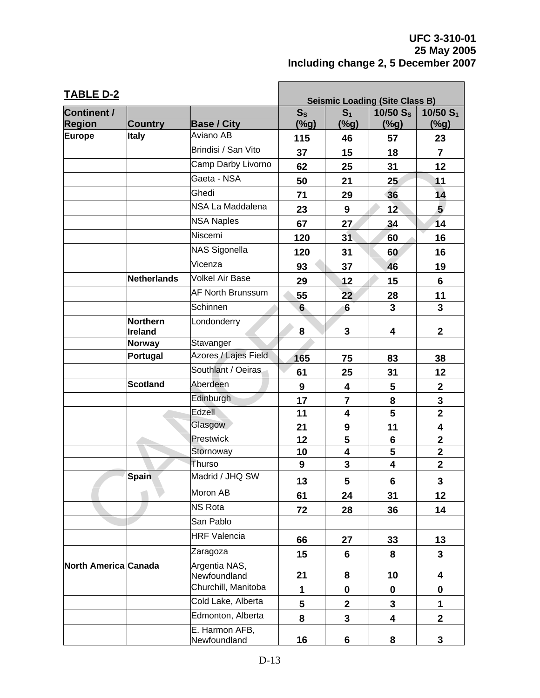| <b>TABLE D-2</b>     |                |                          | <b>Seismic Loading (Site Class B)</b> |                         |                               |                         |  |
|----------------------|----------------|--------------------------|---------------------------------------|-------------------------|-------------------------------|-------------------------|--|
| <b>Continent /</b>   |                |                          | $S_{S}$                               | S <sub>1</sub>          | 10/50 S <sub>s</sub>          | 10/50 $S_1$             |  |
| <b>Region</b>        | <b>Country</b> | <b>Base / City</b>       | (%g)                                  | ( %g)                   | (%g)                          | (%g)                    |  |
| Europe               | <b>Italy</b>   | Aviano AB                | 115                                   | 46                      | 57                            | 23                      |  |
|                      |                | Brindisi / San Vito      | 37                                    | 15                      | 18                            | $\overline{7}$          |  |
|                      |                | Camp Darby Livorno       | 62                                    | 25                      | 31                            | 12                      |  |
|                      |                | Gaeta - NSA              | 50                                    | 21                      | 25                            | 11                      |  |
|                      |                | Ghedi                    | 71                                    | 29                      | 36                            | 14                      |  |
|                      |                | <b>NSA La Maddalena</b>  | 23                                    | 9                       | 12                            | 5 <sub>5</sub>          |  |
|                      |                | <b>NSA Naples</b>        | 67                                    | 27                      | 34                            | 14                      |  |
|                      |                | Niscemi                  | 120                                   | 31                      | 60                            | 16                      |  |
|                      |                | <b>NAS Sigonella</b>     | 120                                   | 31                      | 60                            | 16                      |  |
|                      |                | Vicenza                  | 93                                    | 37                      | 46                            | 19                      |  |
|                      | Netherlands    | <b>Volkel Air Base</b>   | 29                                    | 12                      | 15                            | 6                       |  |
|                      |                | <b>AF North Brunssum</b> | 55                                    | 22                      |                               |                         |  |
|                      |                | Schinnen                 | $6\phantom{1}$                        | $6\phantom{1}6$         | 28<br>$\overline{\mathbf{3}}$ | 11<br>$\overline{3}$    |  |
|                      | Northern       | Londonderry              |                                       |                         |                               |                         |  |
|                      | Ireland        |                          | 8                                     | 3                       | 4                             | $\mathbf{2}$            |  |
|                      | Norway         | Stavanger                |                                       |                         |                               |                         |  |
|                      | Portugal       | Azores / Lajes Field     | 165                                   | 75                      | 83                            | 38                      |  |
|                      |                | Southlant / Oeiras       | 61                                    | 25                      | 31                            | 12                      |  |
|                      | Scotland       | Aberdeen                 | 9                                     | $\overline{\mathbf{4}}$ | 5                             | $\mathbf{2}$            |  |
|                      |                | Edinburgh                | 17                                    | $\overline{7}$          | 8                             | 3                       |  |
|                      |                | Edzell                   | 11                                    | 4                       | 5                             | $\mathbf{2}$            |  |
|                      |                | Glasgow                  | 21                                    | 9                       | 11                            | $\overline{\mathbf{4}}$ |  |
|                      |                | Prestwick                | 12                                    | 5                       | 6                             | $\mathbf{2}$            |  |
|                      |                | Stornoway                | 10                                    | $\overline{\mathbf{4}}$ | 5                             | $\mathbf{2}$            |  |
|                      |                | Thurso                   | 9                                     | 3                       | 4                             | $\overline{2}$          |  |
|                      | Spain          | Madrid / JHQ SW          | 13                                    | 5                       | $\bf 6$                       | ${\bf 3}$               |  |
|                      |                | Moron AB                 | 61                                    | 24                      | 31                            | 12                      |  |
|                      |                | NS Rota                  | 72                                    | 28                      | 36                            | 14                      |  |
|                      |                | San Pablo                |                                       |                         |                               |                         |  |
|                      |                | <b>HRF Valencia</b>      | 66                                    | 27                      | 33                            | 13                      |  |
|                      |                | Zaragoza                 | 15                                    | 6                       | 8                             | $\mathbf{3}$            |  |
| North America Canada |                | Argentia NAS,            |                                       |                         |                               |                         |  |
|                      |                | Newfoundland             | 21                                    | 8                       | 10                            | 4                       |  |
|                      |                | Churchill, Manitoba      | 1                                     | $\mathbf 0$             | $\mathbf 0$                   | $\mathbf 0$             |  |
|                      |                | Cold Lake, Alberta       | 5                                     | $\mathbf 2$             | $\mathbf{3}$                  | 1                       |  |
|                      |                | Edmonton, Alberta        | 8                                     | 3                       | $\overline{\mathbf{4}}$       | $\overline{2}$          |  |
|                      |                | E. Harmon AFB,           |                                       |                         |                               |                         |  |
|                      |                | Newfoundland             | 16                                    | 6                       | 8                             | $\mathbf{3}$            |  |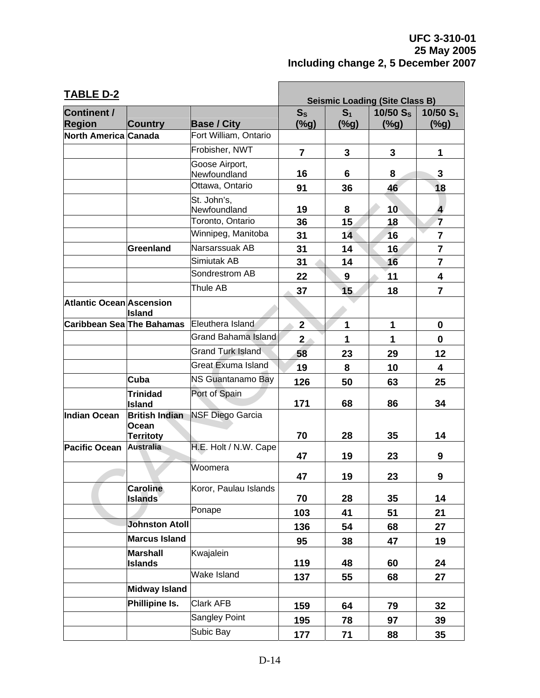| <b>TABLE D-2</b>                    |                                       |                             | <b>Seismic Loading (Site Class B)</b> |                           |                        |                         |  |
|-------------------------------------|---------------------------------------|-----------------------------|---------------------------------------|---------------------------|------------------------|-------------------------|--|
| <b>Continent /</b><br><b>Region</b> | <b>Country</b>                        | <b>Base / City</b>          | $S_{S}$<br>$(\%g)$                    | S <sub>1</sub><br>$(\%g)$ | 10/50 $S_s$<br>$(\%g)$ | 10/50 $S_1$<br>(%g)     |  |
| North America Canada                |                                       | Fort William, Ontario       |                                       |                           |                        |                         |  |
|                                     |                                       | Frobisher, NWT              | $\overline{7}$                        | $\overline{3}$            | $\overline{3}$         | $\mathbf 1$             |  |
|                                     |                                       | Goose Airport,              |                                       |                           |                        |                         |  |
|                                     |                                       | Newfoundland                | 16                                    | 6                         | 8                      | 3                       |  |
|                                     |                                       | Ottawa, Ontario             | 91                                    | 36                        | 46                     | 18                      |  |
|                                     |                                       | St. John's,<br>Newfoundland | 19                                    | 8                         | 10                     | 4                       |  |
|                                     |                                       | Toronto, Ontario            | 36                                    | 15                        | 18                     | $\overline{7}$          |  |
|                                     |                                       | Winnipeg, Manitoba          | 31                                    | 14                        | 16                     | $\overline{\mathbf{7}}$ |  |
|                                     | Greenland                             | Narsarssuak AB              | 31                                    | 14                        | 16                     | $\overline{7}$          |  |
|                                     |                                       | Simiutak AB                 | 31                                    | 14                        | 16                     | $\overline{\mathbf{7}}$ |  |
|                                     |                                       | Sondrestrom AB              | 22                                    | 9                         | 11                     | 4                       |  |
|                                     |                                       | Thule AB                    | 37                                    | 15                        | 18                     | $\overline{7}$          |  |
| <b>Atlantic Ocean Ascension</b>     | <b>Island</b>                         |                             |                                       |                           |                        |                         |  |
| Caribbean Sea The Bahamas           |                                       | Eleuthera Island            | $\mathbf{2}$                          | 1                         | 1                      | $\mathbf 0$             |  |
|                                     |                                       | <b>Grand Bahama Island</b>  | 2 <sub>1</sub>                        | 1                         | 1                      | $\mathbf 0$             |  |
|                                     |                                       | <b>Grand Turk Island</b>    | 58                                    | 23                        | 29                     | 12                      |  |
|                                     |                                       | <b>Great Exuma Island</b>   | 19                                    | 8                         | 10                     | 4                       |  |
|                                     | Cuba                                  | NS Guantanamo Bay           | 126                                   | 50                        | 63                     | 25                      |  |
|                                     | <b>Trinidad</b><br><b>Island</b>      | Port of Spain               | 171                                   | 68                        | 86                     | 34                      |  |
| Indian Ocean                        | <b>British Indian</b><br><b>Ocean</b> | <b>NSF Diego Garcia</b>     |                                       |                           |                        |                         |  |
| <b>Pacific Ocean</b>                | <b>Territoty</b><br><b>Australia</b>  | H.E. Holt / N.W. Cape       | 70                                    | 28                        | 35                     | 14                      |  |
|                                     |                                       |                             | 47                                    | 19                        | 23                     | 9                       |  |
|                                     |                                       | Woomera                     | 47                                    | 19                        | 23                     | 9                       |  |
|                                     | <b>Caroline</b><br><b>Islands</b>     | Koror, Paulau Islands       | 70                                    | 28                        | 35                     | 14                      |  |
|                                     |                                       | Ponape                      | 103                                   | 41                        | 51                     | 21                      |  |
|                                     | <b>Johnston Atoll</b>                 |                             | 136                                   | 54                        | 68                     | 27                      |  |
|                                     | <b>Marcus Island</b>                  |                             | 95                                    | 38                        | 47                     | 19                      |  |
|                                     | <b>Marshall</b><br>Islands            | Kwajalein                   | 119                                   | 48                        | 60                     | 24                      |  |
|                                     |                                       | Wake Island                 |                                       |                           |                        |                         |  |
|                                     | <b>Midway Island</b>                  |                             | 137                                   | 55                        | 68                     | 27                      |  |
|                                     |                                       |                             |                                       |                           |                        |                         |  |
|                                     | Phillipine Is.                        | <b>Clark AFB</b>            | 159                                   | 64                        | 79                     | 32                      |  |
|                                     |                                       | <b>Sangley Point</b>        | 195                                   | 78                        | 97                     | 39                      |  |
|                                     |                                       | Subic Bay                   | 177                                   | 71                        | 88                     | 35                      |  |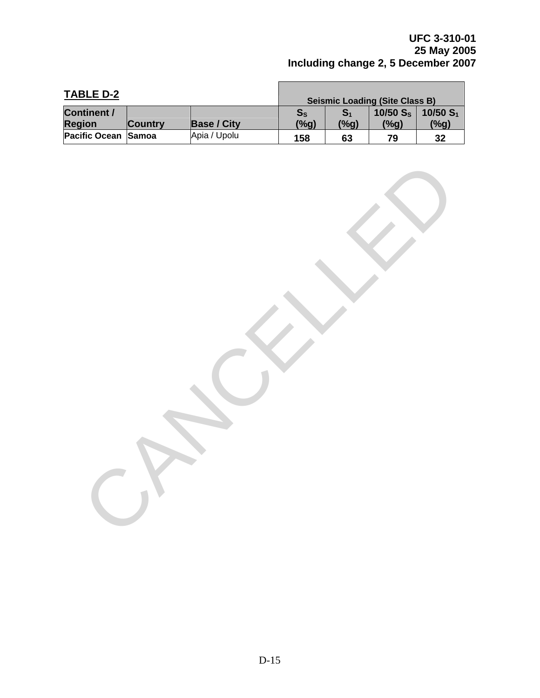| <b>TABLE D-2</b>                    |                |                    | <b>Seismic Loading (Site Class B)</b> |                        |                              |                              |
|-------------------------------------|----------------|--------------------|---------------------------------------|------------------------|------------------------------|------------------------------|
| <b>Continent /</b><br><b>Region</b> | <b>Country</b> | <b>Base / City</b> | $S_{\rm S}$<br>(%g)                   | $\mathbf{S}_1$<br>(%g) | 10/50 $S_{\rm s}$<br>$(\%g)$ | 10/50 S <sub>1</sub><br>(%g) |
| Pacific Ocean Samoa                 |                | Apia / Upolu       | 158                                   | 63                     | 79                           | 32                           |

CANCELLED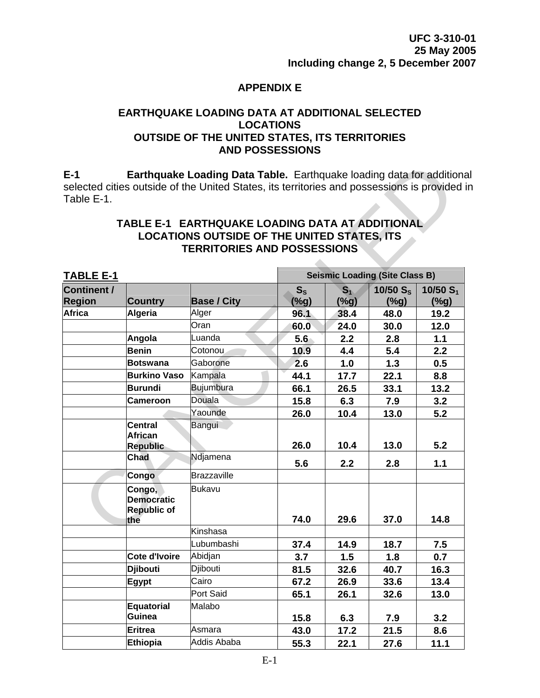## **APPENDIX E**

#### **EARTHQUAKE LOADING DATA AT ADDITIONAL SELECTED LOCATIONS OUTSIDE OF THE UNITED STATES, ITS TERRITORIES AND POSSESSIONS**

### **TABLE E-1 EARTHQUAKE LOADING DATA AT ADDITIONAL LOCATIONS OUTSIDE OF THE UNITED STATES, ITS TERRITORIES AND POSSESSIONS**

| $E-1$<br>Table E-1. |                                                          | Earthquake Loading Data Table. Earthquake loading data for additiona<br>selected cities outside of the United States, its territories and possessions is provided |                                       |                |             |             |
|---------------------|----------------------------------------------------------|-------------------------------------------------------------------------------------------------------------------------------------------------------------------|---------------------------------------|----------------|-------------|-------------|
|                     |                                                          | TABLE E-1 EARTHQUAKE LOADING DATA AT ADDITIONAL<br><b>LOCATIONS OUTSIDE OF THE UNITED STATES, ITS</b><br><b>TERRITORIES AND POSSESSIONS</b>                       |                                       |                |             |             |
| <b>TABLE E-1</b>    |                                                          |                                                                                                                                                                   | <b>Seismic Loading (Site Class B)</b> |                |             |             |
| <b>Continent /</b>  |                                                          |                                                                                                                                                                   | $S_{\rm S}$                           | S <sub>1</sub> | 10/50 $S_s$ | 10/50 $S_1$ |
| <b>Region</b>       | <b>Country</b>                                           | <b>Base / City</b>                                                                                                                                                | (%g)                                  | $(\%g)$        | (%g)        | (%g)        |
| <b>Africa</b>       | <b>Algeria</b>                                           | Alger                                                                                                                                                             | 96.1                                  | 38.4           | 48.0        | 19.2        |
|                     |                                                          | Oran                                                                                                                                                              | 60.0                                  | 24.0           | 30.0        | 12.0        |
|                     | Angola                                                   | Luanda                                                                                                                                                            | 5.6                                   | 2.2            | 2.8         | 1.1         |
|                     | <b>Benin</b>                                             | Cotonou                                                                                                                                                           | 10.9                                  | 4.4            | 5.4         | 2.2         |
|                     | <b>Botswana</b>                                          | Gaborone                                                                                                                                                          | 2.6                                   | 1.0            | 1.3         | 0.5         |
|                     | <b>Burkino Vaso</b>                                      | Kampala                                                                                                                                                           | 44.1                                  | 17.7           | 22.1        | 8.8         |
|                     | <b>Burundi</b>                                           | <b>Bujumbura</b>                                                                                                                                                  | 66.1                                  | 26.5           | 33.1        | 13.2        |
|                     | <b>Cameroon</b>                                          | Douala                                                                                                                                                            | 15.8                                  | 6.3            | 7.9         | 3.2         |
|                     |                                                          | Yaounde                                                                                                                                                           | 26.0                                  | 10.4           | 13.0        | 5.2         |
|                     | <b>Central</b>                                           | Bangui                                                                                                                                                            |                                       |                |             |             |
|                     | <b>African</b><br><b>Republic</b>                        |                                                                                                                                                                   | 26.0                                  | 10.4           | 13.0        | 5.2         |
|                     | Chad                                                     | Ndjamena                                                                                                                                                          | 5.6                                   | 2.2            | 2.8         | 1.1         |
|                     | Congo                                                    | Brazzaville                                                                                                                                                       |                                       |                |             |             |
|                     | Congo,<br><b>Democratic</b><br><b>Republic of</b><br>the | <b>Bukavu</b>                                                                                                                                                     | 74.0                                  | 29.6           | 37.0        | 14.8        |
|                     |                                                          | Kinshasa                                                                                                                                                          |                                       |                |             |             |
|                     |                                                          | Lubumbashi                                                                                                                                                        | 37.4                                  | 14.9           | 18.7        | 7.5         |
|                     | Cote d'Ivoire                                            | Abidjan                                                                                                                                                           | 3.7                                   | 1.5            | 1.8         | 0.7         |
|                     | <b>Djibouti</b>                                          | Djibouti                                                                                                                                                          | 81.5                                  | 32.6           | 40.7        | 16.3        |
|                     | <b>Egypt</b>                                             | Cairo                                                                                                                                                             | 67.2                                  | 26.9           | 33.6        | 13.4        |
|                     |                                                          | Port Said                                                                                                                                                         | 65.1                                  | 26.1           | 32.6        | 13.0        |
|                     | Equatorial                                               | Malabo                                                                                                                                                            |                                       |                |             |             |
|                     | Guinea                                                   |                                                                                                                                                                   | 15.8                                  | 6.3            | 7.9         | 3.2         |
|                     | <b>Eritrea</b>                                           | Asmara                                                                                                                                                            | 43.0                                  | 17.2           | 21.5        | 8.6         |
|                     | <b>Ethiopia</b>                                          | Addis Ababa                                                                                                                                                       | 55.3                                  | 22.1           | 27.6        | 11.1        |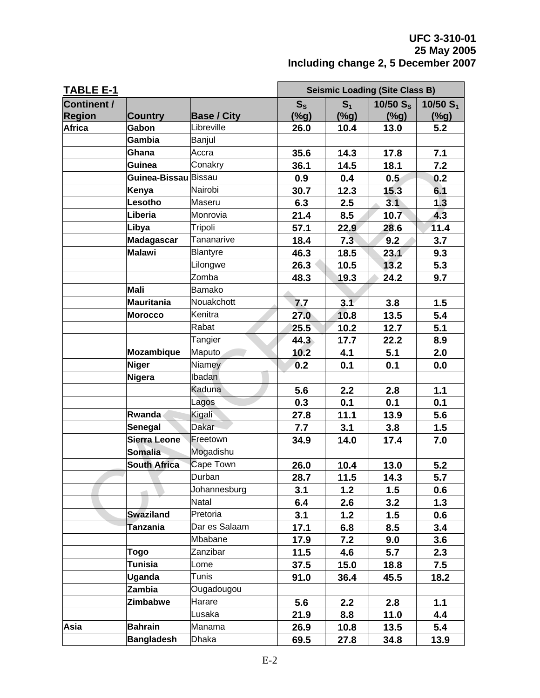| <b>TABLE E-1</b>   |                      |                    | <b>Seismic Loading (Site Class B)</b>                   |         |         |         |  |
|--------------------|----------------------|--------------------|---------------------------------------------------------|---------|---------|---------|--|
| <b>Continent /</b> |                      |                    | 10/50 $S_s$<br>$S_{S}$<br>S <sub>1</sub><br>10/50 $S_1$ |         |         |         |  |
| <b>Region</b>      | <b>Country</b>       | <b>Base / City</b> | (%g)                                                    | $(\%g)$ | $(\%g)$ | $(\%g)$ |  |
| <b>Africa</b>      | Gabon                | Libreville         | 26.0                                                    | 10.4    | 13.0    | 5.2     |  |
|                    | Gambia               | Banjul             |                                                         |         |         |         |  |
|                    | Ghana                | Accra              | 35.6                                                    | 14.3    | 17.8    | 7.1     |  |
|                    | Guinea               | Conakry            | 36.1                                                    | 14.5    | 18.1    | $7.2$   |  |
|                    | Guinea-Bissau Bissau |                    | 0.9                                                     | 0.4     | 0.5     | 0.2     |  |
|                    | Kenya                | Nairobi            | 30.7                                                    | 12.3    | 15.3    | 6.1     |  |
|                    | Lesotho              | Maseru             | 6.3                                                     | 2.5     | 3.1     | 1.3     |  |
|                    | Liberia              | Monrovia           | 21.4                                                    | 8.5     | 10.7    | 4.3     |  |
|                    | Libya                | Tripoli            | 57.1                                                    | 22.9    | 28.6    | 11.4    |  |
|                    | <b>Madagascar</b>    | Tananarive         | 18.4                                                    | 7.3     | 9.2     | 3.7     |  |
|                    | <b>Malawi</b>        | <b>Blantyre</b>    | 46.3                                                    | 18.5    | 23.1    | 9.3     |  |
|                    |                      | Lilongwe           | 26.3                                                    | 10.5    | 13.2    | 5.3     |  |
|                    |                      | Zomba              | 48.3                                                    | 19.3    | 24.2    | 9.7     |  |
|                    | <b>Mali</b>          | Bamako             |                                                         |         |         |         |  |
|                    | <b>Mauritania</b>    | Nouakchott         | 7.7                                                     | 3.1     | 3.8     | 1.5     |  |
|                    | <b>Morocco</b>       | Kenitra            | 27.0                                                    | 10.8    | 13.5    | 5.4     |  |
|                    |                      | Rabat              | 25.5                                                    | 10.2    | 12.7    | 5.1     |  |
|                    |                      | Tangier            | 44.3                                                    | 17.7    | 22.2    | 8.9     |  |
|                    | Mozambique           | Maputo             | 10.2                                                    | 4.1     | 5.1     | 2.0     |  |
|                    | Niger                | Niamey             | 0.2                                                     | 0.1     | 0.1     | 0.0     |  |
|                    | Nigera               | Ibadan             |                                                         |         |         |         |  |
|                    |                      | Kaduna             | 5.6                                                     | 2.2     | 2.8     | 1.1     |  |
|                    |                      | Lagos              | 0.3                                                     | 0.1     | 0.1     | 0.1     |  |
|                    | Rwanda               | Kigali             | 27.8                                                    | 11.1    | 13.9    | 5.6     |  |
|                    | Senegal              | Dakar              | 7.7                                                     | 3.1     | 3.8     | 1.5     |  |
|                    | Sierra Leone         | Freetown           | 34.9                                                    | 14.0    | 17.4    | 7.0     |  |
|                    | <b>Somalia</b>       | Mogadishu          |                                                         |         |         |         |  |
|                    | <b>South Africa</b>  | Cape Town          | 26.0                                                    | 10.4    | 13.0    | 5.2     |  |
|                    |                      | Durban             | 28.7                                                    | 11.5    | 14.3    | 5.7     |  |
|                    |                      | Johannesburg       | 3.1                                                     | 1.2     | 1.5     | 0.6     |  |
|                    |                      | Natal              | 6.4                                                     | 2.6     | 3.2     | 1.3     |  |
|                    | <b>Swaziland</b>     | Pretoria           | 3.1                                                     | 1.2     | 1.5     | 0.6     |  |
|                    | <b>Tanzania</b>      | Dar es Salaam      | 17.1                                                    | 6.8     | 8.5     | 3.4     |  |
|                    |                      | Mbabane            | 17.9                                                    | 7.2     | 9.0     | 3.6     |  |
|                    | Togo                 | Zanzibar           | 11.5                                                    | 4.6     | 5.7     | 2.3     |  |
|                    | <b>Tunisia</b>       | Lome               | 37.5                                                    | 15.0    | 18.8    | 7.5     |  |
|                    | Uganda               | Tunis              | 91.0                                                    | 36.4    | 45.5    | 18.2    |  |
|                    | Zambia               | Ougadougou         |                                                         |         |         |         |  |
|                    | <b>Zimbabwe</b>      | Harare             | 5.6                                                     | 2.2     | 2.8     | 1.1     |  |
|                    |                      | Lusaka             | 21.9                                                    | 8.8     | 11.0    | 4.4     |  |
| Asia               | <b>Bahrain</b>       | Manama             | 26.9                                                    | 10.8    | 13.5    | 5.4     |  |
|                    | <b>Bangladesh</b>    | Dhaka              | 69.5                                                    | 27.8    | 34.8    | 13.9    |  |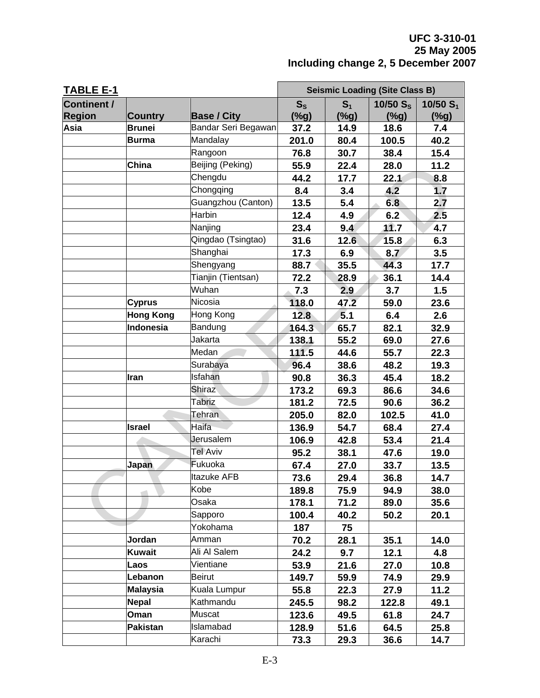| <b>TABLE E-1</b>   |                  |                     | <b>Seismic Loading (Site Class B)</b> |                |             |             |
|--------------------|------------------|---------------------|---------------------------------------|----------------|-------------|-------------|
| <b>Continent /</b> |                  |                     | $S_{S}$                               | S <sub>1</sub> | 10/50 $S_s$ | 10/50 $S_1$ |
| <b>Region</b>      | <b>Country</b>   | <b>Base / City</b>  | (%g)                                  | (%g)           | $(\%g)$     | $(\%g)$     |
| Asia               | <b>Brunei</b>    | Bandar Seri Begawan | 37.2                                  | 14.9           | 18.6        | 7.4         |
|                    | <b>Burma</b>     | Mandalay            | 201.0                                 | 80.4           | 100.5       | 40.2        |
|                    |                  | Rangoon             | 76.8                                  | 30.7           | 38.4        | 15.4        |
|                    | China            | Beijing (Peking)    | 55.9                                  | 22.4           | 28.0        | 11.2        |
|                    |                  | Chengdu             | 44.2                                  | 17.7           | 22.1        | 8.8         |
|                    |                  | Chongqing           | 8.4                                   | 3.4            | 4.2         | 1.7         |
|                    |                  | Guangzhou (Canton)  | 13.5                                  | 5.4            | 6.8         | 2.7         |
|                    |                  | Harbin              | 12.4                                  | 4.9            | 6.2         | 2.5         |
|                    |                  | Nanjing             | 23.4                                  | 9.4            | 11.7        | 4.7         |
|                    |                  | Qingdao (Tsingtao)  | 31.6                                  | 12.6           | 15.8        | 6.3         |
|                    |                  | Shanghai            | 17.3                                  | 6.9            | 8.7         | 3.5         |
|                    |                  | Shengyang           | 88.7                                  | 35.5           | 44.3        | 17.7        |
|                    |                  | Tianjin (Tientsan)  | 72.2                                  | 28.9           | 36.1        | 14.4        |
|                    |                  | Wuhan               | 7.3                                   | 2.9            | 3.7         | 1.5         |
|                    | <b>Cyprus</b>    | Nicosia             | 118.0                                 | 47.2           | 59.0        | 23.6        |
|                    | <b>Hong Kong</b> | Hong Kong           | 12.8                                  | 5.1            | 6.4         | 2.6         |
|                    | Indonesia        | Bandung             | 164.3                                 | 65.7           | 82.1        | 32.9        |
|                    |                  | Jakarta             | 138.1                                 | 55.2           | 69.0        | 27.6        |
|                    |                  | Medan               | 111.5                                 | 44.6           | 55.7        | 22.3        |
|                    |                  | Surabaya            | 96.4                                  | 38.6           | 48.2        | 19.3        |
|                    | Iran             | Isfahan             | 90.8                                  | 36.3           | 45.4        | 18.2        |
|                    |                  | <b>Shiraz</b>       | 173.2                                 | 69.3           | 86.6        | 34.6        |
|                    |                  | Tabriz              | 181.2                                 | 72.5           | 90.6        | 36.2        |
|                    |                  | Tehran              | 205.0                                 | 82.0           | 102.5       | 41.0        |
|                    | <b>Israel</b>    | Haifa               | 136.9                                 | 54.7           | 68.4        | 27.4        |
|                    |                  | <b>Jerusalem</b>    | 106.9                                 | 42.8           | 53.4        | 21.4        |
|                    |                  | Tel Aviv            | 95.2                                  | 38.1           | 47.6        | 19.0        |
|                    | Japan            | Fukuoka             | 67.4                                  | 27.0           | 33.7        | 13.5        |
|                    |                  | Itazuke AFB         | 73.6                                  | 29.4           | 36.8        | 14.7        |
|                    |                  | Kobe                | 189.8                                 | 75.9           | 94.9        | 38.0        |
|                    |                  | Osaka               | 178.1                                 | 71.2           | 89.0        | 35.6        |
|                    |                  | Sapporo             | 100.4                                 | 40.2           | 50.2        | 20.1        |
|                    |                  | Yokohama            | 187                                   | 75             |             |             |
|                    | Jordan           | Amman               | 70.2                                  | 28.1           | 35.1        | 14.0        |
|                    | <b>Kuwait</b>    | Ali Al Salem        | 24.2                                  | 9.7            | 12.1        | 4.8         |
|                    | Laos             | Vientiane           | 53.9                                  | 21.6           | 27.0        | 10.8        |
|                    | Lebanon          | <b>Beirut</b>       | 149.7                                 | 59.9           | 74.9        | 29.9        |
|                    | <b>Malaysia</b>  | Kuala Lumpur        | 55.8                                  | 22.3           | 27.9        | 11.2        |
|                    | Nepal            | Kathmandu           | 245.5                                 | 98.2           | 122.8       | 49.1        |
|                    | Oman             | <b>Muscat</b>       | 123.6                                 | 49.5           | 61.8        | 24.7        |
|                    | <b>Pakistan</b>  | Islamabad           | 128.9                                 | 51.6           | 64.5        | 25.8        |
|                    |                  | Karachi             | 73.3                                  | 29.3           | 36.6        | 14.7        |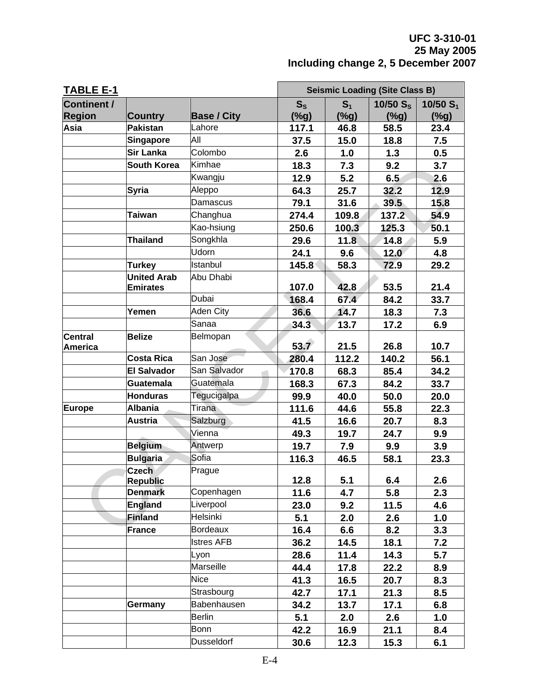| <b>TABLE E-1</b>   |                    |                    |         | <b>Seismic Loading (Site Class B)</b>                   |         |         |  |  |
|--------------------|--------------------|--------------------|---------|---------------------------------------------------------|---------|---------|--|--|
| <b>Continent /</b> |                    |                    |         | 10/50 $S_s$<br>$S_{S}$<br>S <sub>1</sub><br>10/50 $S_1$ |         |         |  |  |
| <b>Region</b>      | <b>Country</b>     | <b>Base / City</b> | $(\%g)$ | $(\%g)$                                                 | $(\%g)$ | $(\%g)$ |  |  |
| Asia               | <b>Pakistan</b>    | Lahore             | 117.1   | 46.8                                                    | 58.5    | 23.4    |  |  |
|                    | <b>Singapore</b>   | All                | 37.5    | 15.0                                                    | 18.8    | 7.5     |  |  |
|                    | <b>Sir Lanka</b>   | Colombo            | 2.6     | 1.0                                                     | 1.3     | 0.5     |  |  |
|                    | <b>South Korea</b> | Kimhae             | 18.3    | 7.3                                                     | 9.2     | 3.7     |  |  |
|                    |                    | Kwangju            | 12.9    | 5.2                                                     | 6.5     | 2.6     |  |  |
|                    | <b>Syria</b>       | Aleppo             | 64.3    | 25.7                                                    | 32.2    | 12.9    |  |  |
|                    |                    | Damascus           | 79.1    | 31.6                                                    | 39.5    | 15.8    |  |  |
|                    | <b>Taiwan</b>      | Changhua           | 274.4   | 109.8                                                   | 137.2   | 54.9    |  |  |
|                    |                    | Kao-hsiung         | 250.6   | 100.3                                                   | 125.3   | 50.1    |  |  |
|                    | <b>Thailand</b>    | Songkhla           | 29.6    | 11.8                                                    | 14.8    | 5.9     |  |  |
|                    |                    | Udorn              | 24.1    | 9.6                                                     | 12.0    | 4.8     |  |  |
|                    | <b>Turkey</b>      | Istanbul           | 145.8   | 58.3                                                    | 72.9    | 29.2    |  |  |
|                    | <b>United Arab</b> | Abu Dhabi          |         |                                                         |         |         |  |  |
|                    | <b>Emirates</b>    |                    | 107.0   | 42.8                                                    | 53.5    | 21.4    |  |  |
|                    |                    | Dubai              | 168.4   | 67.4                                                    | 84.2    | 33.7    |  |  |
|                    | Yemen              | <b>Aden City</b>   | 36.6    | 14.7                                                    | 18.3    | 7.3     |  |  |
|                    |                    | Sanaa              | 34.3    | 13.7                                                    | 17.2    | 6.9     |  |  |
| <b>Central</b>     | <b>Belize</b>      | Belmopan           |         |                                                         |         |         |  |  |
| <b>America</b>     |                    |                    | 53.7    | 21.5                                                    | 26.8    | 10.7    |  |  |
|                    | <b>Costa Rica</b>  | San Jose           | 280.4   | 112.2                                                   | 140.2   | 56.1    |  |  |
|                    | <b>El Salvador</b> | San Salvador       | 170.8   | 68.3                                                    | 85.4    | 34.2    |  |  |
|                    | <b>Guatemala</b>   | Guatemala          | 168.3   | 67.3                                                    | 84.2    | 33.7    |  |  |
|                    | <b>Honduras</b>    | Tegucigalpa        | 99.9    | 40.0                                                    | 50.0    | 20.0    |  |  |
| <b>Europe</b>      | <b>Albania</b>     | Tirana             | 111.6   | 44.6                                                    | 55.8    | 22.3    |  |  |
|                    | <b>Austria</b>     | Salzburg           | 41.5    | 16.6                                                    | 20.7    | 8.3     |  |  |
|                    |                    | Vienna             | 49.3    | 19.7                                                    | 24.7    | 9.9     |  |  |
|                    | <b>Belgium</b>     | Antwerp            | 19.7    | 7.9                                                     | 9.9     | 3.9     |  |  |
|                    | <b>Bulgaria</b>    | Sofia              | 116.3   | 46.5                                                    | 58.1    | 23.3    |  |  |
|                    | <b>Czech</b>       | Prague             |         |                                                         |         |         |  |  |
|                    | <b>Republic</b>    |                    | 12.8    | 5.1                                                     | 6.4     | 2.6     |  |  |
|                    | <b>Denmark</b>     | Copenhagen         | 11.6    | 4.7                                                     | 5.8     | 2.3     |  |  |
|                    | <b>England</b>     | Liverpool          | 23.0    | 9.2                                                     | 11.5    | 4.6     |  |  |
|                    | <b>Finland</b>     | Helsinki           | 5.1     | 2.0                                                     | 2.6     | 1.0     |  |  |
|                    | <b>France</b>      | <b>Bordeaux</b>    | 16.4    | 6.6                                                     | 8.2     | 3.3     |  |  |
|                    |                    | <b>Istres AFB</b>  | 36.2    | 14.5                                                    | 18.1    | 7.2     |  |  |
|                    |                    | Lyon               | 28.6    | 11.4                                                    | 14.3    | 5.7     |  |  |
|                    |                    | Marseille          | 44.4    | 17.8                                                    | 22.2    | 8.9     |  |  |
|                    |                    | <b>Nice</b>        | 41.3    | 16.5                                                    | 20.7    | 8.3     |  |  |
|                    |                    | Strasbourg         | 42.7    | 17.1                                                    | 21.3    | 8.5     |  |  |
|                    | Germany            | Babenhausen        | 34.2    | 13.7                                                    | 17.1    | 6.8     |  |  |
|                    |                    | <b>Berlin</b>      | 5.1     | 2.0                                                     | 2.6     | 1.0     |  |  |
|                    |                    | <b>Bonn</b>        | 42.2    | 16.9                                                    | 21.1    | 8.4     |  |  |
|                    |                    | <b>Dusseldorf</b>  | 30.6    | 12.3                                                    | 15.3    | 6.1     |  |  |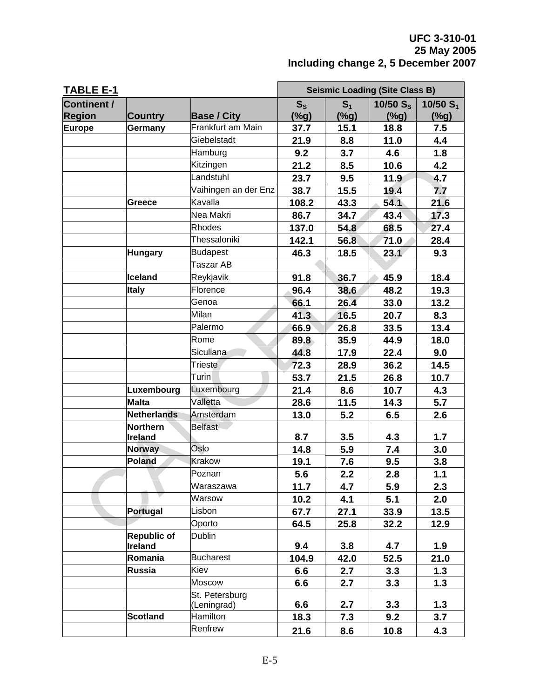| <b>TABLE E-1</b>   |                    |                      | <b>Seismic Loading (Site Class B)</b> |                |             |             |
|--------------------|--------------------|----------------------|---------------------------------------|----------------|-------------|-------------|
| <b>Continent /</b> |                    |                      | $S_{S}$                               | S <sub>1</sub> | 10/50 $S_s$ | 10/50 $S_1$ |
| <b>Region</b>      | <b>Country</b>     | <b>Base / City</b>   | (%g)                                  | $(\%g)$        | $(\%g)$     | $(\%g)$     |
| Europe             | Germany            | Frankfurt am Main    | 37.7                                  | 15.1           | 18.8        | 7.5         |
|                    |                    | Giebelstadt          | 21.9                                  | 8.8            | 11.0        | 4.4         |
|                    |                    | Hamburg              | 9.2                                   | 3.7            | 4.6         | 1.8         |
|                    |                    | Kitzingen            | 21.2                                  | 8.5            | 10.6        | 4.2         |
|                    |                    | Landstuhl            | 23.7                                  | 9.5            | 11.9        | 4.7         |
|                    |                    | Vaihingen an der Enz | 38.7                                  | 15.5           | 19.4        | 7.7         |
|                    | Greece             | Kavalla              | 108.2                                 | 43.3           | 54.1        | 21.6        |
|                    |                    | Nea Makri            | 86.7                                  | 34.7           | 43.4        | 17.3        |
|                    |                    | <b>Rhodes</b>        | 137.0                                 | 54.8           | 68.5        | 27.4        |
|                    |                    | Thessaloniki         | 142.1                                 | 56.8           | 71.0        | 28.4        |
|                    | Hungary            | <b>Budapest</b>      | 46.3                                  | 18.5           | 23.1        | 9.3         |
|                    |                    | Taszar AB            |                                       |                |             |             |
|                    | Iceland            | Reykjavik            | 91.8                                  | 36.7           | 45.9        | 18.4        |
|                    | <b>Italy</b>       | Florence             | 96.4                                  | 38.6           | 48.2        | 19.3        |
|                    |                    | Genoa                | 66.1                                  | 26.4           | 33.0        | 13.2        |
|                    |                    | Milan                | 41.3                                  | 16.5           | 20.7        | 8.3         |
|                    |                    | Palermo              | 66.9                                  | 26.8           | 33.5        | 13.4        |
|                    |                    | Rome                 | 89.8                                  | 35.9           | 44.9        | 18.0        |
|                    |                    | Siculiana            | 44.8                                  | 17.9           | 22.4        | 9.0         |
|                    |                    | <b>Trieste</b>       | 72.3                                  | 28.9           | 36.2        | 14.5        |
|                    |                    | Turin                | 53.7                                  | 21.5           | 26.8        | 10.7        |
|                    | Luxembourg         | Luxembourg           | 21.4                                  | 8.6            | 10.7        | 4.3         |
|                    | Malta              | Valletta             | 28.6                                  | 11.5           | 14.3        | 5.7         |
|                    | Netherlands        | Amsterdam            | 13.0                                  | 5.2            | 6.5         | 2.6         |
|                    | Northern           | <b>Belfast</b>       |                                       |                |             |             |
|                    | Ireland            |                      | 8.7                                   | 3.5            | 4.3         | 1.7         |
|                    | Norway             | Oslo                 | 14.8                                  | 5.9            | 7.4         | 3.0         |
|                    | Poland             | Krakow               | 19.1                                  | 7.6            | 9.5         | 3.8         |
|                    |                    | Poznan               | 5.6                                   | 2.2            | 2.8         | 1.1         |
|                    |                    | Waraszawa            | 11.7                                  | 4.7            | 5.9         | 2.3         |
|                    |                    | Warsow               | 10.2                                  | 4.1            | 5.1         | 2.0         |
|                    | Portugal           | Lisbon               | 67.7                                  | 27.1           | 33.9        | 13.5        |
|                    |                    | Oporto               | 64.5                                  | 25.8           | 32.2        | 12.9        |
|                    | <b>Republic of</b> | <b>Dublin</b>        |                                       |                |             |             |
|                    | Ireland<br>Romania | <b>Bucharest</b>     | 9.4                                   | 3.8            | 4.7         | 1.9         |
|                    | Russia             | Kiev                 | 104.9                                 | 42.0           | 52.5        | 21.0        |
|                    |                    | Moscow               | 6.6                                   | 2.7            | 3.3         | 1.3         |
|                    |                    | St. Petersburg       | 6.6                                   | 2.7            | 3.3         | 1.3         |
|                    |                    | (Leningrad)          | 6.6                                   | 2.7            | 3.3         | 1.3         |
|                    | <b>Scotland</b>    | Hamilton             | 18.3                                  | 7.3            | 9.2         | 3.7         |
|                    |                    | Renfrew              | 21.6                                  | 8.6            | 10.8        | 4.3         |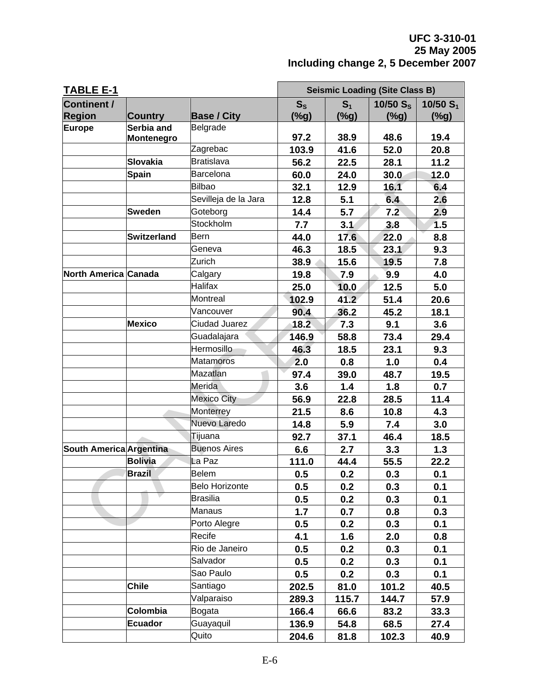| <b>TABLE E-1</b>        |                    |                       | <b>Seismic Loading (Site Class B)</b> |                |                      |             |
|-------------------------|--------------------|-----------------------|---------------------------------------|----------------|----------------------|-------------|
| <b>Continent /</b>      |                    |                       | $S_{S}$                               | S <sub>1</sub> | 10/50 S <sub>s</sub> | 10/50 $S_1$ |
| <b>Region</b>           | <b>Country</b>     | <b>Base / City</b>    | $(\%g)$                               | $(\%g)$        | (%g)                 | (%g)        |
| <b>Europe</b>           | Serbia and         | Belgrade              |                                       |                |                      |             |
|                         | <b>Montenegro</b>  |                       | 97.2                                  | 38.9           | 48.6                 | 19.4        |
|                         |                    | Zagrebac              | 103.9                                 | 41.6           | 52.0                 | 20.8        |
|                         | <b>Slovakia</b>    | Bratislava            | 56.2                                  | 22.5           | 28.1                 | 11.2        |
|                         | Spain              | Barcelona             | 60.0                                  | 24.0           | 30.0                 | 12.0        |
|                         |                    | Bilbao                | 32.1                                  | 12.9           | 16.1                 | 6.4         |
|                         |                    | Sevilleja de la Jara  | 12.8                                  | 5.1            | 6.4                  | 2.6         |
|                         | <b>Sweden</b>      | Goteborg              | 14.4                                  | 5.7            | 7.2                  | 2.9         |
|                         |                    | Stockholm             | 7.7                                   | 3.1            | 3.8                  | 1.5         |
|                         | <b>Switzerland</b> | Bern                  | 44.0                                  | 17.6           | 22.0                 | 8.8         |
|                         |                    | Geneva                | 46.3                                  | 18.5           | 23.1                 | 9.3         |
|                         |                    | Zurich                | 38.9                                  | 15.6           | 19.5                 | 7.8         |
| North America Canada    |                    | Calgary               | 19.8                                  | 7.9            | 9.9                  | 4.0         |
|                         |                    | <b>Halifax</b>        | 25.0                                  | 10.0           | 12.5                 | 5.0         |
|                         |                    | Montreal              | 102.9                                 | 41.2           | 51.4                 | 20.6        |
|                         |                    | Vancouver             | 90.4                                  | 36.2           | 45.2                 | 18.1        |
|                         | <b>Mexico</b>      | Ciudad Juarez         | 18.2                                  | 7.3            | 9.1                  | 3.6         |
|                         |                    | Guadalajara           | 146.9                                 | 58.8           | 73.4                 | 29.4        |
|                         |                    | Hermosillo            | 46.3                                  | 18.5           | 23.1                 | 9.3         |
|                         |                    | <b>Matamoros</b>      | 2.0                                   | 0.8            | 1.0                  | 0.4         |
|                         |                    | Mazatlan              | 97.4                                  | 39.0           | 48.7                 | 19.5        |
|                         |                    | Merida                | 3.6                                   | 1.4            | 1.8                  | 0.7         |
|                         |                    | <b>Mexico City</b>    | 56.9                                  | 22.8           | 28.5                 | 11.4        |
|                         |                    | Monterrey             | 21.5                                  | 8.6            | 10.8                 | 4.3         |
|                         |                    | Nuevo Laredo          | 14.8                                  | 5.9            | 7.4                  | 3.0         |
|                         |                    | Tijuana               | 92.7                                  | 37.1           | 46.4                 | 18.5        |
| South America Argentina |                    | <b>Buenos Aires</b>   | 6.6                                   | 2.7            | 3.3                  | 1.3         |
|                         | <b>Bolivia</b>     | La Paz                | 111.0                                 | 44.4           | 55.5                 | 22.2        |
|                         | <b>Brazil</b>      | Belem                 | 0.5                                   | 0.2            | 0.3                  | 0.1         |
|                         |                    | <b>Belo Horizonte</b> | 0.5                                   | 0.2            | 0.3                  | 0.1         |
|                         |                    | <b>Brasilia</b>       | 0.5                                   | 0.2            | 0.3                  | 0.1         |
|                         |                    | <b>Manaus</b>         | 1.7                                   | 0.7            | 0.8                  | 0.3         |
|                         |                    | Porto Alegre          | 0.5                                   | 0.2            | 0.3                  | 0.1         |
|                         |                    | Recife                | 4.1                                   | 1.6            | 2.0                  | 0.8         |
|                         |                    | Rio de Janeiro        | 0.5                                   | 0.2            | 0.3                  | 0.1         |
|                         |                    | Salvador              | 0.5                                   | 0.2            | 0.3                  | 0.1         |
|                         |                    | Sao Paulo             | 0.5                                   | 0.2            | 0.3                  | 0.1         |
|                         | <b>Chile</b>       | Santiago              | 202.5                                 | 81.0           | 101.2                | 40.5        |
|                         |                    | Valparaiso            | 289.3                                 | 115.7          | 144.7                | 57.9        |
|                         | Colombia           | Bogata                | 166.4                                 | 66.6           | 83.2                 | 33.3        |
|                         | <b>Ecuador</b>     | Guayaquil             | 136.9                                 | 54.8           | 68.5                 | 27.4        |
|                         |                    | Quito                 | 204.6                                 | 81.8           | 102.3                | 40.9        |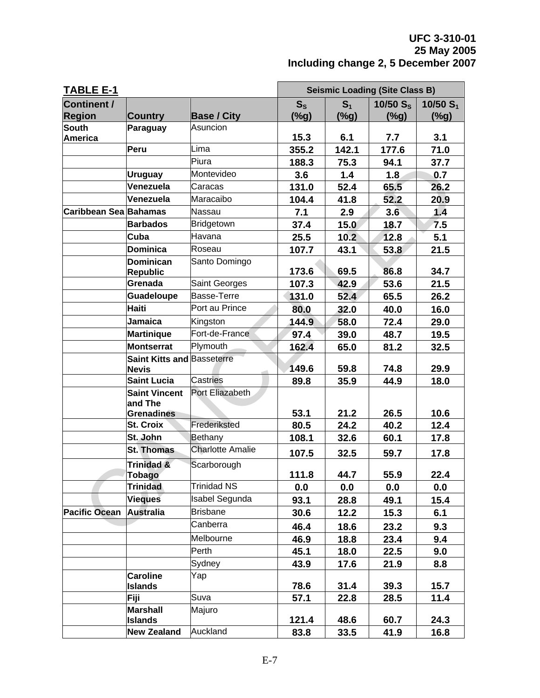| <b>TABLE E-1</b>      |                                                   |                         | <b>Seismic Loading (Site Class B)</b> |                           |                     |         |
|-----------------------|---------------------------------------------------|-------------------------|---------------------------------------|---------------------------|---------------------|---------|
| <b>Continent /</b>    |                                                   |                         | $S_{S}$                               | 10/50 $S_1$               |                     |         |
| <b>Region</b>         | <b>Country</b>                                    | <b>Base / City</b>      | (%g)                                  | S <sub>1</sub><br>$(\%g)$ | 10/50 $S_s$<br>(%g) | $(\%g)$ |
| <b>South</b>          | Paraguay                                          | Asuncion                |                                       |                           |                     |         |
| <b>America</b>        |                                                   |                         | 15.3                                  | 6.1                       | 7.7                 | 3.1     |
|                       | Peru                                              | Lima                    | 355.2                                 | 142.1                     | 177.6               | 71.0    |
|                       |                                                   | Piura                   | 188.3                                 | 75.3                      | 94.1                | 37.7    |
|                       | <b>Uruguay</b>                                    | Montevideo              | 3.6                                   | 1.4                       | 1.8                 | 0.7     |
|                       | Venezuela                                         | Caracas                 | 131.0                                 | 52.4                      | 65.5                | 26.2    |
|                       | Venezuela                                         | Maracaibo               | 104.4                                 | 41.8                      | 52.2                | 20.9    |
| Caribbean Sea Bahamas |                                                   | Nassau                  | 7.1                                   | 2.9                       | 3.6                 | 1.4     |
|                       | <b>Barbados</b>                                   | Bridgetown              | 37.4                                  | 15.0                      | 18.7                | 7.5     |
|                       | Cuba                                              | Havana                  | 25.5                                  | 10.2                      | 12.8                | 5.1     |
|                       | <b>Dominica</b>                                   | Roseau                  | 107.7                                 | 43.1                      | 53.8                | 21.5    |
|                       | <b>Dominican</b>                                  | Santo Domingo           |                                       |                           |                     |         |
|                       | <b>Republic</b>                                   |                         | 173.6                                 | 69.5                      | 86.8                | 34.7    |
|                       | Grenada                                           | <b>Saint Georges</b>    | 107.3                                 | 42.9                      | 53.6                | 21.5    |
|                       | <b>Guadeloupe</b>                                 | <b>Basse-Terre</b>      | 131.0                                 | 52.4                      | 65.5                | 26.2    |
|                       | <b>Haiti</b>                                      | Port au Prince          | 80.0                                  | 32.0                      | 40.0                | 16.0    |
|                       | <b>Jamaica</b>                                    | Kingston                | 144.9                                 | 58.0                      | 72.4                | 29.0    |
|                       | <b>Martinique</b>                                 | Fort-de-France          | 97.4                                  | 39.0                      | 48.7                | 19.5    |
|                       | <b>Montserrat</b>                                 | <b>Plymouth</b>         | 162.4                                 | 65.0                      | 81.2                | 32.5    |
|                       | <b>Saint Kitts and Basseterre</b><br><b>Nevis</b> |                         | 149.6                                 | 59.8                      | 74.8                | 29.9    |
|                       | <b>Saint Lucia</b>                                | <b>Castries</b>         | 89.8                                  | 35.9                      | 44.9                | 18.0    |
|                       | <b>Saint Vincent</b>                              | Port Eliazabeth         |                                       |                           |                     |         |
|                       | and The                                           |                         |                                       |                           |                     |         |
|                       | <b>Grenadines</b>                                 |                         | 53.1                                  | 21.2                      | 26.5                | 10.6    |
|                       | <b>St. Croix</b>                                  | Frederiksted            | 80.5                                  | 24.2                      | 40.2                | 12.4    |
|                       | St. John                                          | Bethany                 | 108.1                                 | 32.6                      | 60.1                | 17.8    |
|                       | <b>St. Thomas</b>                                 | <b>Charlotte Amalie</b> | 107.5                                 | 32.5                      | 59.7                | 17.8    |
|                       | Trinidad &<br><b>Tobago</b>                       | Scarborough             | 111.8                                 | 44.7                      | 55.9                | 22.4    |
|                       | <b>Trinidad</b>                                   | <b>Trinidad NS</b>      | 0.0                                   | 0.0                       | 0.0                 | 0.0     |
|                       | <b>Vieques</b>                                    | <b>Isabel Segunda</b>   | 93.1                                  | 28.8                      | 49.1                | 15.4    |
| <b>Pacific Ocean</b>  | <b>Australia</b>                                  | <b>Brisbane</b>         | 30.6                                  | 12.2                      | 15.3                | 6.1     |
|                       |                                                   | Canberra                |                                       |                           |                     |         |
|                       |                                                   |                         | 46.4                                  | 18.6                      | 23.2                | 9.3     |
|                       |                                                   | Melbourne               | 46.9                                  | 18.8                      | 23.4                | 9.4     |
|                       |                                                   | Perth                   | 45.1                                  | 18.0                      | 22.5                | 9.0     |
|                       |                                                   | Sydney                  | 43.9                                  | 17.6                      | 21.9                | 8.8     |
|                       | <b>Caroline</b><br><b>Islands</b>                 | Yap                     | 78.6                                  | 31.4                      | 39.3                | 15.7    |
|                       | Fiji                                              | Suva                    | 57.1                                  | 22.8                      | 28.5                | 11.4    |
|                       | <b>Marshall</b>                                   | Majuro                  |                                       |                           |                     |         |
|                       | <b>Islands</b>                                    |                         | 121.4                                 | 48.6                      | 60.7                | 24.3    |
|                       | <b>New Zealand</b>                                | Auckland                | 83.8                                  | 33.5                      | 41.9                | 16.8    |